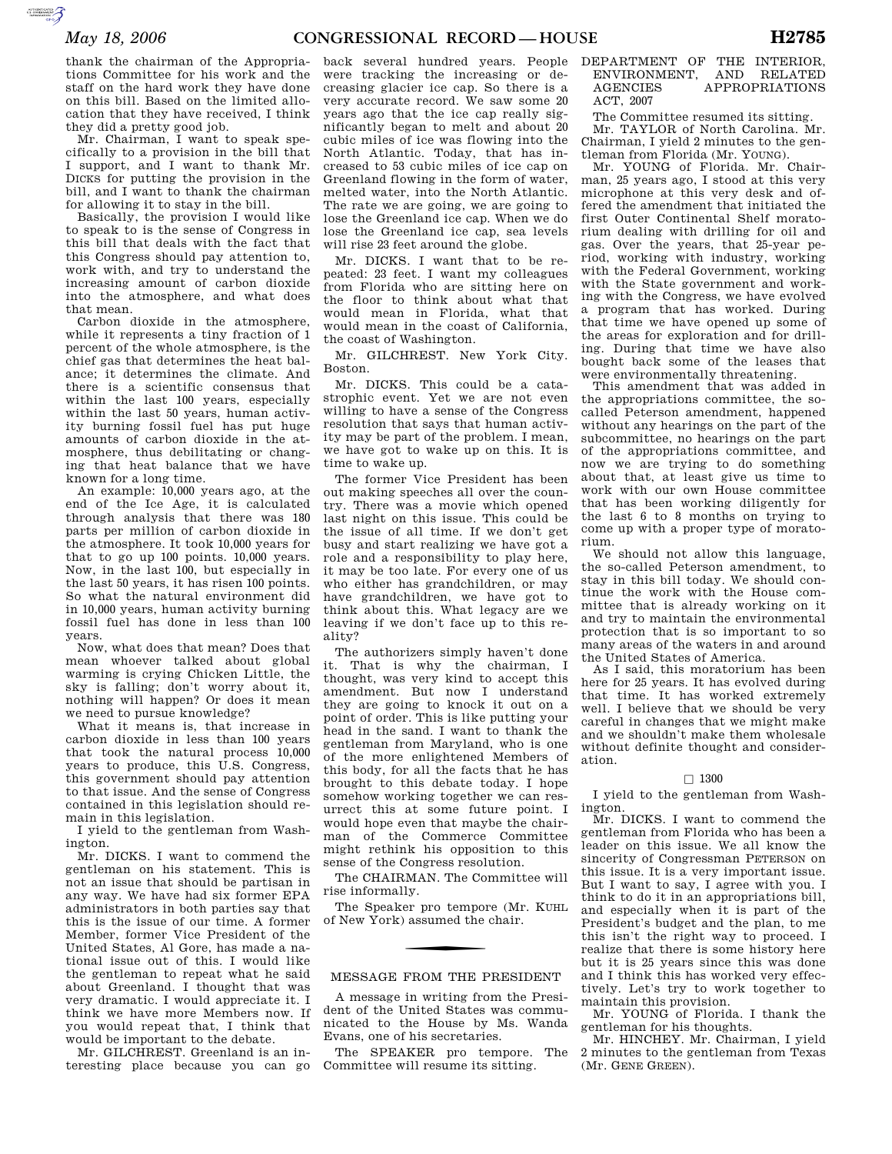**SUPERING AND SECURE AND** 

thank the chairman of the Appropriations Committee for his work and the staff on the hard work they have done on this bill. Based on the limited allocation that they have received, I think they did a pretty good job.

Mr. Chairman, I want to speak specifically to a provision in the bill that I support, and I want to thank Mr. DICKS for putting the provision in the bill, and I want to thank the chairman for allowing it to stay in the bill.

Basically, the provision I would like to speak to is the sense of Congress in this bill that deals with the fact that this Congress should pay attention to, work with, and try to understand the increasing amount of carbon dioxide into the atmosphere, and what does that mean.

Carbon dioxide in the atmosphere, while it represents a tiny fraction of 1 percent of the whole atmosphere, is the chief gas that determines the heat balance; it determines the climate. And there is a scientific consensus that within the last 100 years, especially within the last 50 years, human activity burning fossil fuel has put huge amounts of carbon dioxide in the atmosphere, thus debilitating or changing that heat balance that we have known for a long time.

An example: 10,000 years ago, at the end of the Ice Age, it is calculated through analysis that there was 180 parts per million of carbon dioxide in the atmosphere. It took 10,000 years for that to go up 100 points. 10,000 years. Now, in the last 100, but especially in the last 50 years, it has risen 100 points. So what the natural environment did in 10,000 years, human activity burning fossil fuel has done in less than 100 years.

Now, what does that mean? Does that mean whoever talked about global warming is crying Chicken Little, the sky is falling; don't worry about it, nothing will happen? Or does it mean we need to pursue knowledge?

What it means is, that increase in carbon dioxide in less than 100 years that took the natural process 10,000 years to produce, this U.S. Congress, this government should pay attention to that issue. And the sense of Congress contained in this legislation should remain in this legislation.

I yield to the gentleman from Washington.

Mr. DICKS. I want to commend the gentleman on his statement. This is not an issue that should be partisan in any way. We have had six former EPA administrators in both parties say that this is the issue of our time. A former Member, former Vice President of the United States, Al Gore, has made a national issue out of this. I would like the gentleman to repeat what he said about Greenland. I thought that was very dramatic. I would appreciate it. I think we have more Members now. If you would repeat that, I think that would be important to the debate.

Mr. GILCHREST. Greenland is an interesting place because you can go

back several hundred years. People were tracking the increasing or decreasing glacier ice cap. So there is a very accurate record. We saw some 20 years ago that the ice cap really significantly began to melt and about 20 cubic miles of ice was flowing into the North Atlantic. Today, that has increased to 53 cubic miles of ice cap on Greenland flowing in the form of water, melted water, into the North Atlantic. The rate we are going, we are going to lose the Greenland ice cap. When we do lose the Greenland ice cap, sea levels will rise 23 feet around the globe.

Mr. DICKS. I want that to be repeated: 23 feet. I want my colleagues from Florida who are sitting here on the floor to think about what that would mean in Florida, what that would mean in the coast of California, the coast of Washington.

Mr. GILCHREST. New York City. Boston.

Mr. DICKS. This could be a catastrophic event. Yet we are not even willing to have a sense of the Congress resolution that says that human activity may be part of the problem. I mean, we have got to wake up on this. It is time to wake up.

The former Vice President has been out making speeches all over the country. There was a movie which opened last night on this issue. This could be the issue of all time. If we don't get busy and start realizing we have got a role and a responsibility to play here, it may be too late. For every one of us who either has grandchildren, or may have grandchildren, we have got to think about this. What legacy are we leaving if we don't face up to this reality?

The authorizers simply haven't done it. That is why the chairman, I thought, was very kind to accept this amendment. But now I understand they are going to knock it out on a point of order. This is like putting your head in the sand. I want to thank the gentleman from Maryland, who is one of the more enlightened Members of this body, for all the facts that he has brought to this debate today. I hope somehow working together we can resurrect this at some future point. I would hope even that maybe the chairman of the Commerce Committee might rethink his opposition to this sense of the Congress resolution.

The CHAIRMAN. The Committee will rise informally.

The Speaker pro tempore (Mr. KUHL of New York) assumed the chair.

# MESSAGE FROM THE PRESIDENT

A message in writing from the President of the United States was communicated to the House by Ms. Wanda Evans, one of his secretaries.

The SPEAKER pro tempore. The Committee will resume its sitting.

# DEPARTMENT OF THE INTERIOR, ENVIRONMENT, AND RELATED AGENCIES APPROPRIATIONS ACT, 2007

The Committee resumed its sitting. Mr. TAYLOR of North Carolina. Mr. Chairman, I yield 2 minutes to the gentleman from Florida (Mr. YOUNG).

Mr. YOUNG of Florida. Mr. Chairman, 25 years ago, I stood at this very microphone at this very desk and offered the amendment that initiated the first Outer Continental Shelf moratorium dealing with drilling for oil and gas. Over the years, that 25-year period, working with industry, working with the Federal Government, working with the State government and working with the Congress, we have evolved a program that has worked. During that time we have opened up some of the areas for exploration and for drilling. During that time we have also bought back some of the leases that were environmentally threatening.

This amendment that was added in the appropriations committee, the socalled Peterson amendment, happened without any hearings on the part of the subcommittee, no hearings on the part of the appropriations committee, and now we are trying to do something about that, at least give us time to work with our own House committee that has been working diligently for the last 6 to 8 months on trying to come up with a proper type of moratorium.

We should not allow this language, the so-called Peterson amendment, to stay in this bill today. We should continue the work with the House committee that is already working on it and try to maintain the environmental protection that is so important to so many areas of the waters in and around the United States of America.

As I said, this moratorium has been here for 25 years. It has evolved during that time. It has worked extremely well. I believe that we should be very careful in changes that we might make and we shouldn't make them wholesale without definite thought and consideration.

# $\Box$  1300

I yield to the gentleman from Washington.

Mr. DICKS. I want to commend the gentleman from Florida who has been a leader on this issue. We all know the sincerity of Congressman PETERSON on this issue. It is a very important issue. But I want to say, I agree with you. I think to do it in an appropriations bill, and especially when it is part of the President's budget and the plan, to me this isn't the right way to proceed. I realize that there is some history here but it is 25 years since this was done and I think this has worked very effectively. Let's try to work together to maintain this provision.

Mr. YOUNG of Florida. I thank the gentleman for his thoughts.

Mr. HINCHEY. Mr. Chairman, I yield 2 minutes to the gentleman from Texas (Mr. GENE GREEN).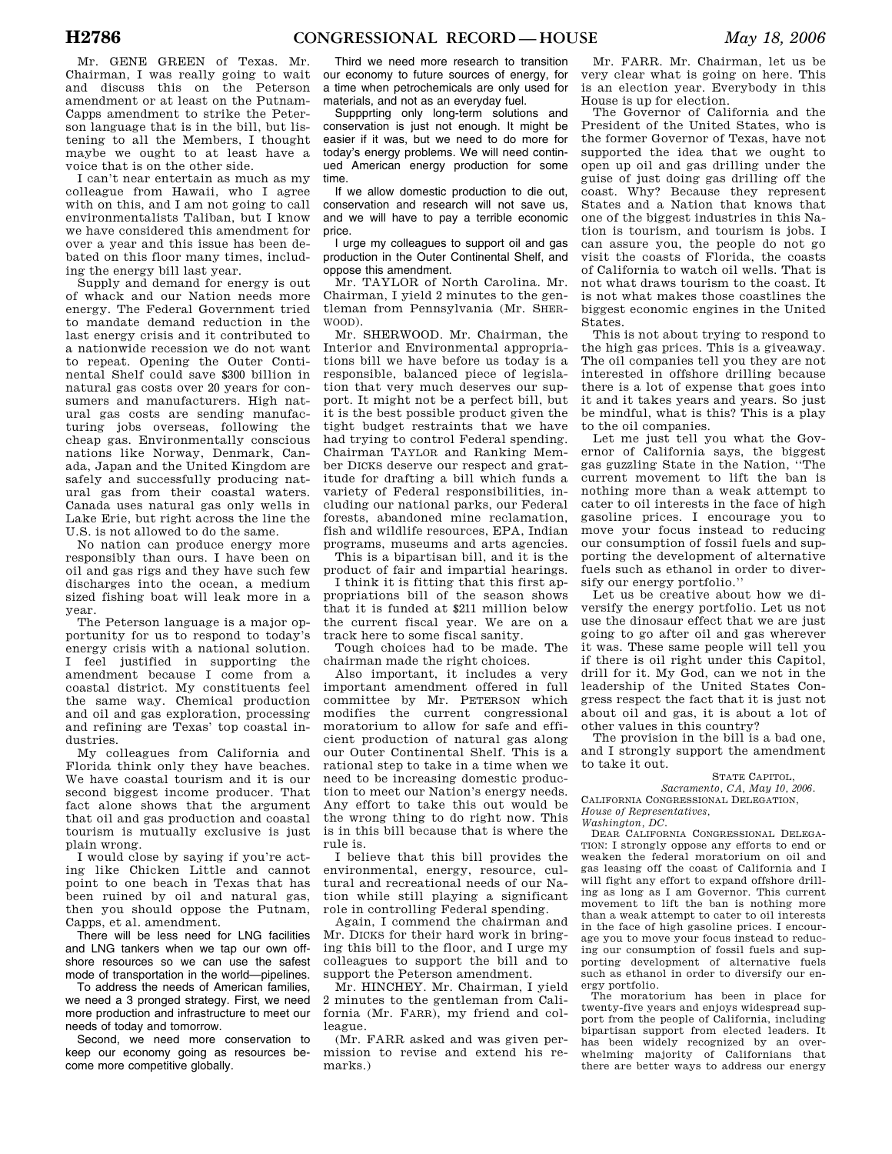Mr. GENE GREEN of Texas. Mr. Chairman, I was really going to wait and discuss this on the Peterson amendment or at least on the Putnam-Capps amendment to strike the Peterson language that is in the bill, but listening to all the Members, I thought maybe we ought to at least have a voice that is on the other side.

I can't near entertain as much as my colleague from Hawaii, who I agree with on this, and I am not going to call environmentalists Taliban, but I know we have considered this amendment for over a year and this issue has been debated on this floor many times, including the energy bill last year.

Supply and demand for energy is out of whack and our Nation needs more energy. The Federal Government tried to mandate demand reduction in the last energy crisis and it contributed to a nationwide recession we do not want to repeat. Opening the Outer Continental Shelf could save \$300 billion in natural gas costs over 20 years for consumers and manufacturers. High natural gas costs are sending manufacturing jobs overseas, following the cheap gas. Environmentally conscious nations like Norway, Denmark, Canada, Japan and the United Kingdom are safely and successfully producing natural gas from their coastal waters. Canada uses natural gas only wells in Lake Erie, but right across the line the U.S. is not allowed to do the same.

No nation can produce energy more responsibly than ours. I have been on oil and gas rigs and they have such few discharges into the ocean, a medium sized fishing boat will leak more in a year.

The Peterson language is a major opportunity for us to respond to today's energy crisis with a national solution. I feel justified in supporting the amendment because I come from a coastal district. My constituents feel the same way. Chemical production and oil and gas exploration, processing and refining are Texas' top coastal industries.

My colleagues from California and Florida think only they have beaches. We have coastal tourism and it is our second biggest income producer. That fact alone shows that the argument that oil and gas production and coastal tourism is mutually exclusive is just plain wrong.

I would close by saying if you're acting like Chicken Little and cannot point to one beach in Texas that has been ruined by oil and natural gas, then you should oppose the Putnam, Capps, et al. amendment.

There will be less need for LNG facilities and LNG tankers when we tap our own offshore resources so we can use the safest mode of transportation in the world—pipelines.

To address the needs of American families, we need a 3 pronged strategy. First, we need more production and infrastructure to meet our needs of today and tomorrow.

Second, we need more conservation to keep our economy going as resources become more competitive globally.

Third we need more research to transition our economy to future sources of energy, for a time when petrochemicals are only used for materials, and not as an everyday fuel.

Suppprting only long-term solutions and conservation is just not enough. It might be easier if it was, but we need to do more for today's energy problems. We will need continued American energy production for some time.

If we allow domestic production to die out, conservation and research will not save us, and we will have to pay a terrible economic price.

I urge my colleagues to support oil and gas production in the Outer Continental Shelf, and oppose this amendment.

Mr. TAYLOR of North Carolina. Mr. Chairman, I yield 2 minutes to the gentleman from Pennsylvania (Mr. SHER-WOOD).

Mr. SHERWOOD. Mr. Chairman, the Interior and Environmental appropriations bill we have before us today is a responsible, balanced piece of legislation that very much deserves our support. It might not be a perfect bill, but it is the best possible product given the tight budget restraints that we have had trying to control Federal spending. Chairman TAYLOR and Ranking Member DICKS deserve our respect and gratitude for drafting a bill which funds a variety of Federal responsibilities, including our national parks, our Federal forests, abandoned mine reclamation, fish and wildlife resources, EPA, Indian programs, museums and arts agencies.

This is a bipartisan bill, and it is the product of fair and impartial hearings.

I think it is fitting that this first appropriations bill of the season shows that it is funded at \$211 million below the current fiscal year. We are on a track here to some fiscal sanity.

Tough choices had to be made. The chairman made the right choices.

Also important, it includes a very important amendment offered in full committee by Mr. PETERSON which modifies the current congressional moratorium to allow for safe and efficient production of natural gas along our Outer Continental Shelf. This is a rational step to take in a time when we need to be increasing domestic production to meet our Nation's energy needs. Any effort to take this out would be the wrong thing to do right now. This is in this bill because that is where the rule is.

I believe that this bill provides the environmental, energy, resource, cultural and recreational needs of our Nation while still playing a significant role in controlling Federal spending.

Again, I commend the chairman and Mr. DICKS for their hard work in bringing this bill to the floor, and I urge my colleagues to support the bill and to support the Peterson amendment.

Mr. HINCHEY. Mr. Chairman, I yield 2 minutes to the gentleman from California (Mr. FARR), my friend and colleague.

(Mr. FARR asked and was given permission to revise and extend his remarks.)

Mr. FARR. Mr. Chairman, let us be very clear what is going on here. This is an election year. Everybody in this House is up for election.

The Governor of California and the President of the United States, who is the former Governor of Texas, have not supported the idea that we ought to open up oil and gas drilling under the guise of just doing gas drilling off the coast. Why? Because they represent States and a Nation that knows that one of the biggest industries in this Nation is tourism, and tourism is jobs. I can assure you, the people do not go visit the coasts of Florida, the coasts of California to watch oil wells. That is not what draws tourism to the coast. It is not what makes those coastlines the biggest economic engines in the United States.

This is not about trying to respond to the high gas prices. This is a giveaway. The oil companies tell you they are not interested in offshore drilling because there is a lot of expense that goes into it and it takes years and years. So just be mindful, what is this? This is a play to the oil companies.

Let me just tell you what the Governor of California says, the biggest gas guzzling State in the Nation, ''The current movement to lift the ban is nothing more than a weak attempt to cater to oil interests in the face of high gasoline prices. I encourage you to move your focus instead to reducing our consumption of fossil fuels and supporting the development of alternative fuels such as ethanol in order to diversify our energy portfolio.''

Let us be creative about how we diversify the energy portfolio. Let us not use the dinosaur effect that we are just going to go after oil and gas wherever it was. These same people will tell you if there is oil right under this Capitol, drill for it. My God, can we not in the leadership of the United States Congress respect the fact that it is just not about oil and gas, it is about a lot of other values in this country?

The provision in the bill is a bad one, and I strongly support the amendment to take it out.

## STATE CAPITOL, *Sacramento, CA, May 10, 2006.*

CALIFORNIA CONGRESSIONAL DELEGATION, *House of Representatives,* 

*Washington, DC.* 

DEAR CALIFORNIA CONGRESSIONAL DELEGA-TION: I strongly oppose any efforts to end or weaken the federal moratorium on oil and gas leasing off the coast of California and I will fight any effort to expand offshore drilling as long as I am Governor. This current movement to lift the ban is nothing more than a weak attempt to cater to oil interests in the face of high gasoline prices. I encourage you to move your focus instead to reducing our consumption of fossil fuels and supporting development of alternative fuels such as ethanol in order to diversify our energy portfolio.

The moratorium has been in place for twenty-five years and enjoys widespread support from the people of California, including bipartisan support from elected leaders. It has been widely recognized by an overwhelming majority of Californians that there are better ways to address our energy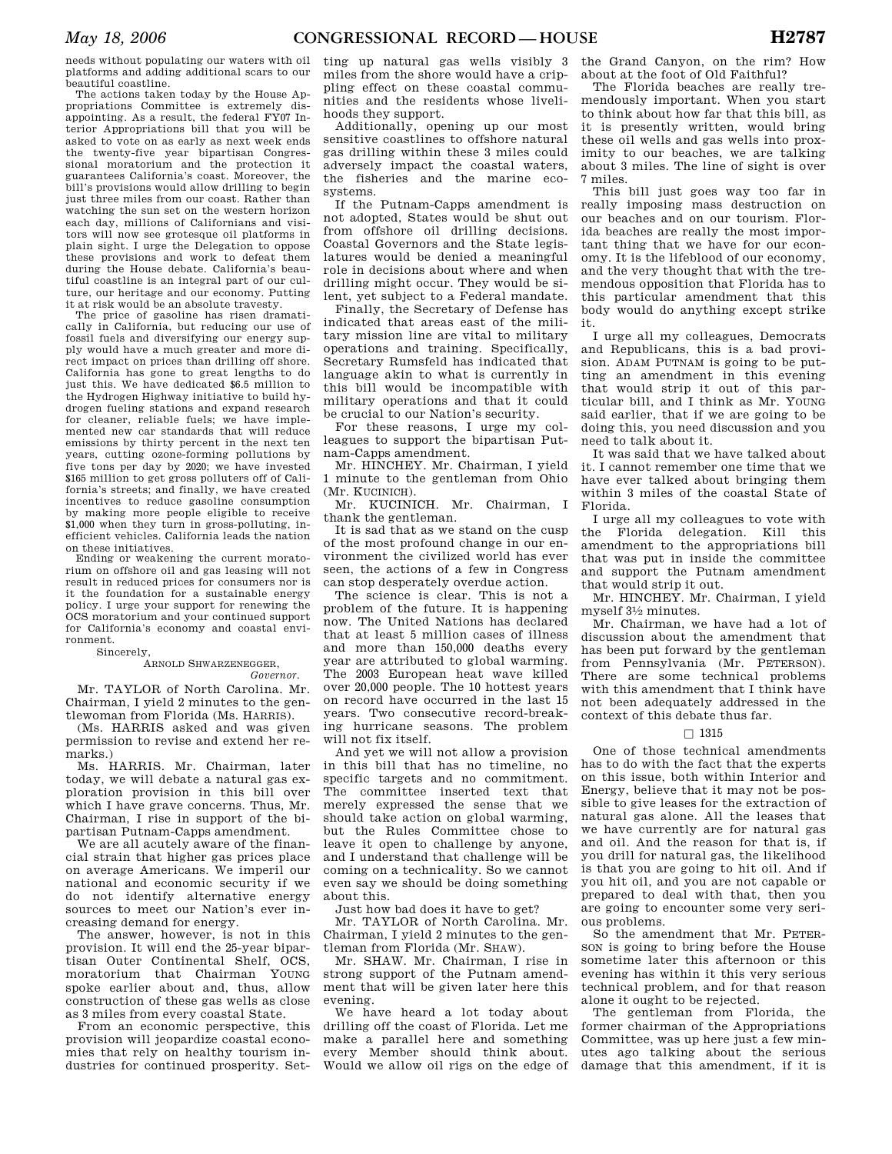needs without populating our waters with oil platforms and adding additional scars to our beautiful coastline.

The actions taken today by the House Appropriations Committee is extremely disappointing. As a result, the federal FY07 Interior Appropriations bill that you will be asked to vote on as early as next week ends the twenty-five year bipartisan Congressional moratorium and the protection it guarantees California's coast. Moreover, the bill's provisions would allow drilling to begin just three miles from our coast. Rather than watching the sun set on the western horizon each day, millions of Californians and visitors will now see grotesque oil platforms in plain sight. I urge the Delegation to oppose these provisions and work to defeat them during the House debate. California's beautiful coastline is an integral part of our culture, our heritage and our economy. Putting it at risk would be an absolute travesty.

The price of gasoline has risen dramatically in California, but reducing our use of fossil fuels and diversifying our energy supply would have a much greater and more direct impact on prices than drilling off shore. California has gone to great lengths to do just this. We have dedicated \$6.5 million to the Hydrogen Highway initiative to build hydrogen fueling stations and expand research for cleaner, reliable fuels; we have implemented new car standards that will reduce emissions by thirty percent in the next ten years, cutting ozone-forming pollutions by five tons per day by 2020; we have invested \$165 million to get gross polluters off of California's streets; and finally, we have created incentives to reduce gasoline consumption by making more people eligible to receive \$1,000 when they turn in gross-polluting, inefficient vehicles. California leads the nation on these initiatives.

Ending or weakening the current moratorium on offshore oil and gas leasing will not result in reduced prices for consumers nor is it the foundation for a sustainable energy policy. I urge your support for renewing the OCS moratorium and your continued support for California's economy and coastal environment.

#### Sincerely,

#### ARNOLD SHWARZENEGGER, *Governor.*

Mr. TAYLOR of North Carolina. Mr. Chairman, I yield 2 minutes to the gen-

tlewoman from Florida (Ms. HARRIS). (Ms. HARRIS asked and was given permission to revise and extend her remarks.)

Ms. HARRIS. Mr. Chairman, later today, we will debate a natural gas exploration provision in this bill over which I have grave concerns. Thus, Mr. Chairman, I rise in support of the bipartisan Putnam-Capps amendment.

We are all acutely aware of the financial strain that higher gas prices place on average Americans. We imperil our national and economic security if we do not identify alternative energy sources to meet our Nation's ever increasing demand for energy.

The answer, however, is not in this provision. It will end the 25-year bipartisan Outer Continental Shelf, OCS, moratorium that Chairman YOUNG spoke earlier about and, thus, allow construction of these gas wells as close as 3 miles from every coastal State.

From an economic perspective, this provision will jeopardize coastal economies that rely on healthy tourism industries for continued prosperity. Set-

ting up natural gas wells visibly 3 miles from the shore would have a crippling effect on these coastal communities and the residents whose livelihoods they support.

Additionally, opening up our most sensitive coastlines to offshore natural gas drilling within these 3 miles could adversely impact the coastal waters, the fisheries and the marine ecosystems.

If the Putnam-Capps amendment is not adopted, States would be shut out from offshore oil drilling decisions. Coastal Governors and the State legislatures would be denied a meaningful role in decisions about where and when drilling might occur. They would be silent, yet subject to a Federal mandate.

Finally, the Secretary of Defense has indicated that areas east of the military mission line are vital to military operations and training. Specifically, Secretary Rumsfeld has indicated that language akin to what is currently in this bill would be incompatible with military operations and that it could be crucial to our Nation's security.

For these reasons, I urge my colleagues to support the bipartisan Putnam-Capps amendment.

Mr. HINCHEY. Mr. Chairman, I yield 1 minute to the gentleman from Ohio (Mr. KUCINICH).

Mr. KUCINICH. Mr. Chairman, I thank the gentleman.

It is sad that as we stand on the cusp of the most profound change in our environment the civilized world has ever seen, the actions of a few in Congress can stop desperately overdue action.

The science is clear. This is not a problem of the future. It is happening now. The United Nations has declared that at least 5 million cases of illness and more than 150,000 deaths every year are attributed to global warming. The 2003 European heat wave killed over 20,000 people. The 10 hottest years on record have occurred in the last 15 years. Two consecutive record-breaking hurricane seasons. The problem will not fix itself.

And yet we will not allow a provision in this bill that has no timeline, no specific targets and no commitment. The committee inserted text that merely expressed the sense that we should take action on global warming, but the Rules Committee chose to leave it open to challenge by anyone, and I understand that challenge will be coming on a technicality. So we cannot even say we should be doing something about this.

Just how bad does it have to get?

Mr. TAYLOR of North Carolina. Mr. Chairman, I yield 2 minutes to the gentleman from Florida (Mr. SHAW).

Mr. SHAW. Mr. Chairman, I rise in strong support of the Putnam amendment that will be given later here this evening.

We have heard a lot today about drilling off the coast of Florida. Let me make a parallel here and something every Member should think about. Would we allow oil rigs on the edge of

the Grand Canyon, on the rim? How about at the foot of Old Faithful?

The Florida beaches are really tremendously important. When you start to think about how far that this bill, as it is presently written, would bring these oil wells and gas wells into proximity to our beaches, we are talking about 3 miles. The line of sight is over 7 miles.

This bill just goes way too far in really imposing mass destruction on our beaches and on our tourism. Florida beaches are really the most important thing that we have for our economy. It is the lifeblood of our economy, and the very thought that with the tremendous opposition that Florida has to this particular amendment that this body would do anything except strike it.

I urge all my colleagues, Democrats and Republicans, this is a bad provision. ADAM PUTNAM is going to be putting an amendment in this evening that would strip it out of this particular bill, and I think as Mr. YOUNG said earlier, that if we are going to be doing this, you need discussion and you need to talk about it.

It was said that we have talked about it. I cannot remember one time that we have ever talked about bringing them within 3 miles of the coastal State of Florida.

I urge all my colleagues to vote with the Florida delegation. Kill this amendment to the appropriations bill that was put in inside the committee and support the Putnam amendment that would strip it out.

Mr. HINCHEY. Mr. Chairman, I yield myself 31⁄2 minutes.

Mr. Chairman, we have had a lot of discussion about the amendment that has been put forward by the gentleman from Pennsylvania (Mr. PETERSON). There are some technical problems with this amendment that I think have not been adequately addressed in the context of this debate thus far.

## $\Box$  1315

One of those technical amendments has to do with the fact that the experts on this issue, both within Interior and Energy, believe that it may not be possible to give leases for the extraction of natural gas alone. All the leases that we have currently are for natural gas and oil. And the reason for that is, if you drill for natural gas, the likelihood is that you are going to hit oil. And if you hit oil, and you are not capable or prepared to deal with that, then you are going to encounter some very serious problems.

So the amendment that Mr. PETER-SON is going to bring before the House sometime later this afternoon or this evening has within it this very serious technical problem, and for that reason alone it ought to be rejected.

The gentleman from Florida, the former chairman of the Appropriations Committee, was up here just a few minutes ago talking about the serious damage that this amendment, if it is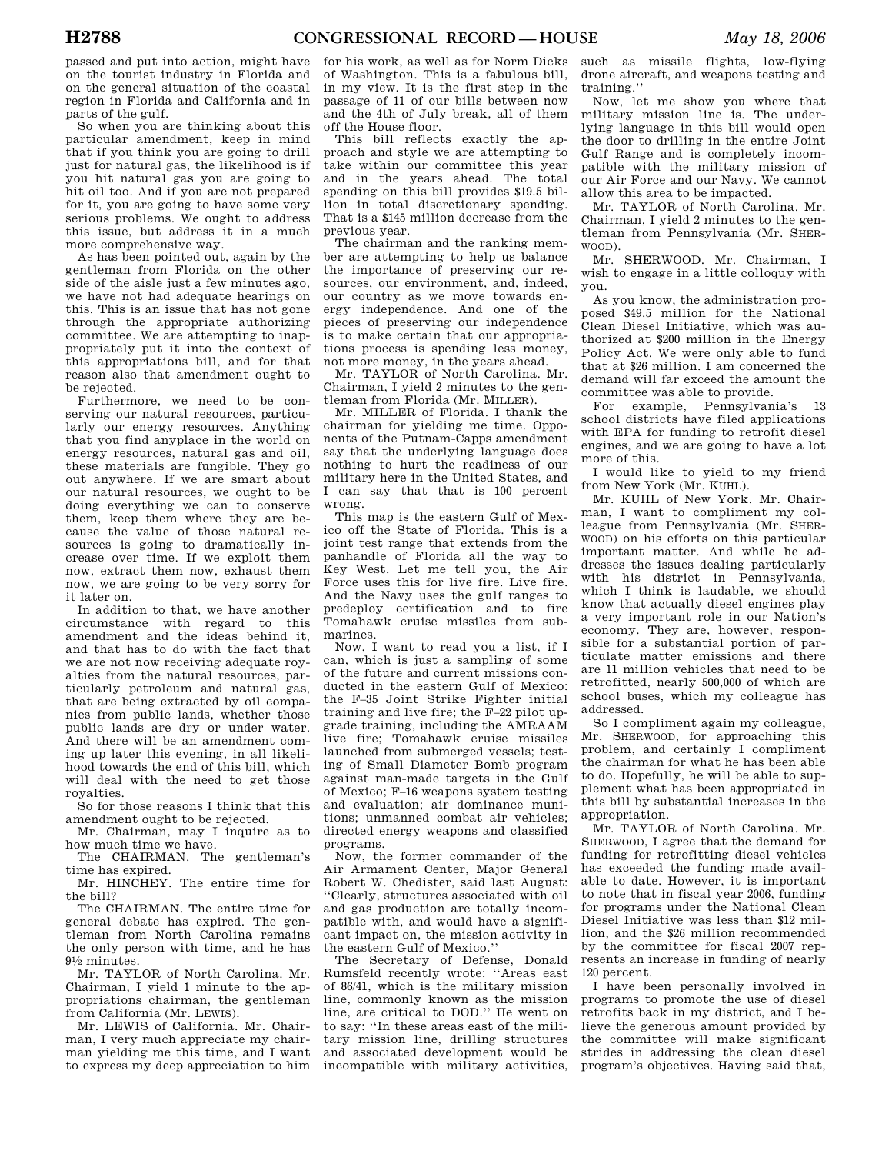passed and put into action, might have on the tourist industry in Florida and on the general situation of the coastal region in Florida and California and in parts of the gulf.

So when you are thinking about this particular amendment, keep in mind that if you think you are going to drill just for natural gas, the likelihood is if you hit natural gas you are going to hit oil too. And if you are not prepared for it, you are going to have some very serious problems. We ought to address this issue, but address it in a much more comprehensive way.

As has been pointed out, again by the gentleman from Florida on the other side of the aisle just a few minutes ago, we have not had adequate hearings on this. This is an issue that has not gone through the appropriate authorizing committee. We are attempting to inappropriately put it into the context of this appropriations bill, and for that reason also that amendment ought to be rejected.

Furthermore, we need to be conserving our natural resources, particularly our energy resources. Anything that you find anyplace in the world on energy resources, natural gas and oil, these materials are fungible. They go out anywhere. If we are smart about our natural resources, we ought to be doing everything we can to conserve them, keep them where they are because the value of those natural resources is going to dramatically increase over time. If we exploit them now, extract them now, exhaust them now, we are going to be very sorry for it later on.

In addition to that, we have another circumstance with regard to this amendment and the ideas behind it, and that has to do with the fact that we are not now receiving adequate royalties from the natural resources, particularly petroleum and natural gas, that are being extracted by oil companies from public lands, whether those public lands are dry or under water. And there will be an amendment coming up later this evening, in all likelihood towards the end of this bill, which will deal with the need to get those royalties.

So for those reasons I think that this amendment ought to be rejected.

Mr. Chairman, may I inquire as to how much time we have.

The CHAIRMAN. The gentleman's time has expired.

Mr. HINCHEY. The entire time for the bill?

The CHAIRMAN. The entire time for general debate has expired. The gentleman from North Carolina remains the only person with time, and he has 91⁄2 minutes.

Mr. TAYLOR of North Carolina. Mr. Chairman, I yield 1 minute to the appropriations chairman, the gentleman from California (Mr. LEWIS).

Mr. LEWIS of California. Mr. Chairman, I very much appreciate my chairman yielding me this time, and I want to express my deep appreciation to him

for his work, as well as for Norm Dicks of Washington. This is a fabulous bill, in my view. It is the first step in the passage of 11 of our bills between now and the 4th of July break, all of them off the House floor.

This bill reflects exactly the approach and style we are attempting to take within our committee this year and in the years ahead. The total spending on this bill provides \$19.5 billion in total discretionary spending. That is a \$145 million decrease from the previous year.

The chairman and the ranking member are attempting to help us balance the importance of preserving our resources, our environment, and, indeed, our country as we move towards energy independence. And one of the pieces of preserving our independence is to make certain that our appropriations process is spending less money, not more money, in the years ahead.

Mr. TAYLOR of North Carolina. Mr. Chairman, I yield 2 minutes to the gentleman from Florida (Mr. MILLER).

Mr. MILLER of Florida. I thank the chairman for yielding me time. Opponents of the Putnam-Capps amendment say that the underlying language does nothing to hurt the readiness of our military here in the United States, and I can say that that is 100 percent wrong.

This map is the eastern Gulf of Mexico off the State of Florida. This is a joint test range that extends from the panhandle of Florida all the way to Key West. Let me tell you, the Air Force uses this for live fire. Live fire. And the Navy uses the gulf ranges to predeploy certification and to fire Tomahawk cruise missiles from submarines.

Now, I want to read you a list, if I can, which is just a sampling of some of the future and current missions conducted in the eastern Gulf of Mexico: the F–35 Joint Strike Fighter initial training and live fire; the F–22 pilot upgrade training, including the AMRAAM live fire; Tomahawk cruise missiles launched from submerged vessels; testing of Small Diameter Bomb program against man-made targets in the Gulf of Mexico; F–16 weapons system testing and evaluation; air dominance munitions; unmanned combat air vehicles; directed energy weapons and classified programs.

Now, the former commander of the Air Armament Center, Major General Robert W. Chedister, said last August: ''Clearly, structures associated with oil and gas production are totally incompatible with, and would have a significant impact on, the mission activity in the eastern Gulf of Mexico.''

The Secretary of Defense, Donald Rumsfeld recently wrote: ''Areas east of 86/41, which is the military mission line, commonly known as the mission line, are critical to DOD.'' He went on to say: ''In these areas east of the military mission line, drilling structures and associated development would be incompatible with military activities,

such as missile flights, low-flying drone aircraft, and weapons testing and training.''

Now, let me show you where that military mission line is. The underlying language in this bill would open the door to drilling in the entire Joint Gulf Range and is completely incompatible with the military mission of our Air Force and our Navy. We cannot allow this area to be impacted.

Mr. TAYLOR of North Carolina. Mr. Chairman, I yield 2 minutes to the gentleman from Pennsylvania (Mr. SHER-WOOD).

Mr. SHERWOOD. Mr. Chairman, I wish to engage in a little colloquy with you.

As you know, the administration proposed \$49.5 million for the National Clean Diesel Initiative, which was authorized at \$200 million in the Energy Policy Act. We were only able to fund that at \$26 million. I am concerned the demand will far exceed the amount the committee was able to provide.

For example, Pennsylvania's 13 school districts have filed applications with EPA for funding to retrofit diesel engines, and we are going to have a lot more of this.

I would like to yield to my friend from New York (Mr. KUHL).

Mr. KUHL of New York. Mr. Chairman, I want to compliment my colleague from Pennsylvania (Mr. SHER-WOOD) on his efforts on this particular important matter. And while he addresses the issues dealing particularly with his district in Pennsylvania, which I think is laudable, we should know that actually diesel engines play a very important role in our Nation's economy. They are, however, responsible for a substantial portion of particulate matter emissions and there are 11 million vehicles that need to be retrofitted, nearly 500,000 of which are school buses, which my colleague has addressed.

So I compliment again my colleague, Mr. SHERWOOD, for approaching this problem, and certainly I compliment the chairman for what he has been able to do. Hopefully, he will be able to supplement what has been appropriated in this bill by substantial increases in the appropriation.

Mr. TAYLOR of North Carolina. Mr. SHERWOOD, I agree that the demand for funding for retrofitting diesel vehicles has exceeded the funding made available to date. However, it is important to note that in fiscal year 2006, funding for programs under the National Clean Diesel Initiative was less than \$12 million, and the \$26 million recommended by the committee for fiscal 2007 represents an increase in funding of nearly 120 percent.

I have been personally involved in programs to promote the use of diesel retrofits back in my district, and I believe the generous amount provided by the committee will make significant strides in addressing the clean diesel program's objectives. Having said that,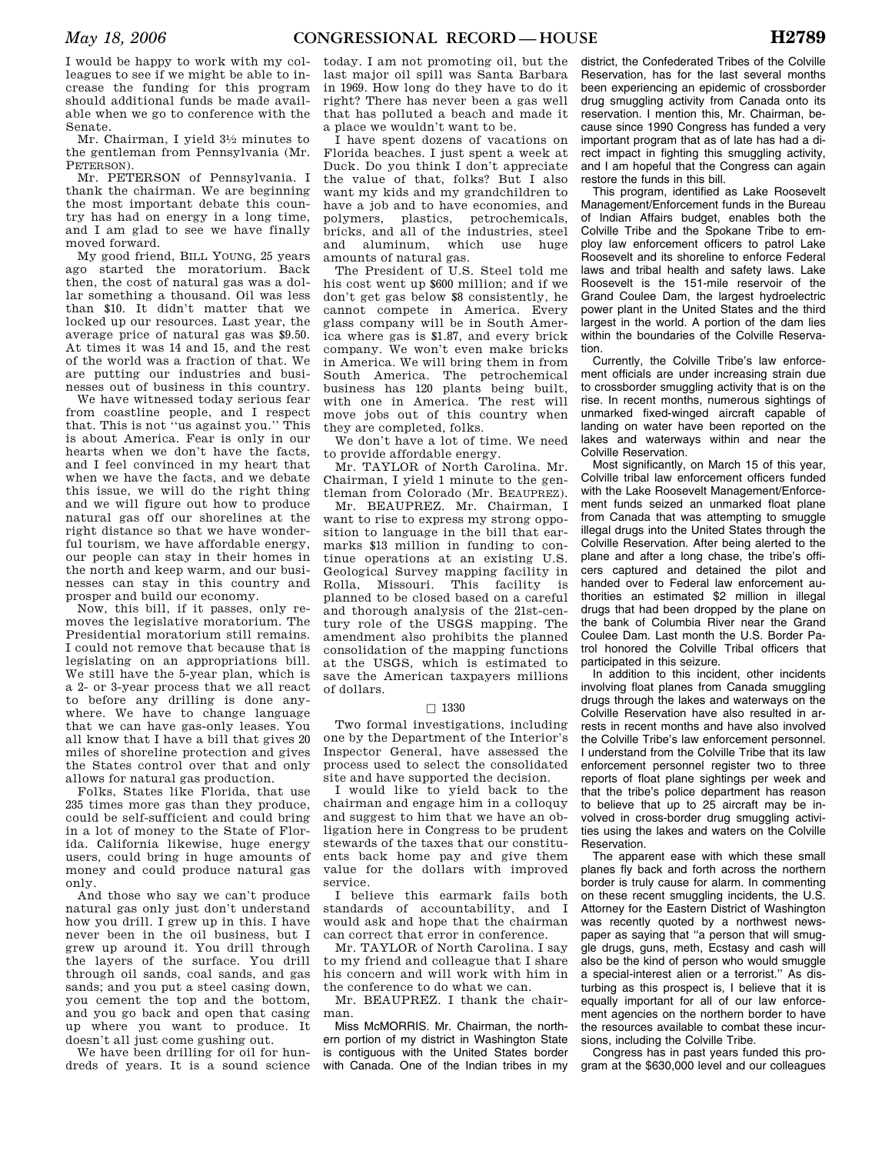I would be happy to work with my colleagues to see if we might be able to increase the funding for this program should additional funds be made available when we go to conference with the Senate.

Mr. Chairman, I yield 31⁄2 minutes to the gentleman from Pennsylvania (Mr. PETERSON)

Mr. PETERSON of Pennsylvania. I thank the chairman. We are beginning the most important debate this country has had on energy in a long time, and I am glad to see we have finally moved forward.

My good friend, BILL YOUNG, 25 years ago started the moratorium. Back then, the cost of natural gas was a dollar something a thousand. Oil was less than \$10. It didn't matter that we locked up our resources. Last year, the average price of natural gas was \$9.50. At times it was 14 and 15, and the rest of the world was a fraction of that. We are putting our industries and businesses out of business in this country.

We have witnessed today serious fear from coastline people, and I respect that. This is not ''us against you.'' This is about America. Fear is only in our hearts when we don't have the facts, and I feel convinced in my heart that when we have the facts, and we debate this issue, we will do the right thing and we will figure out how to produce natural gas off our shorelines at the right distance so that we have wonderful tourism, we have affordable energy our people can stay in their homes in the north and keep warm, and our businesses can stay in this country and prosper and build our economy.

Now, this bill, if it passes, only removes the legislative moratorium. The Presidential moratorium still remains. I could not remove that because that is legislating on an appropriations bill. We still have the 5-year plan, which is a 2- or 3-year process that we all react to before any drilling is done anywhere. We have to change language that we can have gas-only leases. You all know that I have a bill that gives 20 miles of shoreline protection and gives the States control over that and only allows for natural gas production.

Folks, States like Florida, that use 235 times more gas than they produce, could be self-sufficient and could bring in a lot of money to the State of Florida. California likewise, huge energy users, could bring in huge amounts of money and could produce natural gas only.

And those who say we can't produce natural gas only just don't understand how you drill. I grew up in this. I have never been in the oil business, but I grew up around it. You drill through the layers of the surface. You drill through oil sands, coal sands, and gas sands; and you put a steel casing down, you cement the top and the bottom, and you go back and open that casing up where you want to produce. It doesn't all just come gushing out.

We have been drilling for oil for hundreds of years. It is a sound science

today. I am not promoting oil, but the last major oil spill was Santa Barbara in 1969. How long do they have to do it right? There has never been a gas well that has polluted a beach and made it a place we wouldn't want to be.

I have spent dozens of vacations on Florida beaches. I just spent a week at Duck. Do you think I don't appreciate the value of that, folks? But I also want my kids and my grandchildren to have a job and to have economies, and polymers, plastics, petrochemicals, bricks, and all of the industries, steel and aluminum, which use huge amounts of natural gas.

The President of U.S. Steel told me his cost went up \$600 million; and if we don't get gas below \$8 consistently, he cannot compete in America. Every glass company will be in South America where gas is \$1.87, and every brick company. We won't even make bricks in America. We will bring them in from South America. The petrochemical business has 120 plants being built, with one in America. The rest will move jobs out of this country when they are completed, folks.

We don't have a lot of time. We need to provide affordable energy.

Mr. TAYLOR of North Carolina. Mr. Chairman, I yield 1 minute to the gentleman from Colorado (Mr. BEAUPREZ).

Mr. BEAUPREZ. Mr. Chairman, I want to rise to express my strong opposition to language in the bill that earmarks \$13 million in funding to continue operations at an existing U.S. Geological Survey mapping facility in Rolla, Missouri. This facility is planned to be closed based on a careful and thorough analysis of the 21st-century role of the USGS mapping. The amendment also prohibits the planned consolidation of the mapping functions at the USGS, which is estimated to save the American taxpayers millions of dollars.

## $\Box$  1330

Two formal investigations, including one by the Department of the Interior's Inspector General, have assessed the process used to select the consolidated site and have supported the decision.

I would like to yield back to the chairman and engage him in a colloquy and suggest to him that we have an obligation here in Congress to be prudent stewards of the taxes that our constituents back home pay and give them value for the dollars with improved service.

I believe this earmark fails both standards of accountability, and I would ask and hope that the chairman can correct that error in conference.

Mr. TAYLOR of North Carolina. I say to my friend and colleague that I share his concern and will work with him in the conference to do what we can.

Mr. BEAUPREZ. I thank the chairman.

Miss McMORRIS. Mr. Chairman, the northern portion of my district in Washington State is contiguous with the United States border with Canada. One of the Indian tribes in my

district, the Confederated Tribes of the Colville Reservation, has for the last several months been experiencing an epidemic of crossborder drug smuggling activity from Canada onto its reservation. I mention this, Mr. Chairman, because since 1990 Congress has funded a very important program that as of late has had a direct impact in fighting this smuggling activity, and I am hopeful that the Congress can again restore the funds in this bill.

This program, identified as Lake Roosevelt Management/Enforcement funds in the Bureau of Indian Affairs budget, enables both the Colville Tribe and the Spokane Tribe to employ law enforcement officers to patrol Lake Roosevelt and its shoreline to enforce Federal laws and tribal health and safety laws. Lake Roosevelt is the 151-mile reservoir of the Grand Coulee Dam, the largest hydroelectric power plant in the United States and the third largest in the world. A portion of the dam lies within the boundaries of the Colville Reservation.

Currently, the Colville Tribe's law enforcement officials are under increasing strain due to crossborder smuggling activity that is on the rise. In recent months, numerous sightings of unmarked fixed-winged aircraft capable of landing on water have been reported on the lakes and waterways within and near the Colville Reservation.

Most significantly, on March 15 of this year, Colville tribal law enforcement officers funded with the Lake Roosevelt Management/Enforcement funds seized an unmarked float plane from Canada that was attempting to smuggle illegal drugs into the United States through the Colville Reservation. After being alerted to the plane and after a long chase, the tribe's officers captured and detained the pilot and handed over to Federal law enforcement authorities an estimated \$2 million in illegal drugs that had been dropped by the plane on the bank of Columbia River near the Grand Coulee Dam. Last month the U.S. Border Patrol honored the Colville Tribal officers that participated in this seizure.

In addition to this incident, other incidents involving float planes from Canada smuggling drugs through the lakes and waterways on the Colville Reservation have also resulted in arrests in recent months and have also involved the Colville Tribe's law enforcement personnel. I understand from the Colville Tribe that its law enforcement personnel register two to three reports of float plane sightings per week and that the tribe's police department has reason to believe that up to 25 aircraft may be involved in cross-border drug smuggling activities using the lakes and waters on the Colville Reservation.

The apparent ease with which these small planes fly back and forth across the northern border is truly cause for alarm. In commenting on these recent smuggling incidents, the U.S. Attorney for the Eastern District of Washington was recently quoted by a northwest newspaper as saying that "a person that will smuggle drugs, guns, meth, Ecstasy and cash will also be the kind of person who would smuggle a special-interest alien or a terrorist.'' As disturbing as this prospect is, I believe that it is equally important for all of our law enforcement agencies on the northern border to have the resources available to combat these incursions, including the Colville Tribe.

Congress has in past years funded this program at the \$630,000 level and our colleagues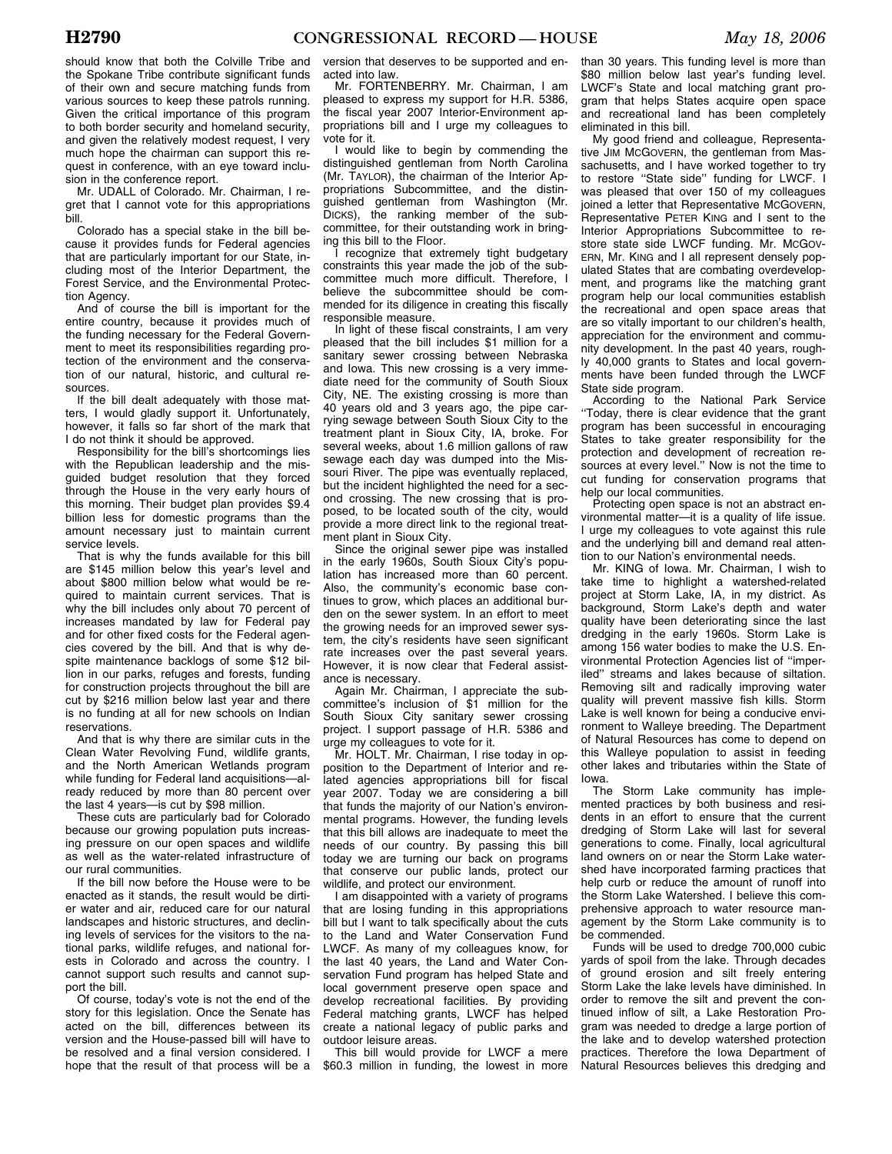should know that both the Colville Tribe and the Spokane Tribe contribute significant funds of their own and secure matching funds from various sources to keep these patrols running. Given the critical importance of this program to both border security and homeland security, and given the relatively modest request, I very much hope the chairman can support this request in conference, with an eye toward inclusion in the conference report.

Mr. UDALL of Colorado. Mr. Chairman, I regret that I cannot vote for this appropriations bill.

Colorado has a special stake in the bill because it provides funds for Federal agencies that are particularly important for our State, including most of the Interior Department, the Forest Service, and the Environmental Protection Agency.

And of course the bill is important for the entire country, because it provides much of the funding necessary for the Federal Government to meet its responsibilities regarding protection of the environment and the conservation of our natural, historic, and cultural resources.

If the bill dealt adequately with those matters, I would gladly support it. Unfortunately, however, it falls so far short of the mark that I do not think it should be approved.

Responsibility for the bill's shortcomings lies with the Republican leadership and the misguided budget resolution that they forced through the House in the very early hours of this morning. Their budget plan provides \$9.4 billion less for domestic programs than the amount necessary just to maintain current service levels.

That is why the funds available for this bill are \$145 million below this year's level and about \$800 million below what would be required to maintain current services. That is why the bill includes only about 70 percent of increases mandated by law for Federal pay and for other fixed costs for the Federal agencies covered by the bill. And that is why despite maintenance backlogs of some \$12 billion in our parks, refuges and forests, funding for construction projects throughout the bill are cut by \$216 million below last year and there is no funding at all for new schools on Indian reservations.

And that is why there are similar cuts in the Clean Water Revolving Fund, wildlife grants, and the North American Wetlands program while funding for Federal land acquisitions—already reduced by more than 80 percent over the last 4 years—is cut by \$98 million.

These cuts are particularly bad for Colorado because our growing population puts increasing pressure on our open spaces and wildlife as well as the water-related infrastructure of our rural communities.

If the bill now before the House were to be enacted as it stands, the result would be dirtier water and air, reduced care for our natural landscapes and historic structures, and declining levels of services for the visitors to the national parks, wildlife refuges, and national forests in Colorado and across the country. I cannot support such results and cannot support the bill.

Of course, today's vote is not the end of the story for this legislation. Once the Senate has acted on the bill, differences between its version and the House-passed bill will have to be resolved and a final version considered. I hope that the result of that process will be a

version that deserves to be supported and enacted into law.

Mr. FORTENBERRY. Mr. Chairman, I am pleased to express my support for H.R. 5386, the fiscal year 2007 Interior-Environment appropriations bill and I urge my colleagues to vote for it.

I would like to begin by commending the distinguished gentleman from North Carolina (Mr. TAYLOR), the chairman of the Interior Appropriations Subcommittee, and the distinguished gentleman from Washington (Mr. DICKS), the ranking member of the subcommittee, for their outstanding work in bringing this bill to the Floor.

I recognize that extremely tight budgetary constraints this year made the job of the subcommittee much more difficult. Therefore, I believe the subcommittee should be commended for its diligence in creating this fiscally responsible measure.

In light of these fiscal constraints, I am very pleased that the bill includes \$1 million for a sanitary sewer crossing between Nebraska and Iowa. This new crossing is a very immediate need for the community of South Sioux City, NE. The existing crossing is more than 40 years old and 3 years ago, the pipe carrying sewage between South Sioux City to the treatment plant in Sioux City, IA, broke. For several weeks, about 1.6 million gallons of raw sewage each day was dumped into the Missouri River. The pipe was eventually replaced, but the incident highlighted the need for a second crossing. The new crossing that is proposed, to be located south of the city, would provide a more direct link to the regional treatment plant in Sioux City.

Since the original sewer pipe was installed in the early 1960s, South Sioux City's population has increased more than 60 percent. Also, the community's economic base continues to grow, which places an additional burden on the sewer system. In an effort to meet the growing needs for an improved sewer system, the city's residents have seen significant rate increases over the past several years. However, it is now clear that Federal assistance is necessary.

Again Mr. Chairman, I appreciate the subcommittee's inclusion of \$1 million for the South Sioux City sanitary sewer crossing project. I support passage of H.R. 5386 and urge my colleagues to vote for it.

Mr. HOLT. Mr. Chairman, I rise today in opposition to the Department of Interior and related agencies appropriations bill for fiscal year 2007. Today we are considering a bill that funds the majority of our Nation's environmental programs. However, the funding levels that this bill allows are inadequate to meet the needs of our country. By passing this bill today we are turning our back on programs that conserve our public lands, protect our wildlife, and protect our environment.

I am disappointed with a variety of programs that are losing funding in this appropriations bill but I want to talk specifically about the cuts to the Land and Water Conservation Fund LWCF. As many of my colleagues know, for the last 40 years, the Land and Water Conservation Fund program has helped State and local government preserve open space and develop recreational facilities. By providing Federal matching grants, LWCF has helped create a national legacy of public parks and outdoor leisure areas.

This bill would provide for LWCF a mere \$60.3 million in funding, the lowest in more than 30 years. This funding level is more than \$80 million below last year's funding level. LWCF's State and local matching grant program that helps States acquire open space and recreational land has been completely eliminated in this bill.

My good friend and colleague, Representative JIM MCGOVERN, the gentleman from Massachusetts, and I have worked together to try to restore ''State side'' funding for LWCF. I was pleased that over 150 of my colleagues joined a letter that Representative MCGOVERN, Representative PETER KING and I sent to the Interior Appropriations Subcommittee to restore state side LWCF funding. Mr. McGov-ERN, Mr. KING and I all represent densely populated States that are combating overdevelopment, and programs like the matching grant program help our local communities establish the recreational and open space areas that are so vitally important to our children's health, appreciation for the environment and community development. In the past 40 years, roughly 40,000 grants to States and local governments have been funded through the LWCF State side program.

According to the National Park Service ''Today, there is clear evidence that the grant program has been successful in encouraging States to take greater responsibility for the protection and development of recreation resources at every level.'' Now is not the time to cut funding for conservation programs that help our local communities.

Protecting open space is not an abstract environmental matter—it is a quality of life issue. I urge my colleagues to vote against this rule and the underlying bill and demand real attention to our Nation's environmental needs.

Mr. KING of Iowa. Mr. Chairman, I wish to take time to highlight a watershed-related project at Storm Lake, IA, in my district. As background, Storm Lake's depth and water quality have been deteriorating since the last dredging in the early 1960s. Storm Lake is among 156 water bodies to make the U.S. Environmental Protection Agencies list of ''imperiled'' streams and lakes because of siltation. Removing silt and radically improving water quality will prevent massive fish kills. Storm Lake is well known for being a conducive environment to Walleye breeding. The Department of Natural Resources has come to depend on this Walleye population to assist in feeding other lakes and tributaries within the State of Iowa.

The Storm Lake community has implemented practices by both business and residents in an effort to ensure that the current dredging of Storm Lake will last for several generations to come. Finally, local agricultural land owners on or near the Storm Lake watershed have incorporated farming practices that help curb or reduce the amount of runoff into the Storm Lake Watershed. I believe this comprehensive approach to water resource management by the Storm Lake community is to be commended.

Funds will be used to dredge 700,000 cubic yards of spoil from the lake. Through decades of ground erosion and silt freely entering Storm Lake the lake levels have diminished. In order to remove the silt and prevent the continued inflow of silt, a Lake Restoration Program was needed to dredge a large portion of the lake and to develop watershed protection practices. Therefore the Iowa Department of Natural Resources believes this dredging and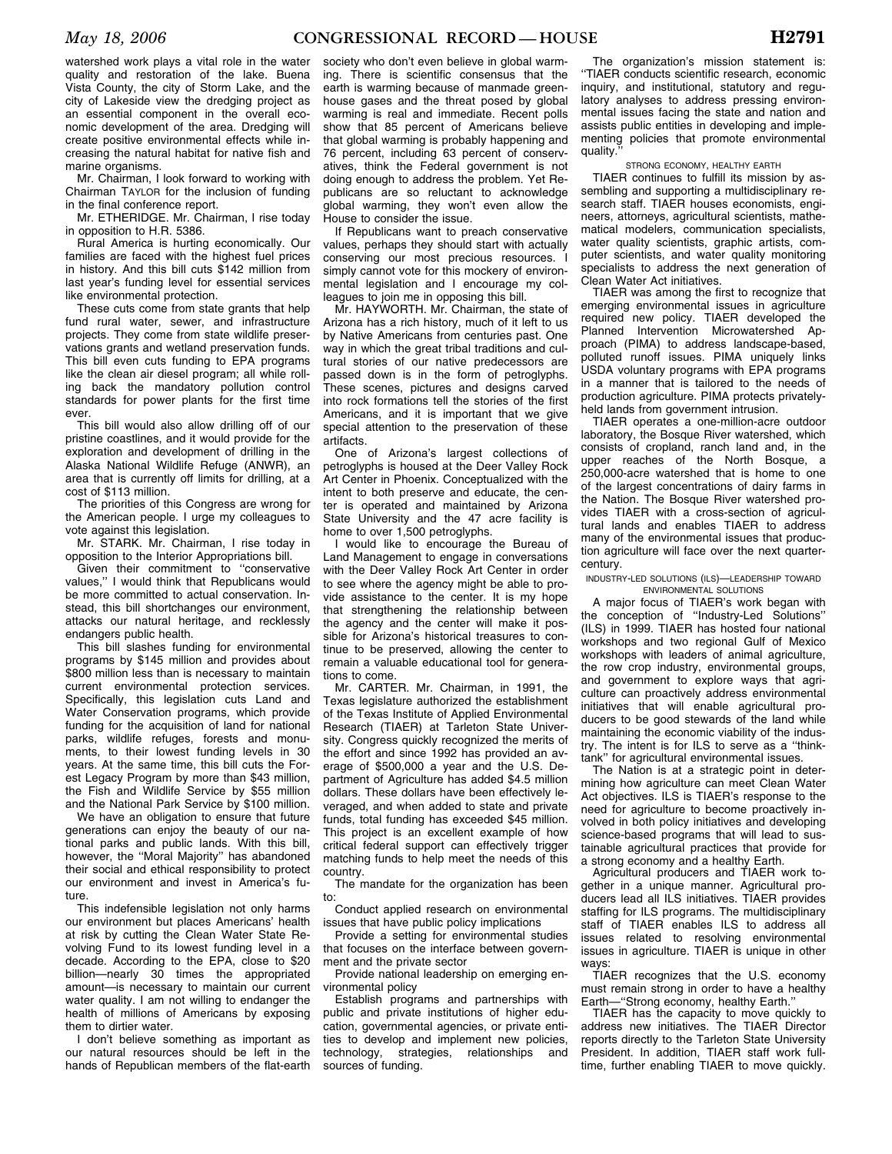watershed work plays a vital role in the water quality and restoration of the lake. Buena Vista County, the city of Storm Lake, and the city of Lakeside view the dredging project as an essential component in the overall economic development of the area. Dredging will create positive environmental effects while increasing the natural habitat for native fish and marine organisms.

Mr. Chairman, I look forward to working with Chairman TAYLOR for the inclusion of funding in the final conference report.

Mr. ETHERIDGE. Mr. Chairman, I rise today in opposition to H.R. 5386.

Rural America is hurting economically. Our families are faced with the highest fuel prices in history. And this bill cuts \$142 million from last year's funding level for essential services like environmental protection.

These cuts come from state grants that help fund rural water, sewer, and infrastructure projects. They come from state wildlife preservations grants and wetland preservation funds. This bill even cuts funding to EPA programs like the clean air diesel program; all while rolling back the mandatory pollution control standards for power plants for the first time ever.

This bill would also allow drilling off of our pristine coastlines, and it would provide for the exploration and development of drilling in the Alaska National Wildlife Refuge (ANWR), an area that is currently off limits for drilling, at a cost of \$113 million.

The priorities of this Congress are wrong for the American people. I urge my colleagues to vote against this legislation.

Mr. STARK. Mr. Chairman, I rise today in opposition to the Interior Appropriations bill.

Given their commitment to ''conservative values,'' I would think that Republicans would be more committed to actual conservation. Instead, this bill shortchanges our environment, attacks our natural heritage, and recklessly endangers public health.

This bill slashes funding for environmental programs by \$145 million and provides about \$800 million less than is necessary to maintain current environmental protection services. Specifically, this legislation cuts Land and Water Conservation programs, which provide funding for the acquisition of land for national parks, wildlife refuges, forests and monuments, to their lowest funding levels in 30 years. At the same time, this bill cuts the Forest Legacy Program by more than \$43 million, the Fish and Wildlife Service by \$55 million and the National Park Service by \$100 million.

We have an obligation to ensure that future generations can enjoy the beauty of our national parks and public lands. With this bill, however, the ''Moral Majority'' has abandoned their social and ethical responsibility to protect our environment and invest in America's future.

This indefensible legislation not only harms our environment but places Americans' health at risk by cutting the Clean Water State Revolving Fund to its lowest funding level in a decade. According to the EPA, close to \$20 billion—nearly 30 times the appropriated amount—is necessary to maintain our current water quality. I am not willing to endanger the health of millions of Americans by exposing them to dirtier water.

I don't believe something as important as our natural resources should be left in the hands of Republican members of the flat-earth

society who don't even believe in global warming. There is scientific consensus that the earth is warming because of manmade greenhouse gases and the threat posed by global warming is real and immediate. Recent polls show that 85 percent of Americans believe that global warming is probably happening and 76 percent, including 63 percent of conservatives, think the Federal government is not doing enough to address the problem. Yet Republicans are so reluctant to acknowledge global warming, they won't even allow the House to consider the issue.

If Republicans want to preach conservative values, perhaps they should start with actually conserving our most precious resources. I simply cannot vote for this mockery of environmental legislation and I encourage my colleagues to join me in opposing this bill.

Mr. HAYWORTH. Mr. Chairman, the state of Arizona has a rich history, much of it left to us by Native Americans from centuries past. One way in which the great tribal traditions and cultural stories of our native predecessors are passed down is in the form of petroglyphs. These scenes, pictures and designs carved into rock formations tell the stories of the first Americans, and it is important that we give special attention to the preservation of these artifacts.

One of Arizona's largest collections of petroglyphs is housed at the Deer Valley Rock Art Center in Phoenix. Conceptualized with the intent to both preserve and educate, the center is operated and maintained by Arizona State University and the 47 acre facility is home to over 1,500 petroglyphs.

I would like to encourage the Bureau of Land Management to engage in conversations with the Deer Valley Rock Art Center in order to see where the agency might be able to provide assistance to the center. It is my hope that strengthening the relationship between the agency and the center will make it possible for Arizona's historical treasures to continue to be preserved, allowing the center to remain a valuable educational tool for generations to come.

Mr. CARTER. Mr. Chairman, in 1991, the Texas legislature authorized the establishment of the Texas Institute of Applied Environmental Research (TIAER) at Tarleton State University. Congress quickly recognized the merits of the effort and since 1992 has provided an average of \$500,000 a year and the U.S. Department of Agriculture has added \$4.5 million dollars. These dollars have been effectively leveraged, and when added to state and private funds, total funding has exceeded \$45 million. This project is an excellent example of how critical federal support can effectively trigger matching funds to help meet the needs of this country.

The mandate for the organization has been to:

Conduct applied research on environmental issues that have public policy implications

Provide a setting for environmental studies that focuses on the interface between government and the private sector

Provide national leadership on emerging environmental policy

Establish programs and partnerships with public and private institutions of higher education, governmental agencies, or private entities to develop and implement new policies, technology, strategies, relationships and sources of funding.

The organization's mission statement is: ''TlAER conducts scientific research, economic inquiry, and institutional, statutory and regulatory analyses to address pressing environmental issues facing the state and nation and assists public entities in developing and implementing policies that promote environmental quality.

## STRONG ECONOMY, HEALTHY EARTH

TIAER continues to fulfill its mission by assembling and supporting a multidisciplinary research staff. TIAER houses economists, engineers, attorneys, agricultural scientists, mathematical modelers, communication specialists, water quality scientists, graphic artists, computer scientists, and water quality monitoring specialists to address the next generation of Clean Water Act initiatives.

TIAER was among the first to recognize that emerging environmental issues in agriculture required new policy. TIAER developed the Planned Intervention Microwatershed Approach (PIMA) to address landscape-based, polluted runoff issues. PIMA uniquely links USDA voluntary programs with EPA programs in a manner that is tailored to the needs of production agriculture. PIMA protects privatelyheld lands from government intrusion.

TIAER operates a one-million-acre outdoor laboratory, the Bosque River watershed, which consists of cropland, ranch land and, in the upper reaches of the North Bosque, a 250,000-acre watershed that is home to one of the largest concentrations of dairy farms in the Nation. The Bosque River watershed provides TIAER with a cross-section of agricultural lands and enables TIAER to address many of the environmental issues that production agriculture will face over the next quartercentury.

## INDUSTRY-LED SOLUTIONS (ILS)—LEADERSHIP TOWARD ENVIRONMENTAL SOLUTIONS

A major focus of TIAER's work began with the conception of ''Industry-Led Solutions'' (ILS) in 1999. TIAER has hosted four national workshops and two regional Gulf of Mexico workshops with leaders of animal agriculture, the row crop industry, environmental groups, and government to explore ways that agriculture can proactively address environmental initiatives that will enable agricultural producers to be good stewards of the land while maintaining the economic viability of the industry. The intent is for ILS to serve as a ''thinktank'' for agricultural environmental issues.

The Nation is at a strategic point in determining how agriculture can meet Clean Water Act objectives. ILS is TIAER's response to the need for agriculture to become proactively involved in both policy initiatives and developing science-based programs that will lead to sustainable agricultural practices that provide for a strong economy and a healthy Earth.

Agricultural producers and TIAER work together in a unique manner. Agricultural producers lead all ILS initiatives. TIAER provides staffing for ILS programs. The multidisciplinary staff of TIAER enables ILS to address all issues related to resolving environmental issues in agriculture. TIAER is unique in other ways:

TIAER recognizes that the U.S. economy must remain strong in order to have a healthy Earth—''Strong economy, healthy Earth.''

TIAER has the capacity to move quickly to address new initiatives. The TIAER Director reports directly to the Tarleton State University President. In addition, TIAER staff work fulltime, further enabling TIAER to move quickly.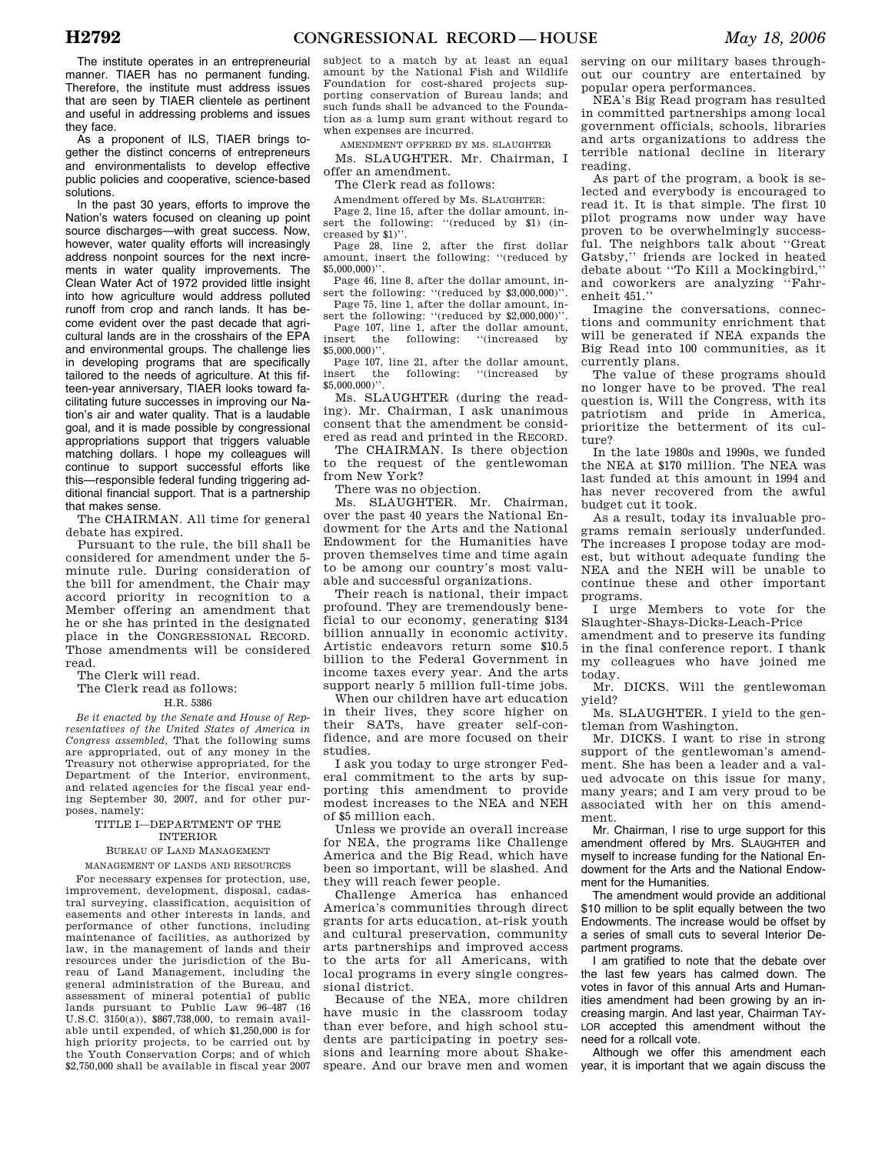The institute operates in an entrepreneurial manner. TIAER has no permanent funding. Therefore, the institute must address issues that are seen by TIAER clientele as pertinent and useful in addressing problems and issues they face.

As a proponent of ILS, TIAER brings together the distinct concerns of entrepreneurs and environmentalists to develop effective public policies and cooperative, science-based solutions.

In the past 30 years, efforts to improve the Nation's waters focused on cleaning up point source discharges—with great success. Now, however, water quality efforts will increasingly address nonpoint sources for the next increments in water quality improvements. The Clean Water Act of 1972 provided little insight into how agriculture would address polluted runoff from crop and ranch lands. It has become evident over the past decade that agricultural lands are in the crosshairs of the EPA and environmental groups. The challenge lies in developing programs that are specifically tailored to the needs of agriculture. At this fifteen-year anniversary, TIAER looks toward facilitating future successes in improving our Nation's air and water quality. That is a laudable goal, and it is made possible by congressional appropriations support that triggers valuable matching dollars. I hope my colleagues will continue to support successful efforts like this—responsible federal funding triggering additional financial support. That is a partnership that makes sense.

The CHAIRMAN. All time for general debate has expired.

Pursuant to the rule, the bill shall be considered for amendment under the 5 minute rule. During consideration of the bill for amendment, the Chair may accord priority in recognition to a Member offering an amendment that he or she has printed in the designated place in the CONGRESSIONAL RECORD. Those amendments will be considered read.

The Clerk will read.

The Clerk read as follows: H.R. 5386

*Be it enacted by the Senate and House of Representatives of the United States of America in Congress assembled,* That the following sums are appropriated, out of any money in the Treasury not otherwise appropriated, for the Department of the Interior, environment, and related agencies for the fiscal year ending September 30, 2007, and for other purposes, namely:

## TITLE I—DEPARTMENT OF THE INTERIOR

# BUREAU OF LAND MANAGEMENT

MANAGEMENT OF LANDS AND RESOURCES

For necessary expenses for protection, use, improvement, development, disposal, cadastral surveying, classification, acquisition of easements and other interests in lands, and performance of other functions, including maintenance of facilities, as authorized by law, in the management of lands and their resources under the jurisdiction of the Bureau of Land Management, including the general administration of the Bureau, and assessment of mineral potential of public lands pursuant to Public Law 96–487 (16 U.S.C. 3150(a)), \$867,738,000, to remain available until expended, of which \$1,250,000 is for high priority projects, to be carried out by the Youth Conservation Corps; and of which \$2,750,000 shall be available in fiscal year 2007

subject to a match by at least an equal amount by the National Fish and Wildlife Foundation for cost-shared projects supporting conservation of Bureau lands; and such funds shall be advanced to the Foundation as a lump sum grant without regard to when expenses are incurred.

AMENDMENT OFFERED BY MS. SLAUGHTER Ms. SLAUGHTER. Mr. Chairman, I offer an amendment.

The Clerk read as follows:

Amendment offered by Ms. SLAUGHTER:

Page 2, line 15, after the dollar amount, insert the following: "(reduced by \$1) (increased by \$1)''.

Page 28, line 2, after the first dollar amount, insert the following: ''(reduced by \$5,000,000)''.

Page 46, line 8, after the dollar amount, insert the following: ''(reduced by \$3,000,000)''. Page 75, line 1, after the dollar amount, in-

sert the following: ''(reduced by \$2,000,000)''. Page 107, line 1, after the dollar amount,<br>insert the following: "(increased by following:  $$5,000,000$ <sup>"</sup>.

Page 107, line 21, after the dollar amount,<br>insert the following: "(increased by the following: \$5,000,000)''.

Ms. SLAUGHTER (during the reading). Mr. Chairman, I ask unanimous consent that the amendment be considered as read and printed in the RECORD.

The CHAIRMAN. Is there objection to the request of the gentlewoman from New York?

There was no objection.

Ms. SLAUGHTER. Mr. Chairman, over the past 40 years the National Endowment for the Arts and the National Endowment for the Humanities have proven themselves time and time again to be among our country's most valuable and successful organizations.

Their reach is national, their impact profound. They are tremendously beneficial to our economy, generating \$134 billion annually in economic activity. Artistic endeavors return some \$10.5 billion to the Federal Government in income taxes every year. And the arts support nearly 5 million full-time jobs.

When our children have art education in their lives, they score higher on their SATs, have greater self-confidence, and are more focused on their studies.

I ask you today to urge stronger Federal commitment to the arts by supporting this amendment to provide modest increases to the NEA and NEH of \$5 million each.

Unless we provide an overall increase for NEA, the programs like Challenge America and the Big Read, which have been so important, will be slashed. And they will reach fewer people.

Challenge America has enhanced America's communities through direct grants for arts education, at-risk youth and cultural preservation, community arts partnerships and improved access to the arts for all Americans, with local programs in every single congressional district.

Because of the NEA, more children have music in the classroom today than ever before, and high school students are participating in poetry sessions and learning more about Shakespeare. And our brave men and women

serving on our military bases throughout our country are entertained by popular opera performances.

NEA's Big Read program has resulted in committed partnerships among local government officials, schools, libraries and arts organizations to address the terrible national decline in literary reading.

As part of the program, a book is selected and everybody is encouraged to read it. It is that simple. The first 10 pilot programs now under way have proven to be overwhelmingly successful. The neighbors talk about ''Great Gatsby,'' friends are locked in heated debate about ''To Kill a Mockingbird,'' and coworkers are analyzing ''Fahrenheit 451.''

Imagine the conversations, connections and community enrichment that will be generated if NEA expands the Big Read into 100 communities, as it currently plans.

The value of these programs should no longer have to be proved. The real question is, Will the Congress, with its patriotism and pride in America, prioritize the betterment of its culture?

In the late 1980s and 1990s, we funded the NEA at \$170 million. The NEA was last funded at this amount in 1994 and has never recovered from the awful budget cut it took.

As a result, today its invaluable programs remain seriously underfunded. The increases I propose today are modest, but without adequate funding the NEA and the NEH will be unable to continue these and other important programs.

I urge Members to vote for the Slaughter-Shays-Dicks-Leach-Price

amendment and to preserve its funding in the final conference report. I thank my colleagues who have joined me today.

Mr. DICKS. Will the gentlewoman yield?

Ms. SLAUGHTER. I yield to the gentleman from Washington.

Mr. DICKS. I want to rise in strong support of the gentlewoman's amendment. She has been a leader and a valued advocate on this issue for many, many years; and I am very proud to be associated with her on this amendment.

Mr. Chairman, I rise to urge support for this amendment offered by Mrs. SLAUGHTER and myself to increase funding for the National Endowment for the Arts and the National Endowment for the Humanities.

The amendment would provide an additional \$10 million to be split equally between the two Endowments. The increase would be offset by a series of small cuts to several Interior Department programs.

I am gratified to note that the debate over the last few years has calmed down. The votes in favor of this annual Arts and Humanities amendment had been growing by an increasing margin. And last year, Chairman TAY-LOR accepted this amendment without the need for a rollcall vote.

Although we offer this amendment each year, it is important that we again discuss the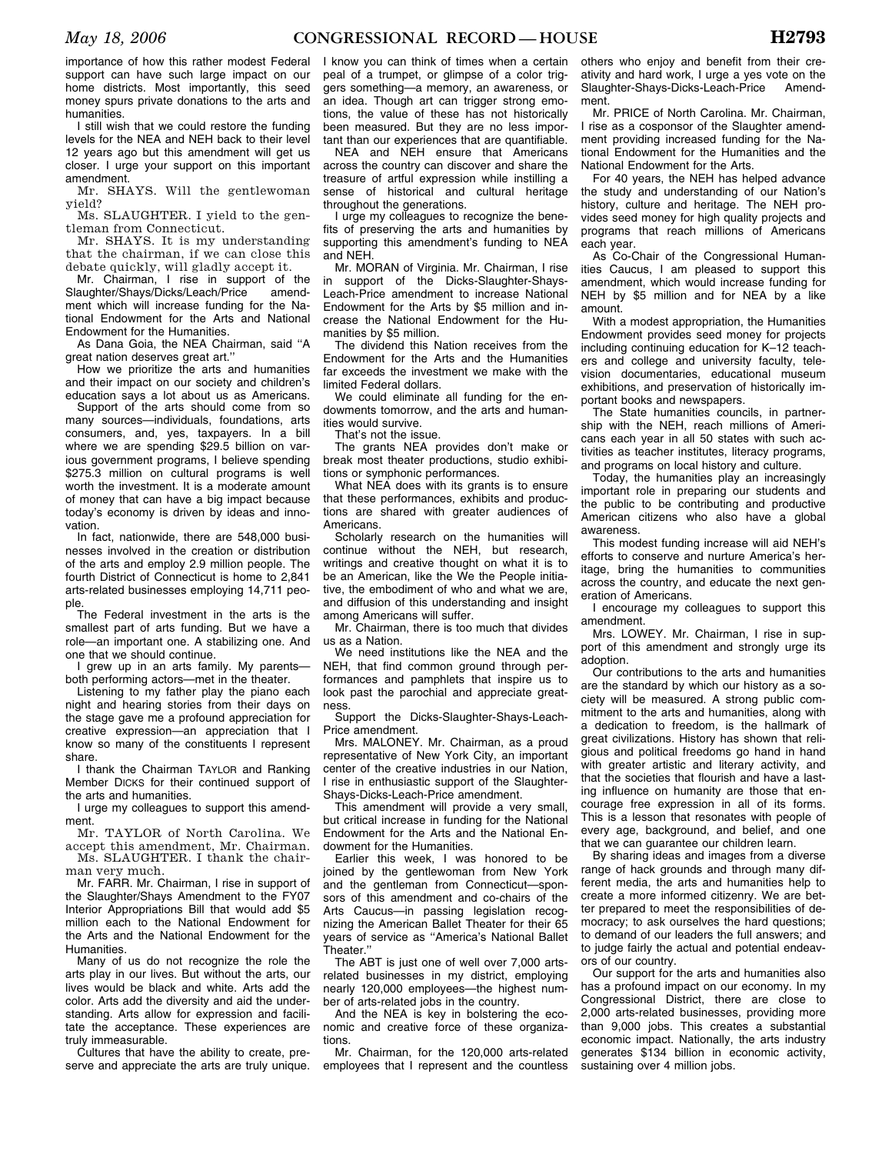importance of how this rather modest Federal support can have such large impact on our home districts. Most importantly, this seed money spurs private donations to the arts and humanities.

I still wish that we could restore the funding levels for the NEA and NEH back to their level 12 years ago but this amendment will get us closer. I urge your support on this important amendment.

Mr. SHAYS. Will the gentlewoman yield?

Ms. SLAUGHTER. I yield to the gentleman from Connecticut.

Mr. SHAYS. It is my understanding that the chairman, if we can close this debate quickly, will gladly accept it.

Mr. Chairman, I rise in support of the Slaughter/Shays/Dicks/Leach/Price amendment which will increase funding for the National Endowment for the Arts and National Endowment for the Humanities.

As Dana Goia, the NEA Chairman, said ''A great nation deserves great art.''

How we prioritize the arts and humanities and their impact on our society and children's education says a lot about us as Americans.

Support of the arts should come from so many sources—individuals, foundations, arts consumers, and, yes, taxpayers. In a bill where we are spending \$29.5 billion on various government programs, I believe spending \$275.3 million on cultural programs is well worth the investment. It is a moderate amount of money that can have a big impact because today's economy is driven by ideas and innovation.

In fact, nationwide, there are 548,000 businesses involved in the creation or distribution of the arts and employ 2.9 million people. The fourth District of Connecticut is home to 2,841 arts-related businesses employing 14,711 people.

The Federal investment in the arts is the smallest part of arts funding. But we have a role—an important one. A stabilizing one. And one that we should continue.

I grew up in an arts family. My parents both performing actors—met in the theater.

Listening to my father play the piano each night and hearing stories from their days on the stage gave me a profound appreciation for creative expression—an appreciation that I know so many of the constituents I represent share.

I thank the Chairman TAYLOR and Ranking Member DICKS for their continued support of the arts and humanities.

I urge my colleagues to support this amendment.

Mr. TAYLOR of North Carolina. We accept this amendment, Mr. Chairman. Ms. SLAUGHTER. I thank the chair-

man very much. Mr. FARR. Mr. Chairman, I rise in support of

the Slaughter/Shays Amendment to the FY07 Interior Appropriations Bill that would add \$5 million each to the National Endowment for the Arts and the National Endowment for the Humanities.

Many of us do not recognize the role the arts play in our lives. But without the arts, our lives would be black and white. Arts add the color. Arts add the diversity and aid the understanding. Arts allow for expression and facilitate the acceptance. These experiences are truly immeasurable.

Cultures that have the ability to create, preserve and appreciate the arts are truly unique.

I know you can think of times when a certain peal of a trumpet, or glimpse of a color triggers something—a memory, an awareness, or an idea. Though art can trigger strong emotions, the value of these has not historically been measured. But they are no less important than our experiences that are quantifiable.

NEA and NEH ensure that Americans across the country can discover and share the treasure of artful expression while instilling a sense of historical and cultural heritage throughout the generations.

I urge my colleagues to recognize the benefits of preserving the arts and humanities by supporting this amendment's funding to NEA and NEH.

Mr. MORAN of Virginia. Mr. Chairman, I rise in support of the Dicks-Slaughter-Shays-Leach-Price amendment to increase National Endowment for the Arts by \$5 million and increase the National Endowment for the Humanities by \$5 million.

The dividend this Nation receives from the Endowment for the Arts and the Humanities far exceeds the investment we make with the limited Federal dollars.

We could eliminate all funding for the endowments tomorrow, and the arts and humanities would survive.

That's not the issue.

The grants NEA provides don't make or break most theater productions, studio exhibitions or symphonic performances.

What NEA does with its grants is to ensure that these performances, exhibits and productions are shared with greater audiences of Americans.

Scholarly research on the humanities will continue without the NEH, but research, writings and creative thought on what it is to be an American, like the We the People initiative, the embodiment of who and what we are, and diffusion of this understanding and insight among Americans will suffer.

Mr. Chairman, there is too much that divides us as a Nation.

We need institutions like the NEA and the NEH, that find common ground through performances and pamphlets that inspire us to look past the parochial and appreciate greatness.

Support the Dicks-Slaughter-Shays-Leach-Price amendment.

Mrs. MALONEY. Mr. Chairman, as a proud representative of New York City, an important center of the creative industries in our Nation, I rise in enthusiastic support of the Slaughter-Shays-Dicks-Leach-Price amendment.

This amendment will provide a very small, but critical increase in funding for the National Endowment for the Arts and the National Endowment for the Humanities.

Earlier this week, I was honored to be joined by the gentlewoman from New York and the gentleman from Connecticut—sponsors of this amendment and co-chairs of the Arts Caucus—in passing legislation recognizing the American Ballet Theater for their 65 years of service as ''America's National Ballet Theater."

The ABT is just one of well over 7,000 artsrelated businesses in my district, employing nearly 120,000 employees—the highest number of arts-related jobs in the country.

And the NEA is key in bolstering the economic and creative force of these organizations.

Mr. Chairman, for the 120,000 arts-related employees that I represent and the countless others who enjoy and benefit from their creativity and hard work, I urge a yes vote on the Slaughter-Shays-Dicks-Leach-Price Amendment.

Mr. PRICE of North Carolina. Mr. Chairman, I rise as a cosponsor of the Slaughter amendment providing increased funding for the National Endowment for the Humanities and the National Endowment for the Arts.

For 40 years, the NEH has helped advance the study and understanding of our Nation's history, culture and heritage. The NEH provides seed money for high quality projects and programs that reach millions of Americans each year.

As Co-Chair of the Congressional Humanities Caucus, I am pleased to support this amendment, which would increase funding for NEH by \$5 million and for NEA by a like amount.

With a modest appropriation, the Humanities Endowment provides seed money for projects including continuing education for K–12 teachers and college and university faculty, television documentaries, educational museum exhibitions, and preservation of historically important books and newspapers.

The State humanities councils, in partnership with the NEH, reach millions of Americans each year in all 50 states with such activities as teacher institutes, literacy programs, and programs on local history and culture.

Today, the humanities play an increasingly important role in preparing our students and the public to be contributing and productive American citizens who also have a global awareness.

This modest funding increase will aid NEH's efforts to conserve and nurture America's heritage, bring the humanities to communities across the country, and educate the next generation of Americans.

I encourage my colleagues to support this amendment.

Mrs. LOWEY. Mr. Chairman, I rise in support of this amendment and strongly urge its adoption.

Our contributions to the arts and humanities are the standard by which our history as a society will be measured. A strong public commitment to the arts and humanities, along with a dedication to freedom, is the hallmark of great civilizations. History has shown that religious and political freedoms go hand in hand with greater artistic and literary activity, and that the societies that flourish and have a lasting influence on humanity are those that encourage free expression in all of its forms. This is a lesson that resonates with people of every age, background, and belief, and one that we can guarantee our children learn.

By sharing ideas and images from a diverse range of hack grounds and through many different media, the arts and humanities help to create a more informed citizenry. We are better prepared to meet the responsibilities of democracy; to ask ourselves the hard questions; to demand of our leaders the full answers; and to judge fairly the actual and potential endeavors of our country.

Our support for the arts and humanities also has a profound impact on our economy. In my Congressional District, there are close to 2,000 arts-related businesses, providing more than 9,000 jobs. This creates a substantial economic impact. Nationally, the arts industry generates \$134 billion in economic activity, sustaining over 4 million jobs.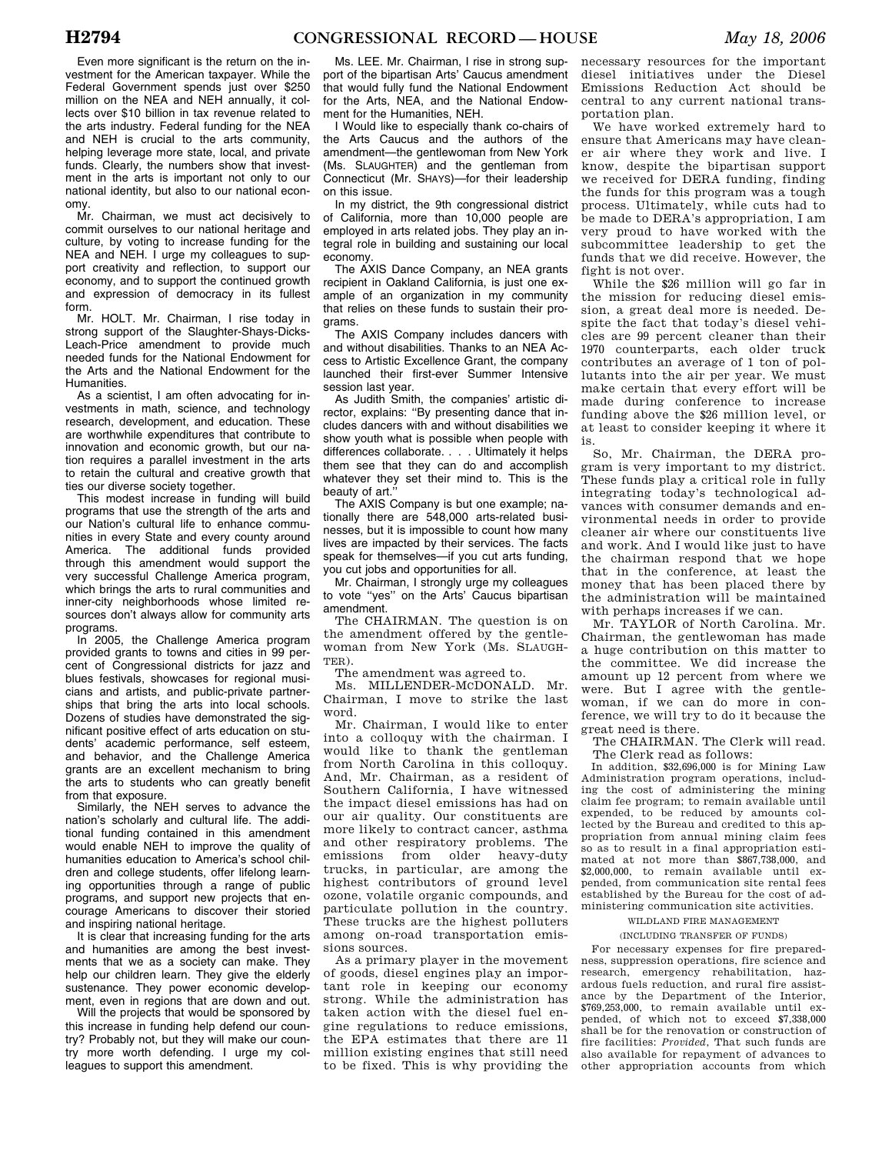Even more significant is the return on the investment for the American taxpayer. While the Federal Government spends just over \$250 million on the NEA and NEH annually, it collects over \$10 billion in tax revenue related to the arts industry. Federal funding for the NEA and NEH is crucial to the arts community, helping leverage more state, local, and private funds. Clearly, the numbers show that investment in the arts is important not only to our national identity, but also to our national economy.

Mr. Chairman, we must act decisively to commit ourselves to our national heritage and culture, by voting to increase funding for the NEA and NEH. I urge my colleagues to support creativity and reflection, to support our economy, and to support the continued growth and expression of democracy in its fullest form.

Mr. HOLT. Mr. Chairman, I rise today in strong support of the Slaughter-Shays-Dicks-Leach-Price amendment to provide much needed funds for the National Endowment for the Arts and the National Endowment for the Humanities.

As a scientist, I am often advocating for investments in math, science, and technology research, development, and education. These are worthwhile expenditures that contribute to innovation and economic growth, but our nation requires a parallel investment in the arts to retain the cultural and creative growth that ties our diverse society together.

This modest increase in funding will build programs that use the strength of the arts and our Nation's cultural life to enhance communities in every State and every county around America. The additional funds provided through this amendment would support the very successful Challenge America program, which brings the arts to rural communities and inner-city neighborhoods whose limited resources don't always allow for community arts programs.

In 2005, the Challenge America program provided grants to towns and cities in 99 percent of Congressional districts for jazz and blues festivals, showcases for regional musicians and artists, and public-private partnerships that bring the arts into local schools. Dozens of studies have demonstrated the significant positive effect of arts education on students' academic performance, self esteem, and behavior, and the Challenge America grants are an excellent mechanism to bring the arts to students who can greatly benefit from that exposure.

Similarly, the NEH serves to advance the nation's scholarly and cultural life. The additional funding contained in this amendment would enable NEH to improve the quality of humanities education to America's school children and college students, offer lifelong learning opportunities through a range of public programs, and support new projects that encourage Americans to discover their storied and inspiring national heritage.

It is clear that increasing funding for the arts and humanities are among the best investments that we as a society can make. They help our children learn. They give the elderly sustenance. They power economic development, even in regions that are down and out.

Will the projects that would be sponsored by this increase in funding help defend our country? Probably not, but they will make our country more worth defending. I urge my colleagues to support this amendment.

Ms. LEE. Mr. Chairman, I rise in strong support of the bipartisan Arts' Caucus amendment that would fully fund the National Endowment for the Arts, NEA, and the National Endowment for the Humanities, NEH.

I Would like to especially thank co-chairs of the Arts Caucus and the authors of the amendment—the gentlewoman from New York (Ms. SLAUGHTER) and the gentleman from Connecticut (Mr. SHAYS)—for their leadership on this issue.

In my district, the 9th congressional district of California, more than 10,000 people are employed in arts related jobs. They play an integral role in building and sustaining our local economy.

The AXIS Dance Company, an NEA grants recipient in Oakland California, is just one example of an organization in my community that relies on these funds to sustain their programs.

The AXIS Company includes dancers with and without disabilities. Thanks to an NEA Access to Artistic Excellence Grant, the company launched their first-ever Summer Intensive session last year.

As Judith Smith, the companies' artistic director, explains: ''By presenting dance that includes dancers with and without disabilities we show youth what is possible when people with differences collaborate. . . . Ultimately it helps them see that they can do and accomplish whatever they set their mind to. This is the beauty of art.''

The AXIS Company is but one example; nationally there are 548,000 arts-related businesses, but it is impossible to count how many lives are impacted by their services. The facts speak for themselves—if you cut arts funding, you cut jobs and opportunities for all.

Mr. Chairman, I strongly urge my colleagues to vote ''yes'' on the Arts' Caucus bipartisan amendment.

The CHAIRMAN. The question is on the amendment offered by the gentlewoman from New York (Ms. SLAUGH-TER).

The amendment was agreed to.

Ms. MILLENDER-MCDONALD. Mr. Chairman, I move to strike the last word.

Mr. Chairman, I would like to enter into a colloquy with the chairman. I would like to thank the gentleman from North Carolina in this colloquy. And, Mr. Chairman, as a resident of Southern California, I have witnessed the impact diesel emissions has had on our air quality. Our constituents are more likely to contract cancer, asthma and other respiratory problems. The emissions from older heavy-duty trucks, in particular, are among the highest contributors of ground level ozone, volatile organic compounds, and particulate pollution in the country. These trucks are the highest polluters among on-road transportation emissions sources.

As a primary player in the movement of goods, diesel engines play an important role in keeping our economy strong. While the administration has taken action with the diesel fuel engine regulations to reduce emissions, the EPA estimates that there are 11 million existing engines that still need to be fixed. This is why providing the necessary resources for the important diesel initiatives under the Diesel Emissions Reduction Act should be central to any current national transportation plan.

We have worked extremely hard to ensure that Americans may have cleaner air where they work and live. I know, despite the bipartisan support we received for DERA funding, finding the funds for this program was a tough process. Ultimately, while cuts had to be made to DERA's appropriation, I am very proud to have worked with the subcommittee leadership to get the funds that we did receive. However, the fight is not over.

While the \$26 million will go far in the mission for reducing diesel emission, a great deal more is needed. Despite the fact that today's diesel vehicles are 99 percent cleaner than their 1970 counterparts, each older truck contributes an average of 1 ton of pollutants into the air per year. We must make certain that every effort will be made during conference to increase funding above the \$26 million level, or at least to consider keeping it where it is.

So, Mr. Chairman, the DERA program is very important to my district. These funds play a critical role in fully integrating today's technological advances with consumer demands and environmental needs in order to provide cleaner air where our constituents live and work. And I would like just to have the chairman respond that we hope that in the conference, at least the money that has been placed there by the administration will be maintained with perhaps increases if we can.

Mr. TAYLOR of North Carolina. Mr. Chairman, the gentlewoman has made a huge contribution on this matter to the committee. We did increase the amount up 12 percent from where we were. But I agree with the gentlewoman, if we can do more in conference, we will try to do it because the great need is there.

The CHAIRMAN. The Clerk will read. The Clerk read as follows:

In addition, \$32,696,000 is for Mining Law Administration program operations, including the cost of administering the mining claim fee program; to remain available until expended, to be reduced by amounts collected by the Bureau and credited to this appropriation from annual mining claim fees so as to result in a final appropriation estimated at not more than \$867,738,000, and \$2,000,000, to remain available until expended, from communication site rental fees established by the Bureau for the cost of administering communication site activities.

WILDLAND FIRE MANAGEMENT

# (INCLUDING TRANSFER OF FUNDS)

For necessary expenses for fire preparedness, suppression operations, fire science and research, emergency rehabilitation, hazardous fuels reduction, and rural fire assistance by the Department of the Interior, \$769,253,000, to remain available until expended, of which not to exceed \$7,338,000 shall be for the renovation or construction of fire facilities: *Provided*, That such funds are also available for repayment of advances to other appropriation accounts from which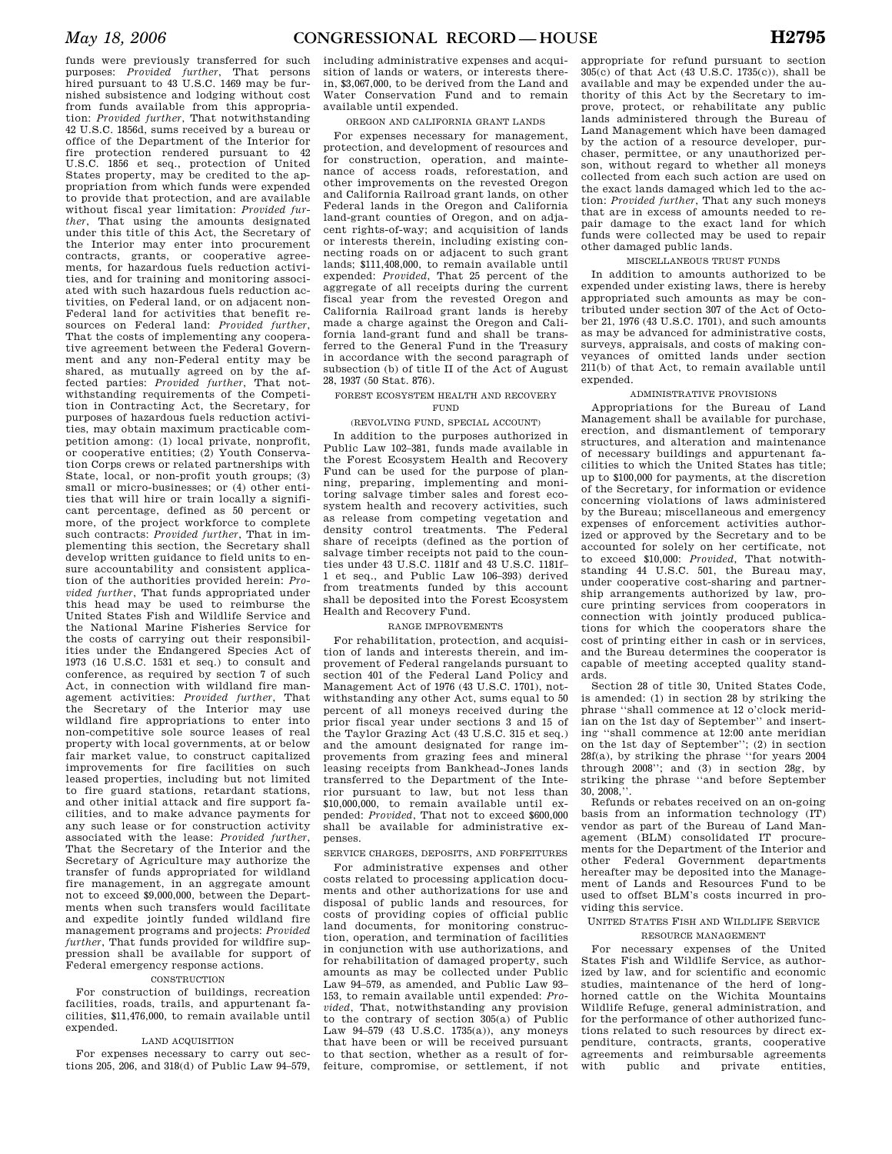funds were previously transferred for such purposes: *Provided further*, That persons hired pursuant to 43 U.S.C. 1469 may be furnished subsistence and lodging without cost from funds available from this appropriation: *Provided further*, That notwithstanding 42 U.S.C. 1856d, sums received by a bureau or office of the Department of the Interior for fire protection rendered pursuant to 42 U.S.C. 1856 et seq., protection of United States property, may be credited to the appropriation from which funds were expended to provide that protection, and are available without fiscal year limitation: *Provided further*, That using the amounts designated under this title of this Act, the Secretary of the Interior may enter into procurement contracts, grants, or cooperative agreements, for hazardous fuels reduction activities, and for training and monitoring associated with such hazardous fuels reduction activities, on Federal land, or on adjacent non-Federal land for activities that benefit resources on Federal land: *Provided further*, That the costs of implementing any cooperative agreement between the Federal Government and any non-Federal entity may be shared, as mutually agreed on by the affected parties: *Provided further*, That notwithstanding requirements of the Competition in Contracting Act, the Secretary, for purposes of hazardous fuels reduction activities, may obtain maximum practicable competition among: (1) local private, nonprofit, or cooperative entities; (2) Youth Conservation Corps crews or related partnerships with State, local, or non-profit youth groups; (3) small or micro-businesses; or (4) other entities that will hire or train locally a significant percentage, defined as 50 percent or more, of the project workforce to complete such contracts: *Provided further*, That in implementing this section, the Secretary shall develop written guidance to field units to ensure accountability and consistent application of the authorities provided herein: *Provided further*, That funds appropriated under this head may be used to reimburse the United States Fish and Wildlife Service and the National Marine Fisheries Service for the costs of carrying out their responsibilities under the Endangered Species Act of 1973 (16 U.S.C. 1531 et seq.) to consult and conference, as required by section 7 of such Act, in connection with wildland fire management activities: *Provided further*, That the Secretary of the Interior may use wildland fire appropriations to enter into non-competitive sole source leases of real property with local governments, at or below fair market value, to construct capitalized improvements for fire facilities on such leased properties, including but not limited to fire guard stations, retardant stations, and other initial attack and fire support facilities, and to make advance payments for any such lease or for construction activity associated with the lease: *Provided further*, That the Secretary of the Interior and the Secretary of Agriculture may authorize the transfer of funds appropriated for wildland fire management, in an aggregate amount not to exceed \$9,000,000, between the Departments when such transfers would facilitate and expedite jointly funded wildland fire management programs and projects: *Provided further*, That funds provided for wildfire suppression shall be available for support of Federal emergency response actions.

#### **CONSTRUCTION**

For construction of buildings, recreation facilities, roads, trails, and appurtenant facilities, \$11,476,000, to remain available until expended.

# LAND ACQUISITION

For expenses necessary to carry out sections 205, 206, and 318(d) of Public Law 94–579, including administrative expenses and acquisition of lands or waters, or interests therein, \$3,067,000, to be derived from the Land and Water Conservation Fund and to remain available until expended.

## OREGON AND CALIFORNIA GRANT LANDS

For expenses necessary for management, protection, and development of resources and for construction, operation, and maintenance of access roads, reforestation, and other improvements on the revested Oregon and California Railroad grant lands, on other Federal lands in the Oregon and California land-grant counties of Oregon, and on adjacent rights-of-way; and acquisition of lands or interests therein, including existing connecting roads on or adjacent to such grant lands; \$111,408,000, to remain available until expended: *Provided*, That 25 percent of the aggregate of all receipts during the current fiscal year from the revested Oregon and California Railroad grant lands is hereby made a charge against the Oregon and California land-grant fund and shall be transferred to the General Fund in the Treasury in accordance with the second paragraph of subsection (b) of title II of the Act of August 28, 1937 (50 Stat. 876).

## FOREST ECOSYSTEM HEALTH AND RECOVERY FUND

# (REVOLVING FUND, SPECIAL ACCOUNT)

In addition to the purposes authorized in Public Law 102–381, funds made available in the Forest Ecosystem Health and Recovery Fund can be used for the purpose of planning, preparing, implementing and monitoring salvage timber sales and forest ecosystem health and recovery activities, such as release from competing vegetation and density control treatments. The Federal share of receipts (defined as the portion of salvage timber receipts not paid to the counties under 43 U.S.C. 1181f and 43 U.S.C. 1181f– 1 et seq., and Public Law 106–393) derived from treatments funded by this account shall be deposited into the Forest Ecosystem Health and Recovery Fund.

## RANGE IMPROVEMENTS

For rehabilitation, protection, and acquisition of lands and interests therein, and improvement of Federal rangelands pursuant to section 401 of the Federal Land Policy and Management Act of 1976 (43 U.S.C. 1701), notwithstanding any other Act, sums equal to 50 percent of all moneys received during the prior fiscal year under sections 3 and 15 of the Taylor Grazing Act (43 U.S.C. 315 et seq.) and the amount designated for range improvements from grazing fees and mineral leasing receipts from Bankhead-Jones lands transferred to the Department of the Interior pursuant to law, but not less than \$10,000,000, to remain available until expended: *Provided*, That not to exceed \$600,000 shall be available for administrative expenses.

## SERVICE CHARGES, DEPOSITS, AND FORFEITURES

For administrative expenses and other costs related to processing application documents and other authorizations for use and disposal of public lands and resources, for costs of providing copies of official public land documents, for monitoring construction, operation, and termination of facilities in conjunction with use authorizations, and for rehabilitation of damaged property, such amounts as may be collected under Public Law 94–579, as amended, and Public Law 93– 153, to remain available until expended: *Provided*, That, notwithstanding any provision to the contrary of section 305(a) of Public Law 94–579 (43 U.S.C. 1735(a)), any moneys that have been or will be received pursuant to that section, whether as a result of forfeiture, compromise, or settlement, if not

appropriate for refund pursuant to section 305(c) of that Act (43 U.S.C. 1735(c)), shall be available and may be expended under the authority of this Act by the Secretary to improve, protect, or rehabilitate any public lands administered through the Bureau of Land Management which have been damaged by the action of a resource developer, purchaser, permittee, or any unauthorized person, without regard to whether all moneys collected from each such action are used on the exact lands damaged which led to the action: *Provided further*, That any such moneys that are in excess of amounts needed to repair damage to the exact land for which funds were collected may be used to repair other damaged public lands.

### MISCELLANEOUS TRUST FUNDS

In addition to amounts authorized to be expended under existing laws, there is hereby appropriated such amounts as may be contributed under section 307 of the Act of October 21, 1976 (43 U.S.C. 1701), and such amounts as may be advanced for administrative costs, surveys, appraisals, and costs of making conveyances of omitted lands under section 211(b) of that Act, to remain available until expended.

## ADMINISTRATIVE PROVISIONS

Appropriations for the Bureau of Land Management shall be available for purchase, erection, and dismantlement of temporary structures, and alteration and maintenance of necessary buildings and appurtenant facilities to which the United States has title; up to \$100,000 for payments, at the discretion of the Secretary, for information or evidence concerning violations of laws administered by the Bureau; miscellaneous and emergency expenses of enforcement activities authorized or approved by the Secretary and to be accounted for solely on her certificate, not to exceed \$10,000: *Provided*, That notwithstanding 44 U.S.C. 501, the Bureau may, under cooperative cost-sharing and partnership arrangements authorized by law, procure printing services from cooperators in connection with jointly produced publications for which the cooperators share the cost of printing either in cash or in services, and the Bureau determines the cooperator is capable of meeting accepted quality standards.

Section 28 of title 30. United States Code is amended: (1) in section 28 by striking the phrase ''shall commence at 12 o'clock meridian on the 1st day of September'' and inserting ''shall commence at 12:00 ante meridian on the 1st day of September''; (2) in section 28f(a), by striking the phrase ''for years 2004 through 2008''; and (3) in section 28g, by striking the phrase "and before September"  $30, 2008$ 

Refunds or rebates received on an on-going basis from an information technology (IT) vendor as part of the Bureau of Land Management (BLM) consolidated IT procurements for the Department of the Interior and other Federal Government departments hereafter may be deposited into the Management of Lands and Resources Fund to be used to offset BLM's costs incurred in providing this service.

# UNITED STATES FISH AND WILDLIFE SERVICE RESOURCE MANAGEMENT

For necessary expenses of the United States Fish and Wildlife Service, as authorized by law, and for scientific and economic studies, maintenance of the herd of longhorned cattle on the Wichita Mountains Wildlife Refuge, general administration, and for the performance of other authorized functions related to such resources by direct expenditure, contracts, grants, cooperative agreements and reimbursable agreements with public and private entities,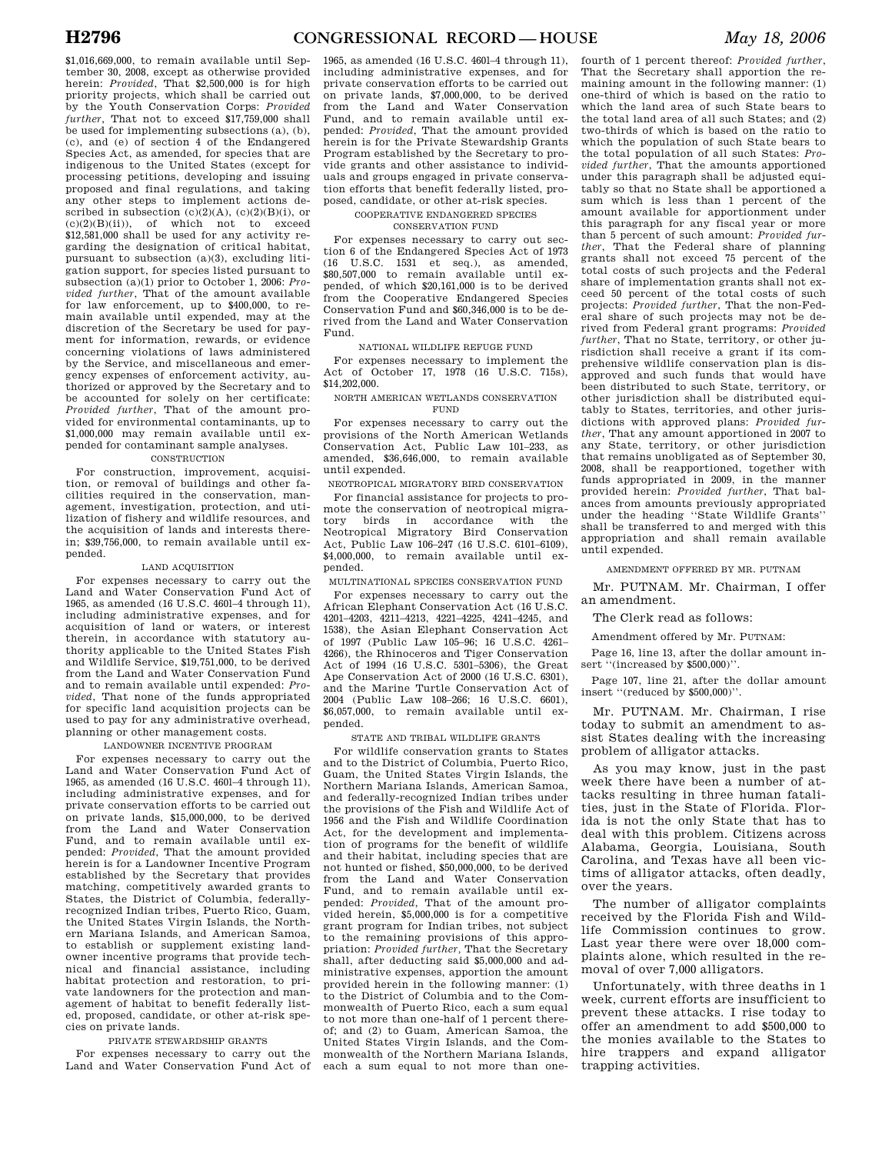\$1,016,669,000, to remain available until September 30, 2008, except as otherwise provided herein: *Provided*, That \$2,500,000 is for high priority projects, which shall be carried out by the Youth Conservation Corps: *Provided further*, That not to exceed \$17,759,000 shall be used for implementing subsections (a), (b), (c), and (e) of section 4 of the Endangered Species Act, as amended, for species that are indigenous to the United States (except for processing petitions, developing and issuing proposed and final regulations, and taking any other steps to implement actions described in subsection  $(c)(2)(A)$ ,  $(c)(2)(B)(i)$ , or  $(c)(2)(B)(ii)$ , of which not to exceed \$12,581,000 shall be used for any activity regarding the designation of critical habitat, pursuant to subsection (a)(3), excluding litigation support, for species listed pursuant to subsection (a)(1) prior to October 1, 2006: *Provided further*, That of the amount available for law enforcement, up to \$400,000, to remain available until expended, may at the discretion of the Secretary be used for payment for information, rewards, or evidence concerning violations of laws administered by the Service, and miscellaneous and emergency expenses of enforcement activity, authorized or approved by the Secretary and to be accounted for solely on her certificate: *Provided further*, That of the amount provided for environmental contaminants, up to \$1,000,000 may remain available until ex-

pended for contaminant sample analyses. CONSTRUCTION

For construction, improvement, acquisition, or removal of buildings and other facilities required in the conservation, management, investigation, protection, and utilization of fishery and wildlife resources, and the acquisition of lands and interests therein; \$39,756,000, to remain available until expended.

## LAND ACQUISITION

For expenses necessary to carry out the Land and Water Conservation Fund Act of 1965, as amended (16 U.S.C. 460l–4 through 11), including administrative expenses, and for acquisition of land or waters, or interest therein, in accordance with statutory authority applicable to the United States Fish and Wildlife Service, \$19,751,000, to be derived from the Land and Water Conservation Fund and to remain available until expended: *Provided*, That none of the funds appropriated for specific land acquisition projects can be used to pay for any administrative overhead, planning or other management costs.

#### LANDOWNER INCENTIVE PROGRAM

For expenses necessary to carry out the Land and Water Conservation Fund Act of 1965, as amended (16 U.S.C. 460l–4 through 11), including administrative expenses, and for private conservation efforts to be carried out on private lands, \$15,000,000, to be derived from the Land and Water Conservation Fund, and to remain available until expended: *Provided*, That the amount provided herein is for a Landowner Incentive Program established by the Secretary that provides matching, competitively awarded grants to States, the District of Columbia, federallyrecognized Indian tribes, Puerto Rico, Guam, the United States Virgin Islands, the Northern Mariana Islands, and American Samoa, to establish or supplement existing landowner incentive programs that provide technical and financial assistance, including habitat protection and restoration, to private landowners for the protection and management of habitat to benefit federally listed, proposed, candidate, or other at-risk species on private lands.

## PRIVATE STEWARDSHIP GRANTS

For expenses necessary to carry out the Land and Water Conservation Fund Act of

1965, as amended (16 U.S.C. 460l–4 through 11), including administrative expenses, and for private conservation efforts to be carried out on private lands, \$7,000,000, to be derived from the Land and Water Conservation Fund, and to remain available until expended: *Provided*, That the amount provided herein is for the Private Stewardship Grants Program established by the Secretary to provide grants and other assistance to individuals and groups engaged in private conservation efforts that benefit federally listed, proposed, candidate, or other at-risk species.

COOPERATIVE ENDANGERED SPECIES

## CONSERVATION FUND

For expenses necessary to carry out section 6 of the Endangered Species Act of 1973  $(16 \text{ U.S.C. } 1531 \text{ et seq.}),$  as amended, \$80,507,000 to remain available until expended, of which \$20,161,000 is to be derived from the Cooperative Endangered Species Conservation Fund and \$60,346,000 is to be derived from the Land and Water Conservation Fund.

## NATIONAL WILDLIFE REFUGE FUND

For expenses necessary to implement the Act of October 17, 1978 (16 U.S.C. 715s), \$14,202,000.

## NORTH AMERICAN WETLANDS CONSERVATION FUND

For expenses necessary to carry out the provisions of the North American Wetlands Conservation Act, Public Law 101–233, as amended, \$36,646,000, to remain available until expended.

NEOTROPICAL MIGRATORY BIRD CONSERVATION

For financial assistance for projects to promote the conservation of neotropical migratory birds in accordance with the Neotropical Migratory Bird Conservation Act, Public Law 106–247 (16 U.S.C. 6101–6109), \$4,000,000, to remain available until expended.

MULTINATIONAL SPECIES CONSERVATION FUND

For expenses necessary to carry out the African Elephant Conservation Act (16 U.S.C. 4201–4203, 4211–4213, 4221–4225, 4241–4245, and 1538), the Asian Elephant Conservation Act of 1997 (Public Law 105–96; 16 U.S.C. 4261– 4266), the Rhinoceros and Tiger Conservation Act of 1994 (16 U.S.C. 5301–5306), the Great Ape Conservation Act of 2000 (16 U.S.C. 6301), and the Marine Turtle Conservation Act of 2004 (Public Law 108–266; 16 U.S.C. 6601), \$6,057,000, to remain available until expended.

## STATE AND TRIBAL WILDLIFE GRANTS

For wildlife conservation grants to States and to the District of Columbia, Puerto Rico, Guam, the United States Virgin Islands, the Northern Mariana Islands, American Samoa, and federally-recognized Indian tribes under the provisions of the Fish and Wildlife Act of 1956 and the Fish and Wildlife Coordination Act, for the development and implementation of programs for the benefit of wildlife and their habitat, including species that are not hunted or fished, \$50,000,000, to be derived from the Land and Water Conservation Fund*,* and to remain available until expended: *Provided*, That of the amount provided herein, \$5,000,000 is for a competitive grant program for Indian tribes, not subject to the remaining provisions of this appropriation: *Provided further,* That the Secretary shall, after deducting said \$5,000,000 and administrative expenses, apportion the amount provided herein in the following manner: (1) to the District of Columbia and to the Commonwealth of Puerto Rico, each a sum equal to not more than one-half of 1 percent thereof; and (2) to Guam, American Samoa, the United States Virgin Islands, and the Commonwealth of the Northern Mariana Islands, each a sum equal to not more than one-

fourth of 1 percent thereof: *Provided further*, That the Secretary shall apportion the remaining amount in the following manner: (1) one-third of which is based on the ratio to which the land area of such State bears to the total land area of all such States; and (2) two-thirds of which is based on the ratio to which the population of such State bears to the total population of all such States: *Provided further*, That the amounts apportioned under this paragraph shall be adjusted equitably so that no State shall be apportioned a sum which is less than 1 percent of the amount available for apportionment under this paragraph for any fiscal year or more than 5 percent of such amount: *Provided further*, That the Federal share of planning grants shall not exceed 75 percent of the total costs of such projects and the Federal share of implementation grants shall not exceed 50 percent of the total costs of such projects: *Provided further*, That the non-Federal share of such projects may not be derived from Federal grant programs: *Provided further*, That no State, territory, or other jurisdiction shall receive a grant if its comprehensive wildlife conservation plan is disapproved and such funds that would have been distributed to such State, territory, or other jurisdiction shall be distributed equitably to States, territories, and other jurisdictions with approved plans: *Provided further*, That any amount apportioned in 2007 to any State, territory, or other jurisdiction that remains unobligated as of September 30, 2008, shall be reapportioned, together with funds appropriated in 2009, in the manner provided herein: *Provided further*, That balances from amounts previously appropriated under the heading ''State Wildlife Grants'' shall be transferred to and merged with this appropriation and shall remain available until expended.

AMENDMENT OFFERED BY MR. PUTNAM

Mr. PUTNAM. Mr. Chairman, I offer an amendment.

#### The Clerk read as follows:

Amendment offered by Mr. PUTNAM:

Page 16, line 13, after the dollar amount insert "(increased by \$500,000)".

Page 107, line 21, after the dollar amount insert ''(reduced by \$500,000)''.

Mr. PUTNAM. Mr. Chairman, I rise today to submit an amendment to assist States dealing with the increasing problem of alligator attacks.

As you may know, just in the past week there have been a number of attacks resulting in three human fatalities, just in the State of Florida. Florida is not the only State that has to deal with this problem. Citizens across Alabama, Georgia, Louisiana, South Carolina, and Texas have all been victims of alligator attacks, often deadly, over the years.

The number of alligator complaints received by the Florida Fish and Wildlife Commission continues to grow. Last year there were over 18,000 complaints alone, which resulted in the removal of over 7,000 alligators.

Unfortunately, with three deaths in 1 week, current efforts are insufficient to prevent these attacks. I rise today to offer an amendment to add \$500,000 to the monies available to the States to hire trappers and expand alligator trapping activities.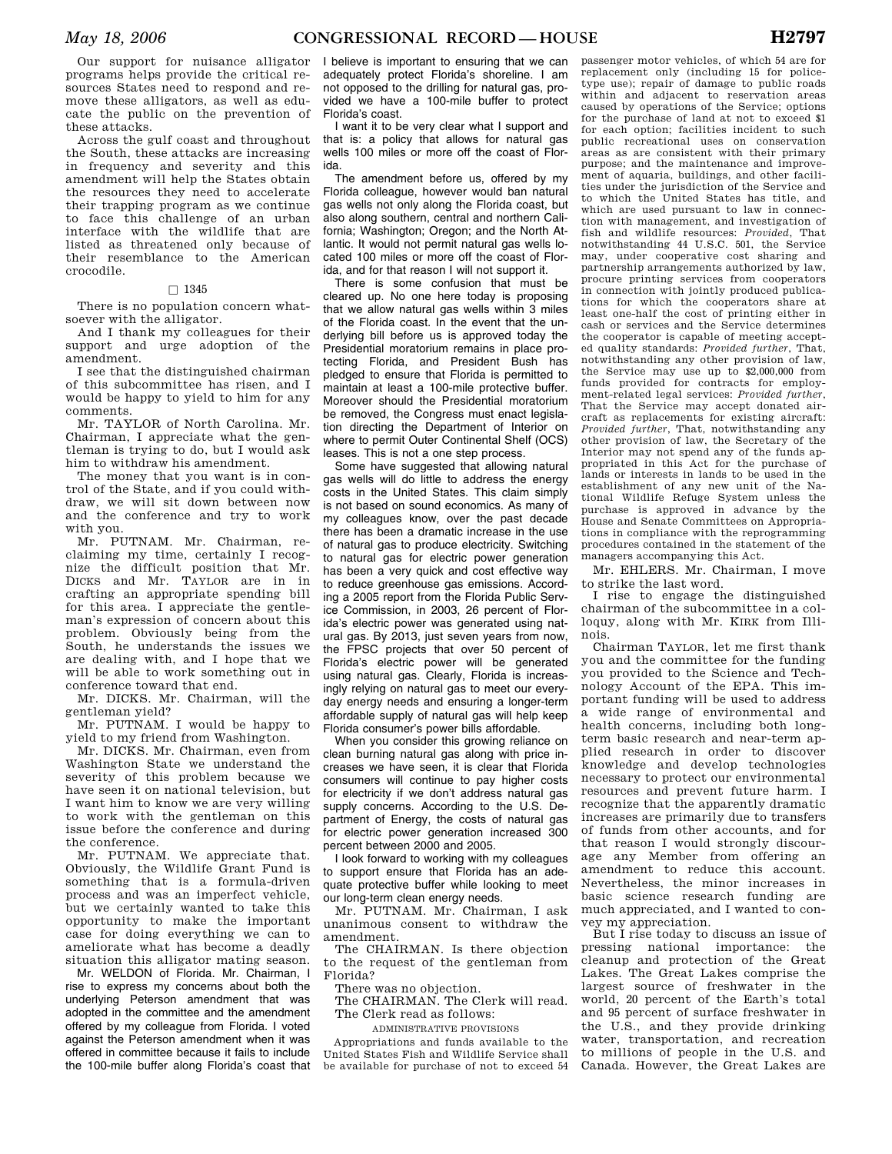Our support for nuisance alligator programs helps provide the critical resources States need to respond and remove these alligators, as well as educate the public on the prevention of these attacks.

Across the gulf coast and throughout the South, these attacks are increasing in frequency and severity and this amendment will help the States obtain the resources they need to accelerate their trapping program as we continue to face this challenge of an urban interface with the wildlife that are listed as threatened only because of their resemblance to the American crocodile.

# $\Box$  1345

There is no population concern whatsoever with the alligator.

And I thank my colleagues for their support and urge adoption of the amendment.

I see that the distinguished chairman of this subcommittee has risen, and I would be happy to yield to him for any comments.

Mr. TAYLOR of North Carolina. Mr. Chairman, I appreciate what the gentleman is trying to do, but I would ask him to withdraw his amendment.

The money that you want is in control of the State, and if you could withdraw, we will sit down between now and the conference and try to work with you.

Mr. PUTNAM. Mr. Chairman, reclaiming my time, certainly I recognize the difficult position that Mr. DICKS and Mr. TAYLOR are in in crafting an appropriate spending bill for this area. I appreciate the gentleman's expression of concern about this problem. Obviously being from the South, he understands the issues we are dealing with, and I hope that we will be able to work something out in conference toward that end.

Mr. DICKS. Mr. Chairman, will the gentleman yield?

Mr. PUTNAM. I would be happy to yield to my friend from Washington.

Mr. DICKS. Mr. Chairman, even from Washington State we understand the severity of this problem because we have seen it on national television, but I want him to know we are very willing to work with the gentleman on this issue before the conference and during the conference.

Mr. PUTNAM. We appreciate that. Obviously, the Wildlife Grant Fund is something that is a formula-driven process and was an imperfect vehicle, but we certainly wanted to take this opportunity to make the important case for doing everything we can to ameliorate what has become a deadly situation this alligator mating season.

Mr. WELDON of Florida. Mr. Chairman, I rise to express my concerns about both the underlying Peterson amendment that was adopted in the committee and the amendment offered by my colleague from Florida. I voted against the Peterson amendment when it was offered in committee because it fails to include the 100-mile buffer along Florida's coast that

I believe is important to ensuring that we can adequately protect Florida's shoreline. I am not opposed to the drilling for natural gas, provided we have a 100-mile buffer to protect Florida's coast.

I want it to be very clear what I support and that is: a policy that allows for natural gas wells 100 miles or more off the coast of Florida.

The amendment before us, offered by my Florida colleague, however would ban natural gas wells not only along the Florida coast, but also along southern, central and northern California; Washington; Oregon; and the North Atlantic. It would not permit natural gas wells located 100 miles or more off the coast of Florida, and for that reason I will not support it.

There is some confusion that must be cleared up. No one here today is proposing that we allow natural gas wells within 3 miles of the Florida coast. In the event that the underlying bill before us is approved today the Presidential moratorium remains in place protecting Florida, and President Bush has pledged to ensure that Florida is permitted to maintain at least a 100-mile protective buffer. Moreover should the Presidential moratorium be removed, the Congress must enact legislation directing the Department of Interior on where to permit Outer Continental Shelf (OCS) leases. This is not a one step process.

Some have suggested that allowing natural gas wells will do little to address the energy costs in the United States. This claim simply is not based on sound economics. As many of my colleagues know, over the past decade there has been a dramatic increase in the use of natural gas to produce electricity. Switching to natural gas for electric power generation has been a very quick and cost effective way to reduce greenhouse gas emissions. According a 2005 report from the Florida Public Service Commission, in 2003, 26 percent of Florida's electric power was generated using natural gas. By 2013, just seven years from now, the FPSC projects that over 50 percent of Florida's electric power will be generated using natural gas. Clearly, Florida is increasingly relying on natural gas to meet our everyday energy needs and ensuring a longer-term affordable supply of natural gas will help keep Florida consumer's power bills affordable.

When you consider this growing reliance on clean burning natural gas along with price increases we have seen, it is clear that Florida consumers will continue to pay higher costs for electricity if we don't address natural gas supply concerns. According to the U.S. Department of Energy, the costs of natural gas for electric power generation increased 300 percent between 2000 and 2005.

I look forward to working with my colleagues to support ensure that Florida has an adequate protective buffer while looking to meet our long-term clean energy needs.

Mr. PUTNAM. Mr. Chairman, I ask unanimous consent to withdraw the amendment.

The CHAIRMAN. Is there objection to the request of the gentleman from Florida?

There was no objection.

The CHAIRMAN. The Clerk will read. The Clerk read as follows:

ADMINISTRATIVE PROVISIONS

Appropriations and funds available to the United States Fish and Wildlife Service shall be available for purchase of not to exceed 54

passenger motor vehicles, of which 54 are for replacement only (including 15 for policetype use); repair of damage to public roads within and adjacent to reservation areas caused by operations of the Service; options for the purchase of land at not to exceed \$1 for each option; facilities incident to such public recreational uses on conservation areas as are consistent with their primary purpose; and the maintenance and improvement of aquaria, buildings, and other facilities under the jurisdiction of the Service and to which the United States has title, and which are used pursuant to law in connection with management, and investigation of fish and wildlife resources: *Provided*, That notwithstanding 44 U.S.C. 501, the Service may, under cooperative cost sharing and partnership arrangements authorized by law, procure printing services from cooperators in connection with jointly produced publications for which the cooperators share at least one-half the cost of printing either in cash or services and the Service determines the cooperator is capable of meeting accepted quality standards: *Provided further*, That, notwithstanding any other provision of law, the Service may use up to \$2,000,000 from funds provided for contracts for employment-related legal services: *Provided further*, That the Service may accept donated aircraft as replacements for existing aircraft: *Provided further*, That, notwithstanding any other provision of law, the Secretary of the Interior may not spend any of the funds appropriated in this Act for the purchase of lands or interests in lands to be used in the establishment of any new unit of the National Wildlife Refuge System unless the purchase is approved in advance by the House and Senate Committees on Appropriations in compliance with the reprogramming procedures contained in the statement of the managers accompanying this Act.

Mr. EHLERS. Mr. Chairman, I move to strike the last word.

I rise to engage the distinguished chairman of the subcommittee in a colloquy, along with Mr. KIRK from Illinois.

Chairman TAYLOR, let me first thank you and the committee for the funding you provided to the Science and Technology Account of the EPA. This important funding will be used to address a wide range of environmental and health concerns, including both longterm basic research and near-term applied research in order to discover knowledge and develop technologies necessary to protect our environmental resources and prevent future harm. I recognize that the apparently dramatic increases are primarily due to transfers of funds from other accounts, and for that reason I would strongly discourage any Member from offering an amendment to reduce this account. Nevertheless, the minor increases in basic science research funding are much appreciated, and I wanted to convey my appreciation.

But I rise today to discuss an issue of pressing national importance: the cleanup and protection of the Great Lakes. The Great Lakes comprise the largest source of freshwater in the world, 20 percent of the Earth's total and 95 percent of surface freshwater in the U.S., and they provide drinking water, transportation, and recreation to millions of people in the U.S. and Canada. However, the Great Lakes are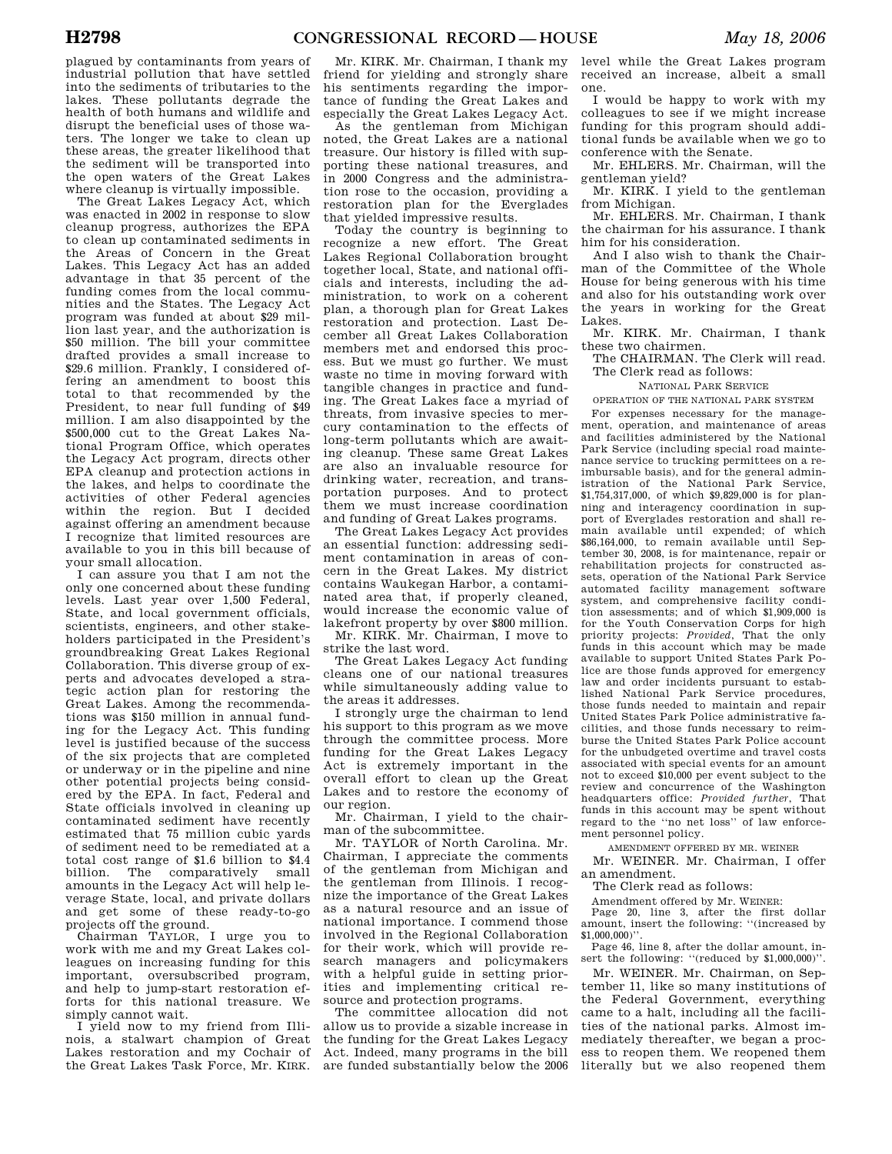plagued by contaminants from years of industrial pollution that have settled into the sediments of tributaries to the lakes. These pollutants degrade the health of both humans and wildlife and disrupt the beneficial uses of those waters. The longer we take to clean up these areas, the greater likelihood that the sediment will be transported into the open waters of the Great Lakes where cleanup is virtually impossible.

The Great Lakes Legacy Act, which was enacted in 2002 in response to slow cleanup progress, authorizes the EPA to clean up contaminated sediments in the Areas of Concern in the Great Lakes. This Legacy Act has an added advantage in that 35 percent of the funding comes from the local communities and the States. The Legacy Act program was funded at about \$29 million last year, and the authorization is \$50 million. The bill your committee drafted provides a small increase to \$29.6 million. Frankly, I considered offering an amendment to boost this total to that recommended by the President, to near full funding of \$49 million. I am also disappointed by the \$500,000 cut to the Great Lakes National Program Office, which operates the Legacy Act program, directs other EPA cleanup and protection actions in the lakes, and helps to coordinate the activities of other Federal agencies within the region. But I decided against offering an amendment because I recognize that limited resources are available to you in this bill because of your small allocation.

I can assure you that I am not the only one concerned about these funding levels. Last year over 1,500 Federal, State, and local government officials, scientists, engineers, and other stakeholders participated in the President's groundbreaking Great Lakes Regional Collaboration. This diverse group of experts and advocates developed a strategic action plan for restoring the Great Lakes. Among the recommendations was \$150 million in annual funding for the Legacy Act. This funding level is justified because of the success of the six projects that are completed or underway or in the pipeline and nine other potential projects being considered by the EPA. In fact, Federal and State officials involved in cleaning up contaminated sediment have recently estimated that 75 million cubic yards of sediment need to be remediated at a total cost range of \$1.6 billion to \$4.4 billion. The comparatively small amounts in the Legacy Act will help leverage State, local, and private dollars and get some of these ready-to-go projects off the ground.

Chairman TAYLOR, I urge you to work with me and my Great Lakes colleagues on increasing funding for this important, oversubscribed program, and help to jump-start restoration efforts for this national treasure. We simply cannot wait.

I yield now to my friend from Illinois, a stalwart champion of Great Lakes restoration and my Cochair of the Great Lakes Task Force, Mr. KIRK.

Mr. KIRK. Mr. Chairman, I thank my friend for yielding and strongly share his sentiments regarding the importance of funding the Great Lakes and especially the Great Lakes Legacy Act.

As the gentleman from Michigan noted, the Great Lakes are a national treasure. Our history is filled with supporting these national treasures, and in 2000 Congress and the administration rose to the occasion, providing a restoration plan for the Everglades that yielded impressive results.

Today the country is beginning to recognize a new effort. The Great Lakes Regional Collaboration brought together local, State, and national officials and interests, including the administration, to work on a coherent plan, a thorough plan for Great Lakes restoration and protection. Last December all Great Lakes Collaboration members met and endorsed this process. But we must go further. We must waste no time in moving forward with tangible changes in practice and funding. The Great Lakes face a myriad of threats, from invasive species to mercury contamination to the effects of long-term pollutants which are awaiting cleanup. These same Great Lakes are also an invaluable resource for drinking water, recreation, and transportation purposes. And to protect them we must increase coordination and funding of Great Lakes programs.

The Great Lakes Legacy Act provides an essential function: addressing sediment contamination in areas of concern in the Great Lakes. My district contains Waukegan Harbor, a contaminated area that, if properly cleaned, would increase the economic value of lakefront property by over \$800 million.

Mr. KIRK. Mr. Chairman, I move to strike the last word.

The Great Lakes Legacy Act funding cleans one of our national treasures while simultaneously adding value to the areas it addresses.

I strongly urge the chairman to lend his support to this program as we move through the committee process. More funding for the Great Lakes Legacy Act is extremely important in the overall effort to clean up the Great Lakes and to restore the economy of our region.

Mr. Chairman, I yield to the chairman of the subcommittee.

Mr. TAYLOR of North Carolina. Mr. Chairman, I appreciate the comments of the gentleman from Michigan and the gentleman from Illinois. I recognize the importance of the Great Lakes as a natural resource and an issue of national importance. I commend those involved in the Regional Collaboration for their work, which will provide research managers and policymakers with a helpful guide in setting priorities and implementing critical resource and protection programs.

The committee allocation did not allow us to provide a sizable increase in the funding for the Great Lakes Legacy Act. Indeed, many programs in the bill are funded substantially below the 2006

level while the Great Lakes program received an increase, albeit a small one.

I would be happy to work with my colleagues to see if we might increase funding for this program should additional funds be available when we go to conference with the Senate.

Mr. EHLERS. Mr. Chairman, will the gentleman yield?

Mr. KIRK. I yield to the gentleman from Michigan.

Mr. EHLERS. Mr. Chairman, I thank the chairman for his assurance. I thank him for his consideration.

And I also wish to thank the Chairman of the Committee of the Whole House for being generous with his time and also for his outstanding work over the years in working for the Great Lakes.

Mr. KIRK. Mr. Chairman, I thank these two chairmen.

The CHAIRMAN. The Clerk will read. The Clerk read as follows:

NATIONAL PARK SERVICE

OPERATION OF THE NATIONAL PARK SYSTEM

For expenses necessary for the management, operation, and maintenance of areas and facilities administered by the National Park Service (including special road maintenance service to trucking permittees on a reimbursable basis), and for the general administration of the National Park Service, \$1,754,317,000, of which \$9,829,000 is for planning and interagency coordination in support of Everglades restoration and shall remain available until expended; of which \$86,164,000, to remain available until September 30, 2008, is for maintenance, repair or rehabilitation projects for constructed assets, operation of the National Park Service automated facility management software system, and comprehensive facility condition assessments; and of which \$1,909,000 is for the Youth Conservation Corps for high priority projects: *Provided*, That the only funds in this account which may be made available to support United States Park Police are those funds approved for emergency law and order incidents pursuant to established National Park Service procedures, those funds needed to maintain and repair United States Park Police administrative facilities, and those funds necessary to reimburse the United States Park Police account for the unbudgeted overtime and travel costs associated with special events for an amount not to exceed \$10,000 per event subject to the review and concurrence of the Washington headquarters office: *Provided further*, That funds in this account may be spent without regard to the ''no net loss'' of law enforcement personnel policy.

AMENDMENT OFFERED BY MR. WEINER

Mr. WEINER. Mr. Chairman, I offer an amendment.

The Clerk read as follows:

Amendment offered by Mr. WEINER:

Page 20, line 3, after the first dollar amount, insert the following: ''(increased by  $$1,000,000$ 

Page 46, line 8, after the dollar amount, insert the following: ''(reduced by \$1,000,000)''.

Mr. WEINER. Mr. Chairman, on September 11, like so many institutions of the Federal Government, everything came to a halt, including all the facilities of the national parks. Almost immediately thereafter, we began a process to reopen them. We reopened them literally but we also reopened them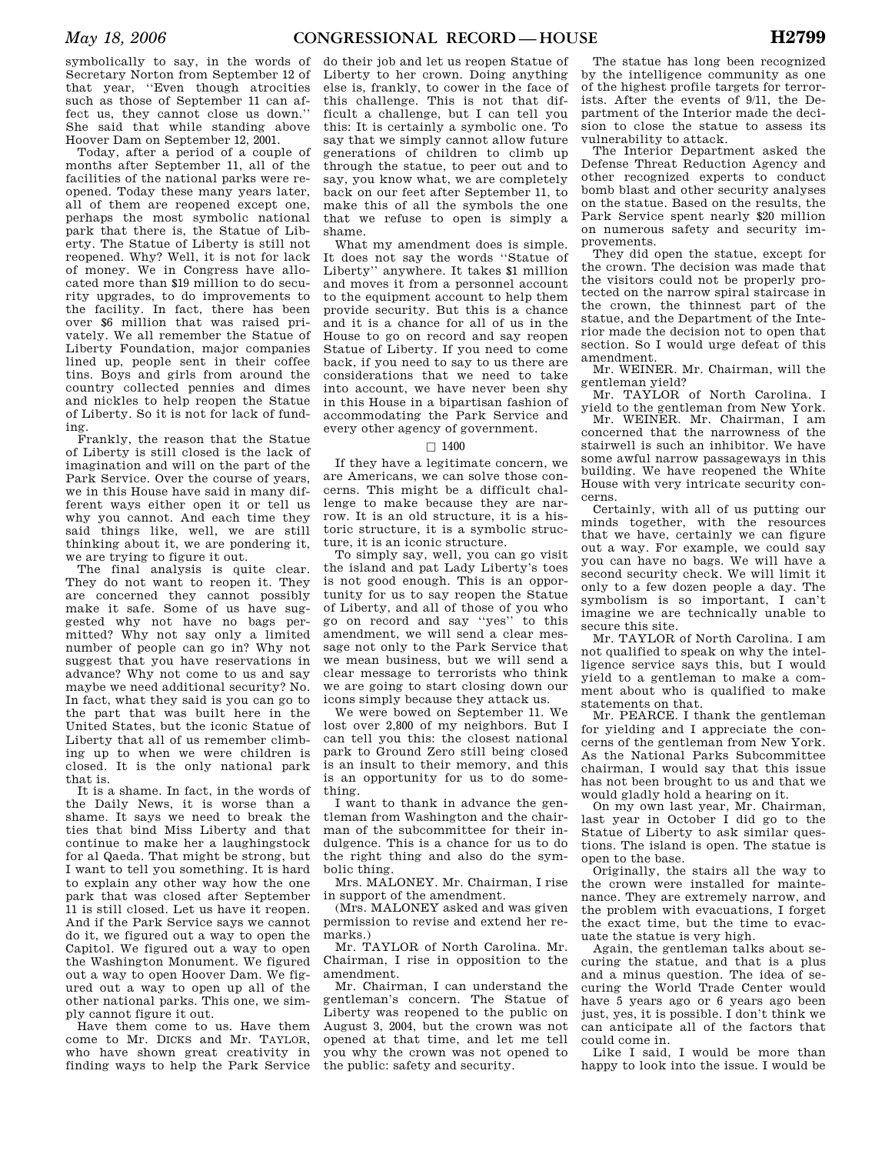symbolically to say, in the words of Secretary Norton from September 12 of that year, ''Even though atrocities such as those of September 11 can affect us, they cannot close us down.'' She said that while standing above Hoover Dam on September 12, 2001.

Today, after a period of a couple of months after September 11, all of the facilities of the national parks were reopened. Today these many years later, all of them are reopened except one, perhaps the most symbolic national park that there is, the Statue of Liberty. The Statue of Liberty is still not reopened. Why? Well, it is not for lack of money. We in Congress have allocated more than \$19 million to do security upgrades, to do improvements to the facility. In fact, there has been over \$6 million that was raised privately. We all remember the Statue of Liberty Foundation, major companies lined up, people sent in their coffee tins. Boys and girls from around the country collected pennies and dimes and nickles to help reopen the Statue of Liberty. So it is not for lack of funding.

Frankly, the reason that the Statue of Liberty is still closed is the lack of imagination and will on the part of the Park Service. Over the course of years, we in this House have said in many different ways either open it or tell us why you cannot. And each time they said things like, well, we are still thinking about it, we are pondering it, we are trying to figure it out.

The final analysis is quite clear. They do not want to reopen it. They are concerned they cannot possibly make it safe. Some of us have suggested why not have no bags permitted? Why not say only a limited number of people can go in? Why not suggest that you have reservations in advance? Why not come to us and say maybe we need additional security? No. In fact, what they said is you can go to the part that was built here in the United States, but the iconic Statue of Liberty that all of us remember climbing up to when we were children is closed. It is the only national park that is.

It is a shame. In fact, in the words of the Daily News, it is worse than a shame. It says we need to break the ties that bind Miss Liberty and that continue to make her a laughingstock for al Qaeda. That might be strong, but I want to tell you something. It is hard to explain any other way how the one park that was closed after September 11 is still closed. Let us have it reopen. And if the Park Service says we cannot do it, we figured out a way to open the Capitol. We figured out a way to open the Washington Monument. We figured out a way to open Hoover Dam. We figured out a way to open up all of the other national parks. This one, we simply cannot figure it out.

Have them come to us. Have them come to Mr. DICKS and Mr. TAYLOR, who have shown great creativity in finding ways to help the Park Service

do their job and let us reopen Statue of Liberty to her crown. Doing anything else is, frankly, to cower in the face of this challenge. This is not that difficult a challenge, but I can tell you this: It is certainly a symbolic one. To say that we simply cannot allow future generations of children to climb up through the statue, to peer out and to say, you know what, we are completely back on our feet after September 11, to make this of all the symbols the one that we refuse to open is simply a shame.

What my amendment does is simple. It does not say the words ''Statue of Liberty'' anywhere. It takes \$1 million and moves it from a personnel account to the equipment account to help them provide security. But this is a chance and it is a chance for all of us in the House to go on record and say reopen Statue of Liberty. If you need to come back, if you need to say to us there are considerations that we need to take into account, we have never been shy in this House in a bipartisan fashion of accommodating the Park Service and every other agency of government.

# $\Box$  1400

If they have a legitimate concern, we are Americans, we can solve those concerns. This might be a difficult challenge to make because they are narrow. It is an old structure, it is a historic structure, it is a symbolic structure, it is an iconic structure.

To simply say, well, you can go visit the island and pat Lady Liberty's toes is not good enough. This is an opportunity for us to say reopen the Statue of Liberty, and all of those of you who go on record and say ''yes'' to this amendment, we will send a clear message not only to the Park Service that we mean business, but we will send a clear message to terrorists who think we are going to start closing down our icons simply because they attack us.

We were bowed on September 11. We lost over 2,800 of my neighbors. But I can tell you this: the closest national park to Ground Zero still being closed is an insult to their memory, and this is an opportunity for us to do something.

I want to thank in advance the gentleman from Washington and the chairman of the subcommittee for their indulgence. This is a chance for us to do the right thing and also do the symbolic thing.

Mrs. MALONEY. Mr. Chairman, I rise in support of the amendment.

(Mrs. MALONEY asked and was given permission to revise and extend her remarks.)

Mr. TAYLOR of North Carolina. Mr. Chairman, I rise in opposition to the amendment.

Mr. Chairman, I can understand the gentleman's concern. The Statue of Liberty was reopened to the public on August 3, 2004, but the crown was not opened at that time, and let me tell you why the crown was not opened to the public: safety and security.

The statue has long been recognized by the intelligence community as one of the highest profile targets for terrorists. After the events of 9/11, the Department of the Interior made the decision to close the statue to assess its vulnerability to attack.

The Interior Department asked the Defense Threat Reduction Agency and other recognized experts to conduct bomb blast and other security analyses on the statue. Based on the results, the Park Service spent nearly \$20 million on numerous safety and security improvements.

They did open the statue, except for the crown. The decision was made that the visitors could not be properly protected on the narrow spiral staircase in the crown, the thinnest part of the statue, and the Department of the Interior made the decision not to open that section. So I would urge defeat of this amendment.

Mr. WEINER. Mr. Chairman, will the gentleman yield?

Mr. TAYLOR of North Carolina. I yield to the gentleman from New York.

Mr. WEINER. Mr. Chairman, I am concerned that the narrowness of the stairwell is such an inhibitor. We have some awful narrow passageways in this building. We have reopened the White House with very intricate security concerns.

Certainly, with all of us putting our minds together, with the resources that we have, certainly we can figure out a way. For example, we could say you can have no bags. We will have a second security check. We will limit it only to a few dozen people a day. The symbolism is so important, I can't imagine we are technically unable to secure this site.

Mr. TAYLOR of North Carolina. I am not qualified to speak on why the intelligence service says this, but I would yield to a gentleman to make a comment about who is qualified to make statements on that.

Mr. PEARCE. I thank the gentleman for yielding and I appreciate the concerns of the gentleman from New York. As the National Parks Subcommittee chairman, I would say that this issue has not been brought to us and that we would gladly hold a hearing on it.

On my own last year, Mr. Chairman, last year in October I did go to the Statue of Liberty to ask similar questions. The island is open. The statue is open to the base.

Originally, the stairs all the way to the crown were installed for maintenance. They are extremely narrow, and the problem with evacuations, I forget the exact time, but the time to evacuate the statue is very high.

Again, the gentleman talks about securing the statue, and that is a plus and a minus question. The idea of securing the World Trade Center would have 5 years ago or 6 years ago been just, yes, it is possible. I don't think we can anticipate all of the factors that could come in.

Like I said, I would be more than happy to look into the issue. I would be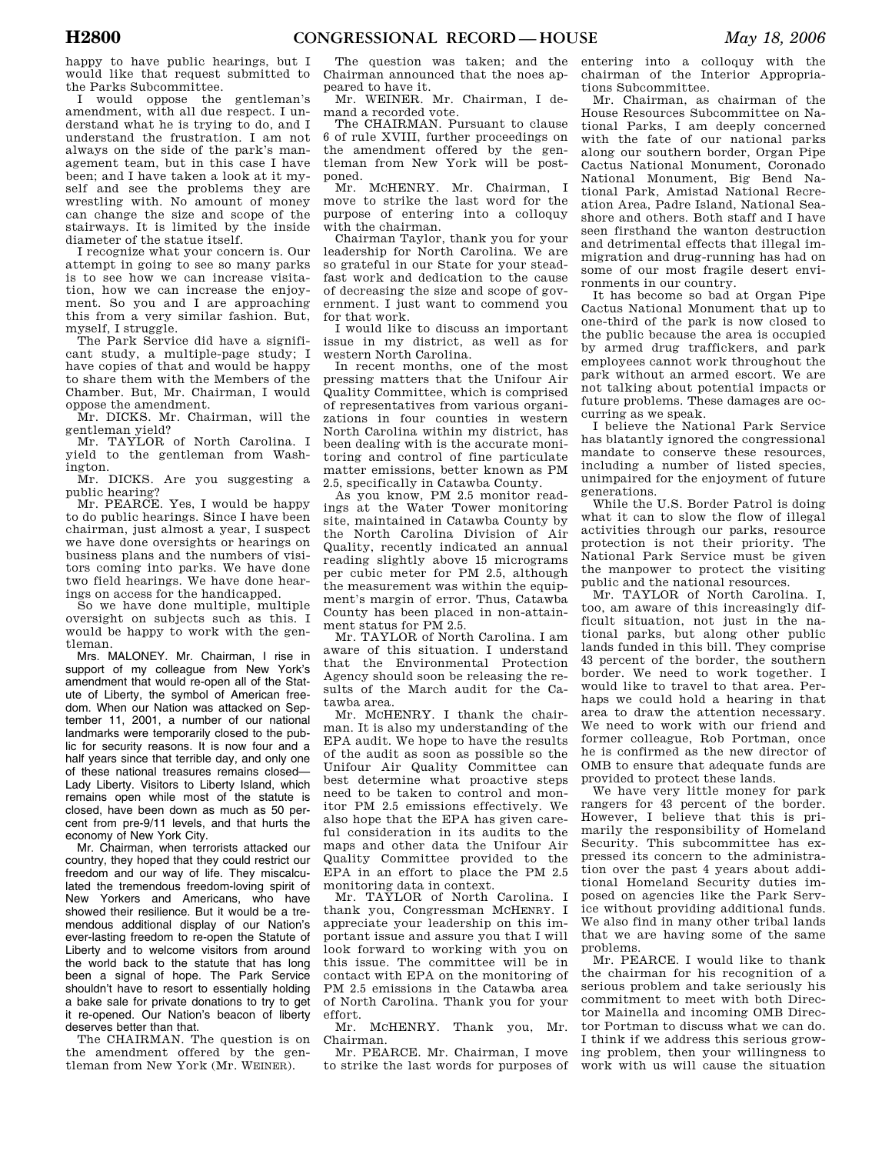happy to have public hearings, but I would like that request submitted to the Parks Subcommittee.

I would oppose the gentleman's amendment, with all due respect. I understand what he is trying to do, and I understand the frustration. I am not always on the side of the park's management team, but in this case I have been; and I have taken a look at it myself and see the problems they are wrestling with. No amount of money can change the size and scope of the stairways. It is limited by the inside diameter of the statue itself.

I recognize what your concern is. Our attempt in going to see so many parks is to see how we can increase visitation, how we can increase the enjoyment. So you and I are approaching this from a very similar fashion. But, myself, I struggle.

The Park Service did have a significant study, a multiple-page study; I have copies of that and would be happy to share them with the Members of the Chamber. But, Mr. Chairman, I would oppose the amendment.

Mr. DICKS. Mr. Chairman, will the gentleman yield?

Mr. TAYLOR of North Carolina. I yield to the gentleman from Washington.

Mr. DICKS. Are you suggesting a public hearing?

Mr. PEARCE. Yes, I would be happy to do public hearings. Since I have been chairman, just almost a year, I suspect we have done oversights or hearings on business plans and the numbers of visitors coming into parks. We have done two field hearings. We have done hearings on access for the handicapped.

So we have done multiple, multiple oversight on subjects such as this. I would be happy to work with the gentleman.

Mrs. MALONEY. Mr. Chairman, I rise in support of my colleague from New York's amendment that would re-open all of the Statute of Liberty, the symbol of American freedom. When our Nation was attacked on September 11, 2001, a number of our national landmarks were temporarily closed to the public for security reasons. It is now four and a half years since that terrible day, and only one of these national treasures remains closed— Lady Liberty. Visitors to Liberty Island, which remains open while most of the statute is closed, have been down as much as 50 percent from pre-9/11 levels, and that hurts the economy of New York City.

Mr. Chairman, when terrorists attacked our country, they hoped that they could restrict our freedom and our way of life. They miscalculated the tremendous freedom-loving spirit of New Yorkers and Americans, who have showed their resilience. But it would be a tremendous additional display of our Nation's ever-lasting freedom to re-open the Statute of Liberty and to welcome visitors from around the world back to the statute that has long been a signal of hope. The Park Service shouldn't have to resort to essentially holding a bake sale for private donations to try to get it re-opened. Our Nation's beacon of liberty deserves better than that.

The CHAIRMAN. The question is on the amendment offered by the gentleman from New York (Mr. WEINER).

The question was taken; and the Chairman announced that the noes appeared to have it.

Mr. WEINER. Mr. Chairman, I demand a recorded vote.

The CHAIRMAN. Pursuant to clause 6 of rule XVIII, further proceedings on the amendment offered by the gentleman from New York will be postponed.

Mr. MCHENRY. Mr. Chairman, I move to strike the last word for the purpose of entering into a colloquy with the chairman.

Chairman Taylor, thank you for your leadership for North Carolina. We are so grateful in our State for your steadfast work and dedication to the cause of decreasing the size and scope of government. I just want to commend you for that work.

I would like to discuss an important issue in my district, as well as for western North Carolina.

In recent months, one of the most pressing matters that the Unifour Air Quality Committee, which is comprised of representatives from various organizations in four counties in western North Carolina within my district, has been dealing with is the accurate monitoring and control of fine particulate matter emissions, better known as PM 2.5, specifically in Catawba County.

As you know, PM 2.5 monitor readings at the Water Tower monitoring site, maintained in Catawba County by the North Carolina Division of Air Quality, recently indicated an annual reading slightly above 15 micrograms per cubic meter for PM 2.5, although the measurement was within the equipment's margin of error. Thus, Catawba County has been placed in non-attainment status for PM 2.5.

Mr. TAYLOR of North Carolina. I am aware of this situation. I understand that the Environmental Protection Agency should soon be releasing the results of the March audit for the Catawba area.

Mr. MCHENRY. I thank the chairman. It is also my understanding of the EPA audit. We hope to have the results of the audit as soon as possible so the Unifour Air Quality Committee can best determine what proactive steps need to be taken to control and monitor PM 2.5 emissions effectively. We also hope that the EPA has given careful consideration in its audits to the maps and other data the Unifour Air Quality Committee provided to the EPA in an effort to place the PM 2.5 monitoring data in context.

Mr. TAYLOR of North Carolina. I thank you, Congressman MCHENRY. I appreciate your leadership on this important issue and assure you that I will look forward to working with you on this issue. The committee will be in contact with EPA on the monitoring of PM 2.5 emissions in the Catawba area of North Carolina. Thank you for your effort.

Mr. MCHENRY. Thank you, Mr. Chairman.

Mr. PEARCE. Mr. Chairman, I move to strike the last words for purposes of work with us will cause the situation

entering into a colloquy with the chairman of the Interior Appropriations Subcommittee.

Mr. Chairman, as chairman of the House Resources Subcommittee on National Parks, I am deeply concerned with the fate of our national parks along our southern border, Organ Pipe Cactus National Monument, Coronado National Monument, Big Bend National Park, Amistad National Recreation Area, Padre Island, National Seashore and others. Both staff and I have seen firsthand the wanton destruction and detrimental effects that illegal immigration and drug-running has had on some of our most fragile desert environments in our country.

It has become so bad at Organ Pipe Cactus National Monument that up to one-third of the park is now closed to the public because the area is occupied by armed drug traffickers, and park employees cannot work throughout the park without an armed escort. We are not talking about potential impacts or future problems. These damages are occurring as we speak.

I believe the National Park Service has blatantly ignored the congressional mandate to conserve these resources, including a number of listed species, unimpaired for the enjoyment of future generations.

While the U.S. Border Patrol is doing what it can to slow the flow of illegal activities through our parks, resource protection is not their priority. The National Park Service must be given the manpower to protect the visiting public and the national resources.

Mr. TAYLOR of North Carolina. I, too, am aware of this increasingly difficult situation, not just in the national parks, but along other public lands funded in this bill. They comprise 43 percent of the border, the southern border. We need to work together. I would like to travel to that area. Perhaps we could hold a hearing in that area to draw the attention necessary. We need to work with our friend and former colleague, Rob Portman, once he is confirmed as the new director of OMB to ensure that adequate funds are provided to protect these lands.

We have very little money for park rangers for 43 percent of the border. However, I believe that this is primarily the responsibility of Homeland Security. This subcommittee has expressed its concern to the administration over the past 4 years about additional Homeland Security duties imposed on agencies like the Park Service without providing additional funds. We also find in many other tribal lands that we are having some of the same problems.

Mr. PEARCE. I would like to thank the chairman for his recognition of a serious problem and take seriously his commitment to meet with both Director Mainella and incoming OMB Director Portman to discuss what we can do. I think if we address this serious growing problem, then your willingness to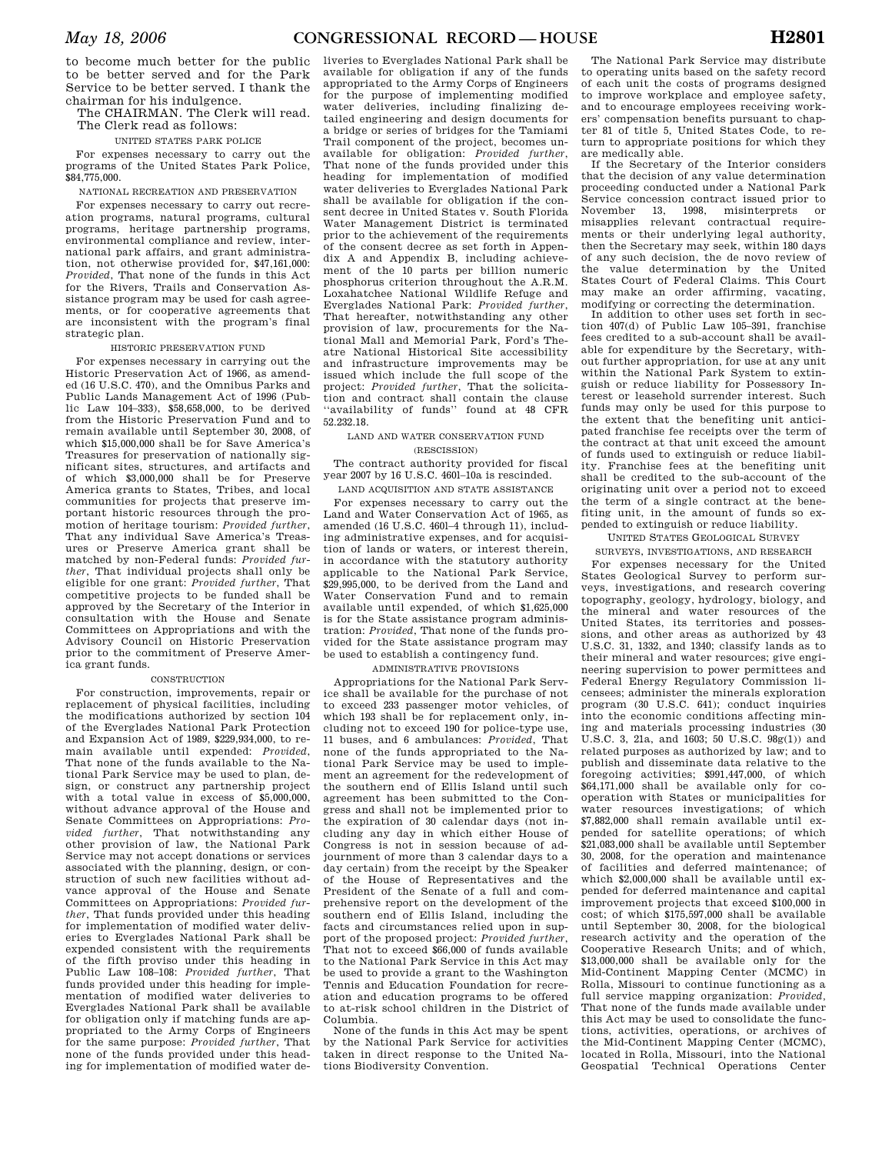to become much better for the public to be better served and for the Park Service to be better served. I thank the chairman for his indulgence.

The CHAIRMAN. The Clerk will read. The Clerk read as follows:

#### UNITED STATES PARK POLICE

For expenses necessary to carry out the programs of the United States Park Police, \$84,775,000.

#### NATIONAL RECREATION AND PRESERVATION

For expenses necessary to carry out recreation programs, natural programs, cultural programs, heritage partnership programs, environmental compliance and review, international park affairs, and grant administration, not otherwise provided for, \$47,161,000: *Provided*, That none of the funds in this Act for the Rivers, Trails and Conservation Assistance program may be used for cash agreements, or for cooperative agreements that are inconsistent with the program's final strategic plan.

## HISTORIC PRESERVATION FUND

For expenses necessary in carrying out the Historic Preservation Act of 1966, as amended (16 U.S.C. 470), and the Omnibus Parks and Public Lands Management Act of 1996 (Public Law 104–333), \$58,658,000, to be derived from the Historic Preservation Fund and to remain available until September 30, 2008, of which \$15,000,000 shall be for Save America's Treasures for preservation of nationally significant sites, structures, and artifacts and of which \$3,000,000 shall be for Preserve America grants to States, Tribes, and local communities for projects that preserve important historic resources through the promotion of heritage tourism: *Provided further*, That any individual Save America's Treasures or Preserve America grant shall be matched by non-Federal funds: *Provided further*, That individual projects shall only be eligible for one grant: *Provided further*, That competitive projects to be funded shall be approved by the Secretary of the Interior in consultation with the House and Senate Committees on Appropriations and with the Advisory Council on Historic Preservation prior to the commitment of Preserve America grant funds.

#### CONSTRUCTION

For construction, improvements, repair or replacement of physical facilities, including the modifications authorized by section 104 of the Everglades National Park Protection and Expansion Act of 1989, \$229,934,000, to remain available until expended: *Provided*, That none of the funds available to the National Park Service may be used to plan, design, or construct any partnership project with a total value in excess of \$5,000,000, without advance approval of the House and Senate Committees on Appropriations: *Provided further*, That notwithstanding any other provision of law, the National Park Service may not accept donations or services associated with the planning, design, or construction of such new facilities without advance approval of the House and Senate Committees on Appropriations: *Provided further*, That funds provided under this heading for implementation of modified water deliveries to Everglades National Park shall be expended consistent with the requirements of the fifth proviso under this heading in Public Law 108–108: *Provided further*, That funds provided under this heading for implementation of modified water deliveries to Everglades National Park shall be available for obligation only if matching funds are appropriated to the Army Corps of Engineers for the same purpose: *Provided further*, That none of the funds provided under this heading for implementation of modified water de-

liveries to Everglades National Park shall be available for obligation if any of the funds appropriated to the Army Corps of Engineers for the purpose of implementing modified water deliveries, including finalizing detailed engineering and design documents for a bridge or series of bridges for the Tamiami Trail component of the project, becomes unavailable for obligation: *Provided further*, That none of the funds provided under this heading for implementation of modified water deliveries to Everglades National Park shall be available for obligation if the consent decree in United States v. South Florida Water Management District is terminated prior to the achievement of the requirements of the consent decree as set forth in Appendix A and Appendix B, including achievement of the 10 parts per billion numeric phosphorus criterion throughout the A.R.M. Loxahatchee National Wildlife Refuge and Everglades National Park: *Provided further*, That hereafter, notwithstanding any other provision of law, procurements for the National Mall and Memorial Park, Ford's Theatre National Historical Site accessibility and infrastructure improvements may be issued which include the full scope of the project: *Provided further*, That the solicitation and contract shall contain the clause ''availability of funds'' found at 48 CFR 52.232.18.

## LAND AND WATER CONSERVATION FUND (RESCISSION)

The contract authority provided for fiscal year 2007 by 16 U.S.C. 460l–10a is rescinded.

LAND ACQUISITION AND STATE ASSISTANCE

For expenses necessary to carry out the Land and Water Conservation Act of 1965, as amended (16 U.S.C. 460l–4 through 11), including administrative expenses, and for acquisition of lands or waters, or interest therein, in accordance with the statutory authority applicable to the National Park Service,  $\frac{29,995,000}{2}$ , to be derived from the Land and Water Conservation Fund and to remain available until expended, of which \$1,625,000 is for the State assistance program administration: *Provided*, That none of the funds provided for the State assistance program may be used to establish a contingency fund.

## ADMINISTRATIVE PROVISIONS

Appropriations for the National Park Service shall be available for the purchase of not to exceed 233 passenger motor vehicles, of which 193 shall be for replacement only, including not to exceed 190 for police-type use, 11 buses, and 6 ambulances: *Provided*, That none of the funds appropriated to the National Park Service may be used to implement an agreement for the redevelopment of the southern end of Ellis Island until such agreement has been submitted to the Congress and shall not be implemented prior to the expiration of 30 calendar days (not including any day in which either House of Congress is not in session because of adjournment of more than 3 calendar days to a day certain) from the receipt by the Speaker of the House of Representatives and the President of the Senate of a full and comprehensive report on the development of the southern end of Ellis Island, including the facts and circumstances relied upon in support of the proposed project: *Provided further*, That not to exceed \$66,000 of funds available to the National Park Service in this Act may be used to provide a grant to the Washington Tennis and Education Foundation for recreation and education programs to be offered to at-risk school children in the District of Columbia.

None of the funds in this Act may be spent by the National Park Service for activities taken in direct response to the United Nations Biodiversity Convention.

The National Park Service may distribute to operating units based on the safety record of each unit the costs of programs designed to improve workplace and employee safety, and to encourage employees receiving workers' compensation benefits pursuant to chapter 81 of title 5, United States Code, to return to appropriate positions for which they are medically able.

If the Secretary of the Interior considers that the decision of any value determination proceeding conducted under a National Park Service concession contract issued prior to November 13, 1998, misinterprets or misapplies relevant contractual requirements or their underlying legal authority, then the Secretary may seek, within 180 days of any such decision, the de novo review of the value determination by the United States Court of Federal Claims. This Court may make an order affirming, vacating, modifying or correcting the determination.

In addition to other uses set forth in section 407(d) of Public Law 105–391, franchise fees credited to a sub-account shall be available for expenditure by the Secretary, without further appropriation, for use at any unit within the National Park System to extinguish or reduce liability for Possessory Interest or leasehold surrender interest. Such funds may only be used for this purpose to the extent that the benefiting unit anticipated franchise fee receipts over the term of the contract at that unit exceed the amount of funds used to extinguish or reduce liability. Franchise fees at the benefiting unit shall be credited to the sub-account of the originating unit over a period not to exceed the term of a single contract at the benefiting unit, in the amount of funds so expended to extinguish or reduce liability.

UNITED STATES GEOLOGICAL SURVEY

SURVEYS, INVESTIGATIONS, AND RESEARCH For expenses necessary for the United States Geological Survey to perform surveys, investigations, and research covering topography, geology, hydrology, biology, and the mineral and water resources of the United States, its territories and possessions, and other areas as authorized by 43 U.S.C. 31, 1332, and 1340; classify lands as to their mineral and water resources; give engineering supervision to power permittees and Federal Energy Regulatory Commission licensees; administer the minerals exploration program (30 U.S.C. 641); conduct inquiries into the economic conditions affecting mining and materials processing industries (30 U.S.C. 3, 21a, and 1603; 50 U.S.C. 98g(1)) and related purposes as authorized by law; and to publish and disseminate data relative to the foregoing activities; \$991,447,000, of which \$64,171,000 shall be available only for cooperation with States or municipalities for water resources investigations; of which \$7,882,000 shall remain available until expended for satellite operations; of which \$21,083,000 shall be available until September 30, 2008, for the operation and maintenance of facilities and deferred maintenance; of which \$2,000,000 shall be available until expended for deferred maintenance and capital improvement projects that exceed \$100,000 in cost; of which \$175,597,000 shall be available until September 30, 2008, for the biological research activity and the operation of the Cooperative Research Units; and of which, \$13,000,000 shall be available only for the Mid-Continent Mapping Center (MCMC) in Rolla, Missouri to continue functioning as a full service mapping organization: *Provided,*  That none of the funds made available under this Act may be used to consolidate the functions, activities, operations, or archives of the Mid-Continent Mapping Center (MCMC), located in Rolla, Missouri, into the National Geospatial Technical Operations Center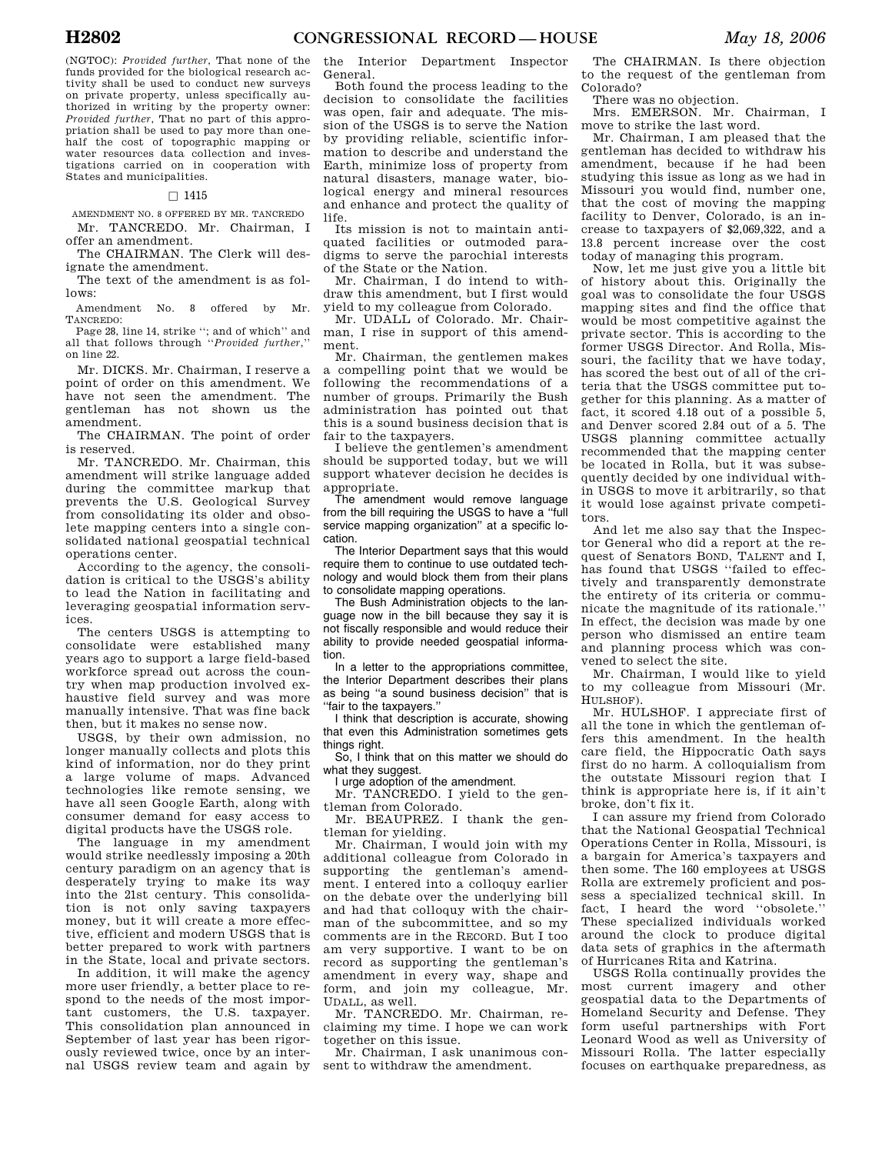(NGTOC): *Provided further*, That none of the funds provided for the biological research activity shall be used to conduct new surveys on private property, unless specifically authorized in writing by the property owner: *Provided further*, That no part of this appropriation shall be used to pay more than onehalf the cost of topographic mapping or water resources data collection and investigations carried on in cooperation with States and municipalities.

## $\Box$  1415

AMENDMENT NO. 8 OFFERED BY MR. TANCREDO Mr. TANCREDO. Mr. Chairman, I offer an amendment.

The CHAIRMAN. The Clerk will designate the amendment.

The text of the amendment is as follows:

Amendment No. 8 offered by Mr. TANCREDO:

Page 28, line 14, strike ''; and of which'' and all that follows through ''*Provided further*,'' on line 22.

Mr. DICKS. Mr. Chairman, I reserve a point of order on this amendment. We have not seen the amendment. The gentleman has not shown us the amendment.

The CHAIRMAN. The point of order is reserved.

Mr. TANCREDO. Mr. Chairman, this amendment will strike language added during the committee markup that prevents the U.S. Geological Survey from consolidating its older and obsolete mapping centers into a single consolidated national geospatial technical operations center.

According to the agency, the consolidation is critical to the USGS's ability to lead the Nation in facilitating and leveraging geospatial information services.

The centers USGS is attempting to consolidate were established many years ago to support a large field-based workforce spread out across the country when map production involved exhaustive field survey and was more manually intensive. That was fine back then, but it makes no sense now.

USGS, by their own admission, no longer manually collects and plots this kind of information, nor do they print a large volume of maps. Advanced technologies like remote sensing, we have all seen Google Earth, along with consumer demand for easy access to digital products have the USGS role.

The language in my amendment would strike needlessly imposing a 20th century paradigm on an agency that is desperately trying to make its way into the 21st century. This consolidation is not only saving taxpayers money, but it will create a more effective, efficient and modern USGS that is better prepared to work with partners in the State, local and private sectors.

In addition, it will make the agency more user friendly, a better place to respond to the needs of the most important customers, the U.S. taxpayer. This consolidation plan announced in September of last year has been rigorously reviewed twice, once by an internal USGS review team and again by

the Interior Department Inspector General.

Both found the process leading to the decision to consolidate the facilities was open, fair and adequate. The mission of the USGS is to serve the Nation by providing reliable, scientific information to describe and understand the Earth, minimize loss of property from natural disasters, manage water, biological energy and mineral resources and enhance and protect the quality of life.

Its mission is not to maintain antiquated facilities or outmoded paradigms to serve the parochial interests of the State or the Nation.

Mr. Chairman, I do intend to withdraw this amendment, but I first would yield to my colleague from Colorado.

Mr. UDALL of Colorado. Mr. Chairman, I rise in support of this amendment.

Mr. Chairman, the gentlemen makes a compelling point that we would be following the recommendations of a number of groups. Primarily the Bush administration has pointed out that this is a sound business decision that is fair to the taxpayers.

I believe the gentlemen's amendment should be supported today, but we will support whatever decision he decides is appropriate.

The amendment would remove language from the bill requiring the USGS to have a ''full service mapping organization'' at a specific location.

The Interior Department says that this would require them to continue to use outdated technology and would block them from their plans to consolidate mapping operations.

The Bush Administration objects to the language now in the bill because they say it is not fiscally responsible and would reduce their ability to provide needed geospatial information.

In a letter to the appropriations committee, the Interior Department describes their plans as being ''a sound business decision'' that is ''fair to the taxpayers.''

I think that description is accurate, showing that even this Administration sometimes gets things right.

So, I think that on this matter we should do what they suggest.

I urge adoption of the amendment.

Mr. TANCREDO. I yield to the gentleman from Colorado.

Mr. BEAUPREZ. I thank the gentleman for yielding.

Mr. Chairman, I would join with my additional colleague from Colorado in supporting the gentleman's amendment. I entered into a colloquy earlier on the debate over the underlying bill and had that colloquy with the chairman of the subcommittee, and so my comments are in the RECORD. But I too am very supportive. I want to be on record as supporting the gentleman's amendment in every way, shape and form, and join my colleague, Mr. UDALL, as well.

Mr. TANCREDO. Mr. Chairman, reclaiming my time. I hope we can work together on this issue.

Mr. Chairman, I ask unanimous consent to withdraw the amendment.

The CHAIRMAN. Is there objection to the request of the gentleman from Colorado?

There was no objection.

Mrs. EMERSON. Mr. Chairman, I move to strike the last word.

Mr. Chairman, I am pleased that the gentleman has decided to withdraw his amendment, because if he had been studying this issue as long as we had in Missouri you would find, number one, that the cost of moving the mapping facility to Denver, Colorado, is an increase to taxpayers of \$2,069,322, and a 13.8 percent increase over the cost today of managing this program.

Now, let me just give you a little bit of history about this. Originally the goal was to consolidate the four USGS mapping sites and find the office that would be most competitive against the private sector. This is according to the former USGS Director. And Rolla, Missouri, the facility that we have today, has scored the best out of all of the criteria that the USGS committee put together for this planning. As a matter of fact, it scored 4.18 out of a possible 5, and Denver scored 2.84 out of a 5. The USGS planning committee actually recommended that the mapping center be located in Rolla, but it was subsequently decided by one individual within USGS to move it arbitrarily, so that it would lose against private competitors.

And let me also say that the Inspector General who did a report at the request of Senators BOND, TALENT and I, has found that USGS ''failed to effectively and transparently demonstrate the entirety of its criteria or communicate the magnitude of its rationale.'' In effect, the decision was made by one person who dismissed an entire team and planning process which was convened to select the site.

Mr. Chairman, I would like to yield to my colleague from Missouri (Mr. HULSHOF).

Mr. HULSHOF. I appreciate first of all the tone in which the gentleman offers this amendment. In the health care field, the Hippocratic Oath says first do no harm. A colloquialism from the outstate Missouri region that I think is appropriate here is, if it ain't broke, don't fix it.

I can assure my friend from Colorado that the National Geospatial Technical Operations Center in Rolla, Missouri, is a bargain for America's taxpayers and then some. The 160 employees at USGS Rolla are extremely proficient and possess a specialized technical skill. In fact, I heard the word ''obsolete.'' These specialized individuals worked around the clock to produce digital data sets of graphics in the aftermath of Hurricanes Rita and Katrina.

USGS Rolla continually provides the most current imagery and other geospatial data to the Departments of Homeland Security and Defense. They form useful partnerships with Fort Leonard Wood as well as University of Missouri Rolla. The latter especially focuses on earthquake preparedness, as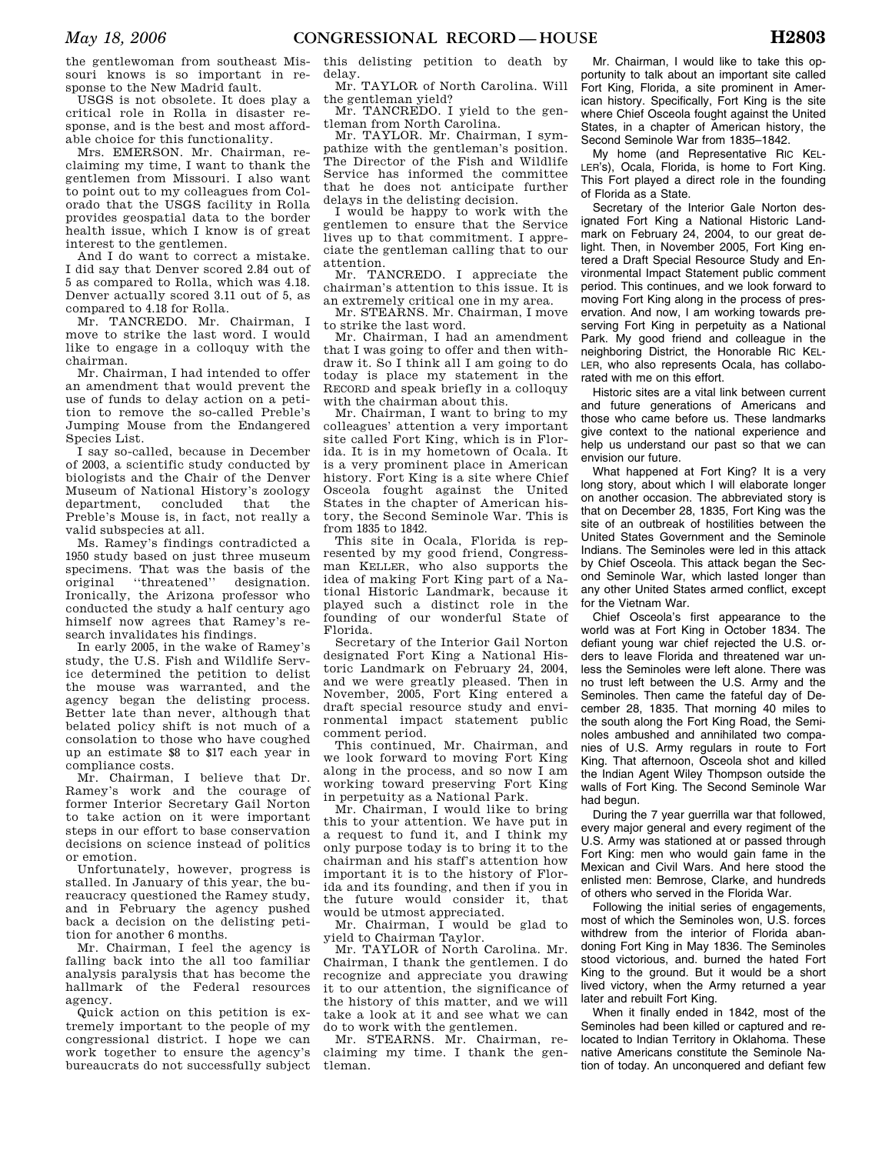USGS is not obsolete. It does play a critical role in Rolla in disaster response, and is the best and most affordable choice for this functionality.

Mrs. EMERSON. Mr. Chairman, reclaiming my time, I want to thank the gentlemen from Missouri. I also want to point out to my colleagues from Colorado that the USGS facility in Rolla provides geospatial data to the border health issue, which I know is of great interest to the gentlemen.

And I do want to correct a mistake. I did say that Denver scored 2.84 out of 5 as compared to Rolla, which was 4.18. Denver actually scored 3.11 out of 5, as compared to 4.18 for Rolla.

Mr. TANCREDO. Mr. Chairman, I move to strike the last word. I would like to engage in a colloquy with the chairman.

Mr. Chairman, I had intended to offer an amendment that would prevent the use of funds to delay action on a petition to remove the so-called Preble's Jumping Mouse from the Endangered Species List.

I say so-called, because in December of 2003, a scientific study conducted by biologists and the Chair of the Denver Museum of National History's zoology department, concluded that the Preble's Mouse is, in fact, not really a valid subspecies at all.

Ms. Ramey's findings contradicted a 1950 study based on just three museum specimens. That was the basis of the original ''threatened'' designation. Ironically, the Arizona professor who conducted the study a half century ago himself now agrees that Ramey's research invalidates his findings.

In early 2005, in the wake of Ramey's study, the U.S. Fish and Wildlife Service determined the petition to delist the mouse was warranted, and the agency began the delisting process. Better late than never, although that belated policy shift is not much of a consolation to those who have coughed up an estimate \$8 to \$17 each year in compliance costs.

Mr. Chairman, I believe that Dr. Ramey's work and the courage of former Interior Secretary Gail Norton to take action on it were important steps in our effort to base conservation decisions on science instead of politics or emotion.

Unfortunately, however, progress is stalled. In January of this year, the bureaucracy questioned the Ramey study, and in February the agency pushed back a decision on the delisting petition for another 6 months.

Mr. Chairman, I feel the agency is falling back into the all too familiar analysis paralysis that has become the hallmark of the Federal resources agency.

Quick action on this petition is extremely important to the people of my congressional district. I hope we can work together to ensure the agency's bureaucrats do not successfully subject

this delisting petition to death by delay.

Mr. TAYLOR of North Carolina. Will the gentleman yield?

Mr. TANCREDO. I yield to the gentleman from North Carolina.

Mr. TAYLOR. Mr. Chairman, I sympathize with the gentleman's position. The Director of the Fish and Wildlife Service has informed the committee that he does not anticipate further delays in the delisting decision.

I would be happy to work with the gentlemen to ensure that the Service lives up to that commitment. I appreciate the gentleman calling that to our attention.

Mr. TANCREDO. I appreciate the chairman's attention to this issue. It is an extremely critical one in my area.

Mr. STEARNS. Mr. Chairman, I move to strike the last word.

Mr. Chairman, I had an amendment that I was going to offer and then withdraw it. So I think all I am going to do today is place my statement in the RECORD and speak briefly in a colloquy with the chairman about this.

Mr. Chairman, I want to bring to my colleagues' attention a very important site called Fort King, which is in Florida. It is in my hometown of Ocala. It is a very prominent place in American history. Fort King is a site where Chief Osceola fought against the United States in the chapter of American history, the Second Seminole War. This is from 1835 to 1842.

This site in Ocala, Florida is represented by my good friend, Congressman KELLER, who also supports the idea of making Fort King part of a National Historic Landmark, because it played such a distinct role in the founding of our wonderful State of Florida.

Secretary of the Interior Gail Norton designated Fort King a National Historic Landmark on February 24, 2004, and we were greatly pleased. Then in November, 2005, Fort King entered a draft special resource study and environmental impact statement public comment period.

This continued, Mr. Chairman, and we look forward to moving Fort King along in the process, and so now I am working toward preserving Fort King in perpetuity as a National Park.

Mr. Chairman, I would like to bring this to your attention. We have put in a request to fund it, and I think my only purpose today is to bring it to the chairman and his staff's attention how important it is to the history of Florida and its founding, and then if you in the future would consider it, that would be utmost appreciated.

Mr. Chairman, I would be glad to yield to Chairman Taylor.

Mr. TAYLOR of North Carolina. Mr. Chairman, I thank the gentlemen. I do recognize and appreciate you drawing it to our attention, the significance of the history of this matter, and we will take a look at it and see what we can do to work with the gentlemen.

Mr. STEARNS. Mr. Chairman, reclaiming my time. I thank the gentleman.

Mr. Chairman, I would like to take this opportunity to talk about an important site called Fort King, Florida, a site prominent in American history. Specifically, Fort King is the site where Chief Osceola fought against the United States, in a chapter of American history, the Second Seminole War from 1835–1842.

My home (and Representative RIC KEL-LER's), Ocala, Florida, is home to Fort King. This Fort played a direct role in the founding of Florida as a State.

Secretary of the Interior Gale Norton designated Fort King a National Historic Landmark on February 24, 2004, to our great delight. Then, in November 2005, Fort King entered a Draft Special Resource Study and Environmental Impact Statement public comment period. This continues, and we look forward to moving Fort King along in the process of preservation. And now, I am working towards preserving Fort King in perpetuity as a National Park. My good friend and colleague in the neighboring District, the Honorable RIC KEL-LER, who also represents Ocala, has collaborated with me on this effort.

Historic sites are a vital link between current and future generations of Americans and those who came before us. These landmarks give context to the national experience and help us understand our past so that we can envision our future.

What happened at Fort King? It is a very long story, about which I will elaborate longer on another occasion. The abbreviated story is that on December 28, 1835, Fort King was the site of an outbreak of hostilities between the United States Government and the Seminole Indians. The Seminoles were led in this attack by Chief Osceola. This attack began the Second Seminole War, which lasted longer than any other United States armed conflict, except for the Vietnam War.

Chief Osceola's first appearance to the world was at Fort King in October 1834. The defiant young war chief rejected the U.S. orders to leave Florida and threatened war unless the Seminoles were left alone. There was no trust left between the U.S. Army and the Seminoles. Then came the fateful day of December 28, 1835. That morning 40 miles to the south along the Fort King Road, the Seminoles ambushed and annihilated two companies of U.S. Army regulars in route to Fort King. That afternoon, Osceola shot and killed the Indian Agent Wiley Thompson outside the walls of Fort King. The Second Seminole War had begun.

During the 7 year guerrilla war that followed, every major general and every regiment of the U.S. Army was stationed at or passed through Fort King: men who would gain fame in the Mexican and Civil Wars. And here stood the enlisted men: Bemrose, Clarke, and hundreds of others who served in the Florida War.

Following the initial series of engagements, most of which the Seminoles won, U.S. forces withdrew from the interior of Florida abandoning Fort King in May 1836. The Seminoles stood victorious, and. burned the hated Fort King to the ground. But it would be a short lived victory, when the Army returned a year later and rebuilt Fort King.

When it finally ended in 1842, most of the Seminoles had been killed or captured and relocated to Indian Territory in Oklahoma. These native Americans constitute the Seminole Nation of today. An unconquered and defiant few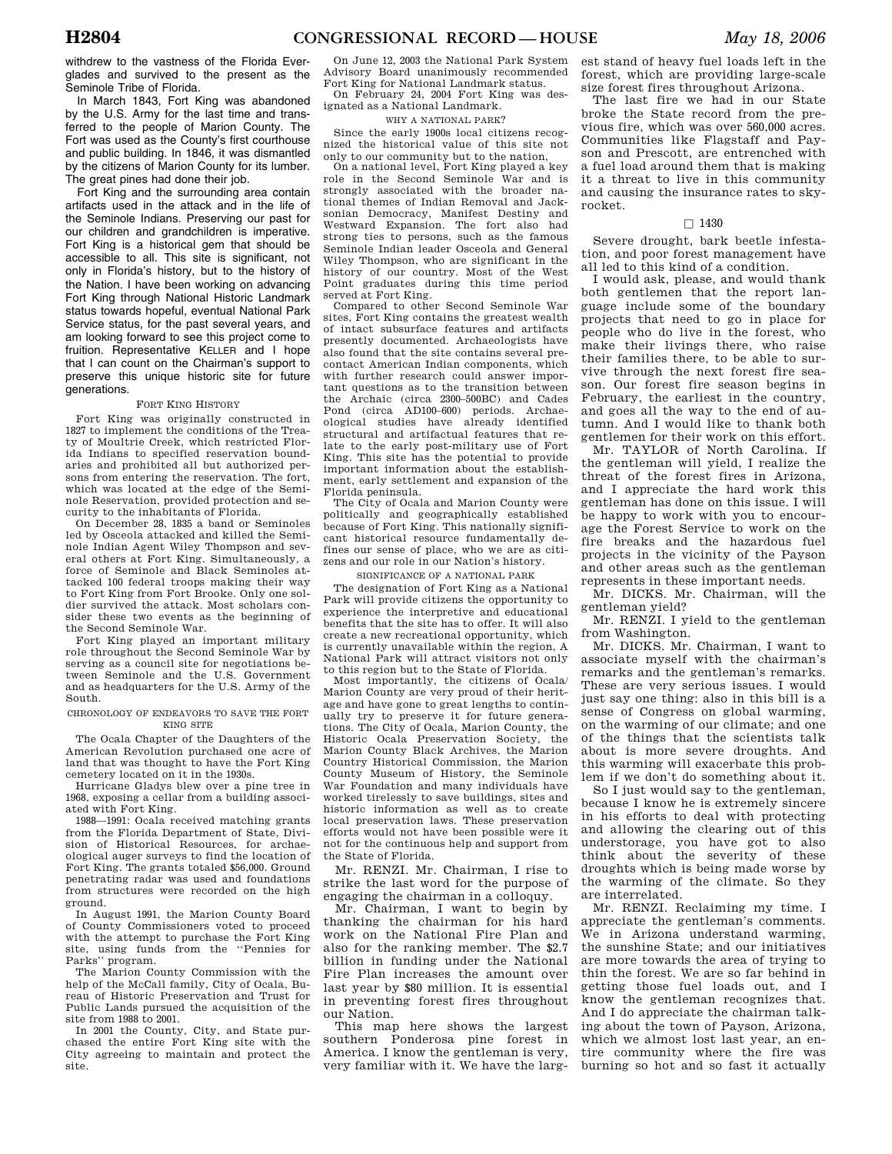withdrew to the vastness of the Florida Everglades and survived to the present as the Seminole Tribe of Florida.

In March 1843, Fort King was abandoned by the U.S. Army for the last time and transferred to the people of Marion County. The Fort was used as the County's first courthouse and public building. In 1846, it was dismantled by the citizens of Marion County for its lumber. The great pines had done their job.

Fort King and the surrounding area contain artifacts used in the attack and in the life of the Seminole Indians. Preserving our past for our children and grandchildren is imperative. Fort King is a historical gem that should be accessible to all. This site is significant, not only in Florida's history, but to the history of the Nation. I have been working on advancing Fort King through National Historic Landmark status towards hopeful, eventual National Park Service status, for the past several years, and am looking forward to see this project come to fruition. Representative KELLER and I hope that I can count on the Chairman's support to preserve this unique historic site for future generations.

## FORT KING HISTORY

Fort King was originally constructed in 1827 to implement the conditions of the Treaty of Moultrie Creek, which restricted Florida Indians to specified reservation boundaries and prohibited all but authorized persons from entering the reservation. The fort, which was located at the edge of the Seminole Reservation, provided protection and security to the inhabitants of Florida.

On December 28, 1835 a band or Seminoles led by Osceola attacked and killed the Seminole Indian Agent Wiley Thompson and several others at Fort King. Simultaneously, a force of Seminole and Black Seminoles attacked 100 federal troops making their way to Fort King from Fort Brooke. Only one soldier survived the attack. Most scholars consider these two events as the beginning of the Second Seminole War.

Fort King played an important military role throughout the Second Seminole War by serving as a council site for negotiations between Seminole and the U.S. Government and as headquarters for the U.S. Army of the South.

CHRONOLOGY OF ENDEAVORS TO SAVE THE FORT KING SITE

The Ocala Chapter of the Daughters of the American Revolution purchased one acre of land that was thought to have the Fort King cemetery located on it in the 1930s.

Hurricane Gladys blew over a pine tree in 1968, exposing a cellar from a building associated with Fort King.

1988—1991: Ocala received matching grants from the Florida Department of State, Division of Historical Resources, for archaeological auger surveys to find the location of Fort King. The grants totaled \$56,000. Ground penetrating radar was used and foundations from structures were recorded on the high ground.

In August 1991, the Marion County Board of County Commissioners voted to proceed with the attempt to purchase the Fort King site, using funds from the ''Pennies for Parks'' program.

The Marion County Commission with the help of the McCall family, City of Ocala, Bureau of Historic Preservation and Trust for Public Lands pursued the acquisition of the site from 1988 to 2001.

In 2001 the County, City, and State purchased the entire Fort King site with the City agreeing to maintain and protect the site.

On June 12, 2003 the National Park System Advisory Board unanimously recommended Fort King for National Landmark status.

On February 24, 2004 Fort King was designated as a National Landmark.

# WHY A NATIONAL PARK?

Since the early 1900s local citizens recognized the historical value of this site not

only to our community but to the nation, On a national level, Fort King played a key role in the Second Seminole War and is strongly associated with the broader national themes of Indian Removal and Jacksonian Democracy, Manifest Destiny and Westward Expansion. The fort also had strong ties to persons, such as the famous Seminole Indian leader Osceola and General Wiley Thompson, who are significant in the history of our country. Most of the West Point graduates during this time period served at Fort King.

Compared to other Second Seminole War sites, Fort King contains the greatest wealth of intact subsurface features and artifacts presently documented. Archaeologists have also found that the site contains several precontact American Indian components, which with further research could answer important questions as to the transition between the Archaic (circa 2300–500BC) and Cades Pond (circa AD100–600) periods. Archaeological studies have already identified structural and artifactual features that relate to the early post-military use of Fort King. This site has the potential to provide important information about the establishment, early settlement and expansion of the Florida peninsula.

The City of Ocala and Marion County were politically and geographically established because of Fort King. This nationally significant historical resource fundamentally defines our sense of place, who we are as citizens and our role in our Nation's history.

## SIGNIFICANCE OF A NATIONAL PARK

The designation of Fort King as a National Park will provide citizens the opportunity to experience the interpretive and educational benefits that the site has to offer. It will also create a new recreational opportunity, which is currently unavailable within the region, A National Park will attract visitors not only to this region but to the State of Florida.

Most importantly, the citizens of Ocala/ Marion County are very proud of their heritage and have gone to great lengths to continually try to preserve it for future generations. The City of Ocala, Marion County, the Historic Ocala Preservation Society, the Marion County Black Archives, the Marion Country Historical Commission, the Marion County Museum of History, the Seminole War Foundation and many individuals have worked tirelessly to save buildings, sites and historic information as well as to create local preservation laws. These preservation efforts would not have been possible were it not for the continuous help and support from the State of Florida.

Mr. RENZI. Mr. Chairman, I rise to strike the last word for the purpose of engaging the chairman in a colloquy.

Mr. Chairman, I want to begin by thanking the chairman for his hard work on the National Fire Plan and also for the ranking member. The \$2.7 billion in funding under the National Fire Plan increases the amount over last year by \$80 million. It is essential in preventing forest fires throughout our Nation.

This map here shows the largest southern Ponderosa pine forest in America. I know the gentleman is very, very familiar with it. We have the larg-

est stand of heavy fuel loads left in the forest, which are providing large-scale size forest fires throughout Arizona.

The last fire we had in our State broke the State record from the previous fire, which was over 560,000 acres. Communities like Flagstaff and Payson and Prescott, are entrenched with a fuel load around them that is making it a threat to live in this community and causing the insurance rates to skyrocket.

# $\Box$  1430

Severe drought, bark beetle infestation, and poor forest management have all led to this kind of a condition.

I would ask, please, and would thank both gentlemen that the report language include some of the boundary projects that need to go in place for people who do live in the forest, who make their livings there, who raise their families there, to be able to survive through the next forest fire season. Our forest fire season begins in February, the earliest in the country, and goes all the way to the end of autumn. And I would like to thank both gentlemen for their work on this effort.

Mr. TAYLOR of North Carolina. If the gentleman will yield, I realize the threat of the forest fires in Arizona, and I appreciate the hard work this gentleman has done on this issue. I will be happy to work with you to encourage the Forest Service to work on the fire breaks and the hazardous fuel projects in the vicinity of the Payson and other areas such as the gentleman represents in these important needs.

Mr. DICKS. Mr. Chairman, will the gentleman yield?

Mr. RENZI. I yield to the gentleman from Washington.

Mr. DICKS. Mr. Chairman, I want to associate myself with the chairman's remarks and the gentleman's remarks. These are very serious issues. I would just say one thing: also in this bill is a sense of Congress on global warming, on the warming of our climate; and one of the things that the scientists talk about is more severe droughts. And this warming will exacerbate this problem if we don't do something about it.

So I just would say to the gentleman, because I know he is extremely sincere in his efforts to deal with protecting and allowing the clearing out of this understorage, you have got to also think about the severity of these droughts which is being made worse by the warming of the climate. So they are interrelated.

Mr. RENZI. Reclaiming my time. I appreciate the gentleman's comments. We in Arizona understand warming, the sunshine State; and our initiatives are more towards the area of trying to thin the forest. We are so far behind in getting those fuel loads out, and I know the gentleman recognizes that. And I do appreciate the chairman talking about the town of Payson, Arizona, which we almost lost last year, an entire community where the fire was burning so hot and so fast it actually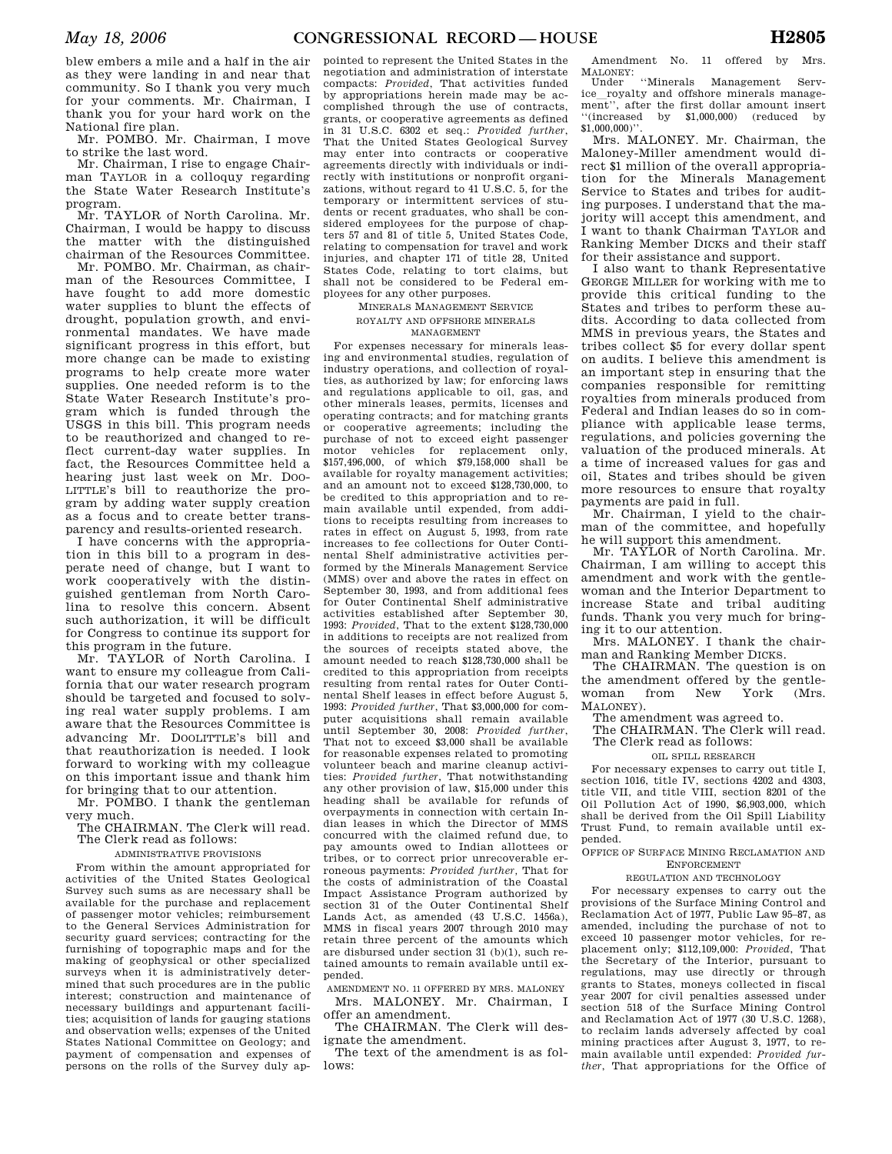blew embers a mile and a half in the air as they were landing in and near that community. So I thank you very much for your comments. Mr. Chairman, I thank you for your hard work on the National fire plan.

Mr. POMBO. Mr. Chairman, I move to strike the last word.

Mr. Chairman, I rise to engage Chairman TAYLOR in a colloquy regarding the State Water Research Institute's program.

Mr. TAYLOR of North Carolina. Mr. Chairman, I would be happy to discuss the matter with the distinguished chairman of the Resources Committee.

Mr. POMBO. Mr. Chairman, as chairman of the Resources Committee, I have fought to add more domestic water supplies to blunt the effects of drought, population growth, and environmental mandates. We have made significant progress in this effort, but more change can be made to existing programs to help create more water supplies. One needed reform is to the State Water Research Institute's program which is funded through the USGS in this bill. This program needs to be reauthorized and changed to reflect current-day water supplies. In fact, the Resources Committee held a hearing just last week on Mr. Doo-LITTLE's bill to reauthorize the program by adding water supply creation as a focus and to create better transparency and results-oriented research.

I have concerns with the appropriation in this bill to a program in desperate need of change, but I want to work cooperatively with the distinguished gentleman from North Carolina to resolve this concern. Absent such authorization, it will be difficult for Congress to continue its support for this program in the future.

Mr. TAYLOR of North Carolina. I want to ensure my colleague from California that our water research program should be targeted and focused to solving real water supply problems. I am aware that the Resources Committee is advancing Mr. DOOLITTLE's bill and that reauthorization is needed. I look forward to working with my colleague on this important issue and thank him for bringing that to our attention.

Mr. POMBO. I thank the gentleman very much.

The CHAIRMAN. The Clerk will read. The Clerk read as follows:

ADMINISTRATIVE PROVISIONS

From within the amount appropriated for activities of the United States Geological Survey such sums as are necessary shall be available for the purchase and replacement of passenger motor vehicles; reimbursement to the General Services Administration for security guard services; contracting for the furnishing of topographic maps and for the making of geophysical or other specialized surveys when it is administratively determined that such procedures are in the public interest; construction and maintenance of necessary buildings and appurtenant facilities; acquisition of lands for gauging stations and observation wells; expenses of the United States National Committee on Geology; and payment of compensation and expenses of persons on the rolls of the Survey duly ap-

pointed to represent the United States in the negotiation and administration of interstate compacts: *Provided*, That activities funded by appropriations herein made may be accomplished through the use of contracts, grants, or cooperative agreements as defined in 31 U.S.C. 6302 et seq.: *Provided further*, That the United States Geological Survey may enter into contracts or cooperative agreements directly with individuals or indirectly with institutions or nonprofit organizations, without regard to 41 U.S.C. 5, for the temporary or intermittent services of students or recent graduates, who shall be considered employees for the purpose of chapters 57 and 81 of title 5, United States Code, relating to compensation for travel and work injuries, and chapter 171 of title 28, United States Code, relating to tort claims, but shall not be considered to be Federal employees for any other purposes.

## MINERALS MANAGEMENT SERVICE ROYALTY AND OFFSHORE MINERALS MANAGEMENT

For expenses necessary for minerals leasing and environmental studies, regulation of industry operations, and collection of royalties, as authorized by law; for enforcing laws and regulations applicable to oil, gas, and other minerals leases, permits, licenses and operating contracts; and for matching grants or cooperative agreements; including the purchase of not to exceed eight passenger motor vehicles for replacement only, \$157,496,000, of which \$79,158,000 shall be available for royalty management activities; and an amount not to exceed \$128,730,000, to be credited to this appropriation and to remain available until expended, from additions to receipts resulting from increases to rates in effect on August 5, 1993, from rate increases to fee collections for Outer Continental Shelf administrative activities performed by the Minerals Management Service (MMS) over and above the rates in effect on September 30, 1993, and from additional fees for Outer Continental Shelf administrative activities established after September 30, 1993: *Provided*, That to the extent \$128,730,000 in additions to receipts are not realized from the sources of receipts stated above, the amount needed to reach \$128,730,000 shall be credited to this appropriation from receipts resulting from rental rates for Outer Continental Shelf leases in effect before August 5, 1993: *Provided further*, That \$3,000,000 for computer acquisitions shall remain available until September 30, 2008: *Provided further*, That not to exceed \$3,000 shall be available for reasonable expenses related to promoting volunteer beach and marine cleanup activities: *Provided further*, That notwithstanding any other provision of law, \$15,000 under this heading shall be available for refunds of overpayments in connection with certain Indian leases in which the Director of MMS concurred with the claimed refund due, to pay amounts owed to Indian allottees or tribes, or to correct prior unrecoverable erroneous payments: *Provided further,* That for the costs of administration of the Coastal Impact Assistance Program authorized by section 31 of the Outer Continental Shelf Lands Act, as amended (43 U.S.C. 1456a), MMS in fiscal years 2007 through 2010 may retain three percent of the amounts which are disbursed under section 31 (b)(1), such retained amounts to remain available until expended.

AMENDMENT NO. 11 OFFERED BY MRS. MALONEY Mrs. MALONEY. Mr. Chairman, I offer an amendment.

The CHAIRMAN. The Clerk will designate the amendment.

The text of the amendment is as follows:

Amendment No. 11 offered by Mrs. MALONEY: Under ''Minerals Management Serv-

ice\_royalty and offshore minerals manage-<br>ment'', after the first dollar amount insert ''(increased by \$1,000,000) (reduced by  $$1,000,000$ <sup>"</sup>

Mrs. MALONEY. Mr. Chairman, the Maloney-Miller amendment would direct \$1 million of the overall appropriation for the Minerals Management Service to States and tribes for auditing purposes. I understand that the majority will accept this amendment, and I want to thank Chairman TAYLOR and Ranking Member DICKS and their staff for their assistance and support.

I also want to thank Representative GEORGE MILLER for working with me to provide this critical funding to the States and tribes to perform these audits. According to data collected from MMS in previous years, the States and tribes collect \$5 for every dollar spent on audits. I believe this amendment is an important step in ensuring that the companies responsible for remitting royalties from minerals produced from Federal and Indian leases do so in compliance with applicable lease terms, regulations, and policies governing the valuation of the produced minerals. At a time of increased values for gas and oil, States and tribes should be given more resources to ensure that royalty payments are paid in full.

Mr. Chairman, I yield to the chairman of the committee, and hopefully he will support this amendment.

Mr. TAYLOR of North Carolina. Mr. Chairman, I am willing to accept this amendment and work with the gentlewoman and the Interior Department to increase State and tribal auditing funds. Thank you very much for bringing it to our attention.

Mrs. MALONEY. I thank the chairman and Ranking Member DICKS.

The CHAIRMAN. The question is on the amendment offered by the gentlewoman from New York (Mrs. MALONEY).

The amendment was agreed to.

The CHAIRMAN. The Clerk will read.

# The Clerk read as follows:

# OIL SPILL RESEARCH

For necessary expenses to carry out title I, section 1016, title IV, sections 4202 and 4303, title VII, and title VIII, section 8201 of the Oil Pollution Act of 1990, \$6,903,000, which shall be derived from the Oil Spill Liability Trust Fund, to remain available until expended.

OFFICE OF SURFACE MINING RECLAMATION AND ENFORCEMENT

#### REGULATION AND TECHNOLOGY

For necessary expenses to carry out the provisions of the Surface Mining Control and Reclamation Act of 1977, Public Law 95–87, as amended, including the purchase of not to exceed 10 passenger motor vehicles, for replacement only; \$112,109,000: *Provided*, That the Secretary of the Interior, pursuant to regulations, may use directly or through grants to States, moneys collected in fiscal year 2007 for civil penalties assessed under section 518 of the Surface Mining Control and Reclamation Act of 1977 (30 U.S.C. 1268), to reclaim lands adversely affected by coal mining practices after August 3, 1977, to remain available until expended: *Provided further*, That appropriations for the Office of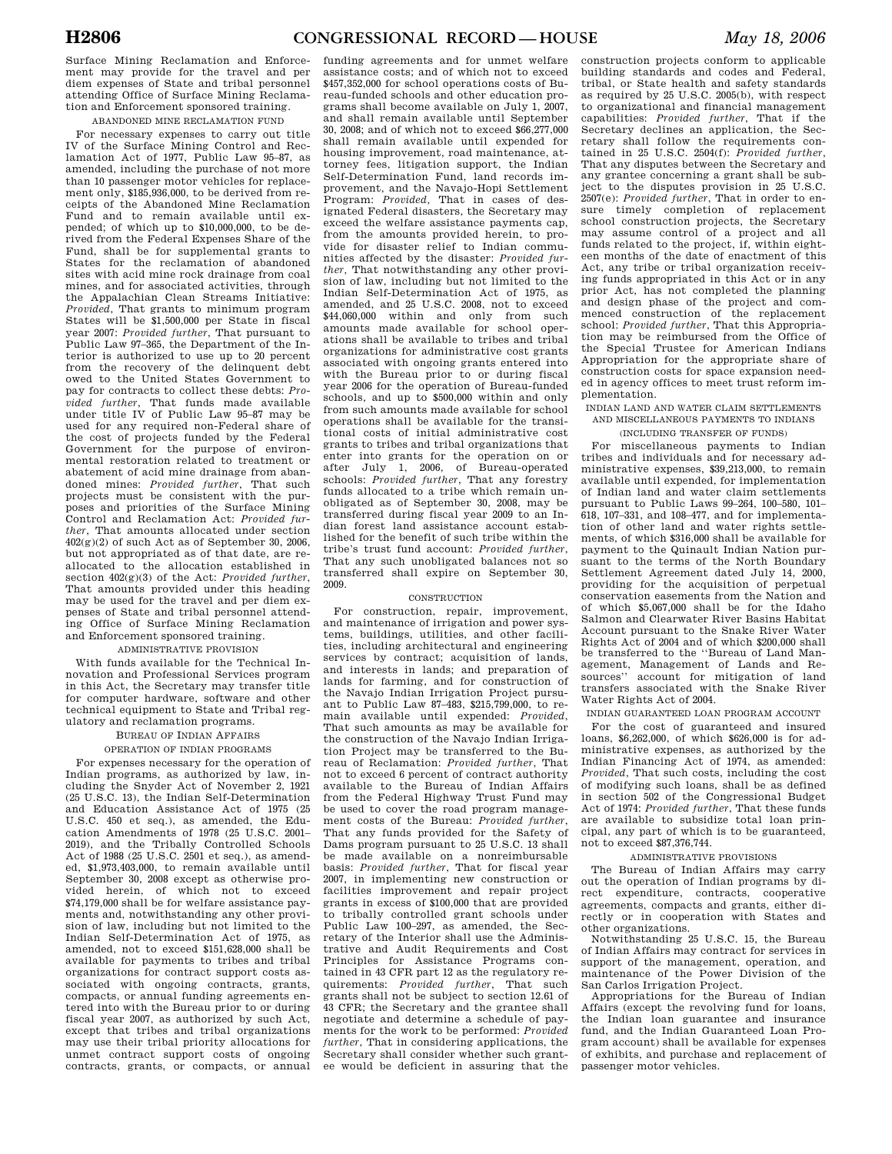Surface Mining Reclamation and Enforcement may provide for the travel and per diem expenses of State and tribal personnel attending Office of Surface Mining Reclamation and Enforcement sponsored training.

ABANDONED MINE RECLAMATION FUND

For necessary expenses to carry out title IV of the Surface Mining Control and Reclamation Act of 1977, Public Law 95–87, as amended, including the purchase of not more than 10 passenger motor vehicles for replacement only, \$185,936,000, to be derived from receipts of the Abandoned Mine Reclamation Fund and to remain available until expended; of which up to \$10,000,000, to be derived from the Federal Expenses Share of the Fund, shall be for supplemental grants to States for the reclamation of abandoned sites with acid mine rock drainage from coal mines, and for associated activities, through the Appalachian Clean Streams Initiative: *Provided*, That grants to minimum program States will be \$1,500,000 per State in fiscal year 2007: *Provided further*, That pursuant to Public Law 97–365, the Department of the Interior is authorized to use up to 20 percent from the recovery of the delinquent debt owed to the United States Government to pay for contracts to collect these debts: *Provided further*, That funds made available under title IV of Public Law 95–87 may be used for any required non-Federal share of the cost of projects funded by the Federal Government for the purpose of environmental restoration related to treatment or abatement of acid mine drainage from abandoned mines: *Provided further*, That such projects must be consistent with the purposes and priorities of the Surface Mining Control and Reclamation Act: *Provided further*, That amounts allocated under section  $402(g)(2)$  of such Act as of September 30, 2006, but not appropriated as of that date, are reallocated to the allocation established in section 402(g)(3) of the Act: *Provided further*, That amounts provided under this heading may be used for the travel and per diem expenses of State and tribal personnel attending Office of Surface Mining Reclamation and Enforcement sponsored training.

## ADMINISTRATIVE PROVISION

With funds available for the Technical Innovation and Professional Services program in this Act, the Secretary may transfer title for computer hardware, software and other technical equipment to State and Tribal regulatory and reclamation programs.

# BUREAU OF INDIAN AFFAIRS

## OPERATION OF INDIAN PROGRAMS

For expenses necessary for the operation of Indian programs, as authorized by law, including the Snyder Act of November 2, 1921 (25 U.S.C. 13), the Indian Self-Determination and Education Assistance Act of 1975 (25 U.S.C. 450 et seq.), as amended, the Education Amendments of  $1978$  (25 U.S.C. 2001– 2019), and the Tribally Controlled Schools Act of 1988 (25 U.S.C. 2501 et seq.), as amended, \$1,973,403,000, to remain available until September 30, 2008 except as otherwise provided herein, of which not to exceed \$74,179,000 shall be for welfare assistance payments and, notwithstanding any other provision of law, including but not limited to the Indian Self-Determination Act of 1975, as amended, not to exceed \$151,628,000 shall be available for payments to tribes and tribal organizations for contract support costs associated with ongoing contracts, grants, compacts, or annual funding agreements entered into with the Bureau prior to or during fiscal year 2007, as authorized by such Act, except that tribes and tribal organizations may use their tribal priority allocations for unmet contract support costs of ongoing contracts, grants, or compacts, or annual

funding agreements and for unmet welfare assistance costs; and of which not to exceed \$457,352,000 for school operations costs of Bureau-funded schools and other education programs shall become available on July 1, 2007, and shall remain available until September 30, 2008; and of which not to exceed \$66,277,000 shall remain available until expended for housing improvement, road maintenance, attorney fees, litigation support, the Indian Self-Determination Fund, land records improvement, and the Navajo-Hopi Settlement Program: *Provided,* That in cases of designated Federal disasters, the Secretary may exceed the welfare assistance payments cap, from the amounts provided herein, to provide for disaster relief to Indian communities affected by the disaster: *Provided further,* That notwithstanding any other provision of law, including but not limited to the Indian Self-Determination Act of 1975, as amended, and 25 U.S.C. 2008, not to exceed \$44,060,000 within and only from such amounts made available for school operations shall be available to tribes and tribal organizations for administrative cost grants associated with ongoing grants entered into with the Bureau prior to or during fiscal year 2006 for the operation of Bureau-funded schools, and up to \$500,000 within and only from such amounts made available for school operations shall be available for the transitional costs of initial administrative cost grants to tribes and tribal organizations that enter into grants for the operation on or after July 1, 2006, of Bureau-operated schools: *Provided further*, That any forestry funds allocated to a tribe which remain unobligated as of September 30, 2008, may be transferred during fiscal year 2009 to an Indian forest land assistance account established for the benefit of such tribe within the tribe's trust fund account: *Provided further*, That any such unobligated balances not so transferred shall expire on September 30, 2009.

#### **CONSTRUCTION**

For construction, repair, improvement, and maintenance of irrigation and power systems, buildings, utilities, and other facilities, including architectural and engineering services by contract; acquisition of lands, and interests in lands; and preparation of lands for farming, and for construction of the Navajo Indian Irrigation Project pursuant to Public Law 87–483, \$215,799,000, to remain available until expended: *Provided*, That such amounts as may be available for the construction of the Navajo Indian Irrigation Project may be transferred to the Bureau of Reclamation: *Provided further*, That not to exceed 6 percent of contract authority available to the Bureau of Indian Affairs from the Federal Highway Trust Fund may be used to cover the road program management costs of the Bureau: *Provided further*, That any funds provided for the Safety of Dams program pursuant to 25 U.S.C. 13 shall be made available on a nonreimbursable basis: *Provided further*, That for fiscal year 2007, in implementing new construction or facilities improvement and repair project grants in excess of \$100,000 that are provided to tribally controlled grant schools under Public Law 100–297, as amended, the Secretary of the Interior shall use the Administrative and Audit Requirements and Cost Principles for Assistance Programs contained in 43 CFR part 12 as the regulatory requirements: *Provided further*, That such grants shall not be subject to section 12.61 of 43 CFR; the Secretary and the grantee shall negotiate and determine a schedule of payments for the work to be performed: *Provided further*, That in considering applications, the Secretary shall consider whether such grantee would be deficient in assuring that the

construction projects conform to applicable building standards and codes and Federal, tribal, or State health and safety standards as required by 25 U.S.C. 2005(b), with respect to organizational and financial management capabilities: *Provided further*, That if the Secretary declines an application, the Secretary shall follow the requirements con-tained in 25 U.S.C. 2504(f): *Provided further*, That any disputes between the Secretary and any grantee concerning a grant shall be subject to the disputes provision in 25 U.S.C. 2507(e): *Provided further*, That in order to ensure timely completion of replacement school construction projects, the Secretary may assume control of a project and all funds related to the project, if, within eighteen months of the date of enactment of this Act, any tribe or tribal organization receiving funds appropriated in this Act or in any prior Act, has not completed the planning and design phase of the project and com-menced construction of the replacement school: *Provided further*, That this Appropriation may be reimbursed from the Office of the Special Trustee for American Indians Appropriation for the appropriate share of construction costs for space expansion needed in agency offices to meet trust reform implementation.

INDIAN LAND AND WATER CLAIM SETTLEMENTS AND MISCELLANEOUS PAYMENTS TO INDIANS

(INCLUDING TRANSFER OF FUNDS)

For miscellaneous payments to Indian tribes and individuals and for necessary administrative expenses, \$39,213,000, to remain available until expended, for implementation of Indian land and water claim settlements pursuant to Public Laws 99–264, 100–580, 101– 618, 107–331, and 108–477, and for implementation of other land and water rights settlements, of which \$316,000 shall be available for payment to the Quinault Indian Nation pursuant to the terms of the North Boundary Settlement Agreement dated July 14, 2000, providing for the acquisition of perpetual conservation easements from the Nation and of which \$5,067,000 shall be for the Idaho Salmon and Clearwater River Basins Habitat Account pursuant to the Snake River Water Rights Act of 2004 and of which \$200,000 shall be transferred to the ''Bureau of Land Management, Management of Lands and Resources'' account for mitigation of land transfers associated with the Snake River Water Rights Act of 2004.

INDIAN GUARANTEED LOAN PROGRAM ACCOUNT For the cost of guaranteed and insured loans, \$6,262,000, of which \$626,000 is for administrative expenses, as authorized by the Indian Financing Act of 1974, as amended: *Provided*, That such costs, including the cost of modifying such loans, shall be as defined in section 502 of the Congressional Budget Act of 1974: *Provided further*, That these funds are available to subsidize total loan principal, any part of which is to be guaranteed, not to exceed \$87,376,744.

## ADMINISTRATIVE PROVISIONS

The Bureau of Indian Affairs may carry out the operation of Indian programs by direct expenditure, contracts, cooperative agreements, compacts and grants, either directly or in cooperation with States and other organizations.

Notwithstanding 25 U.S.C. 15, the Bureau of Indian Affairs may contract for services in support of the management, operation, and maintenance of the Power Division of the San Carlos Irrigation Project.

Appropriations for the Bureau of Indian Affairs (except the revolving fund for loans, the Indian loan guarantee and insurance fund, and the Indian Guaranteed Loan Program account) shall be available for expenses of exhibits, and purchase and replacement of passenger motor vehicles.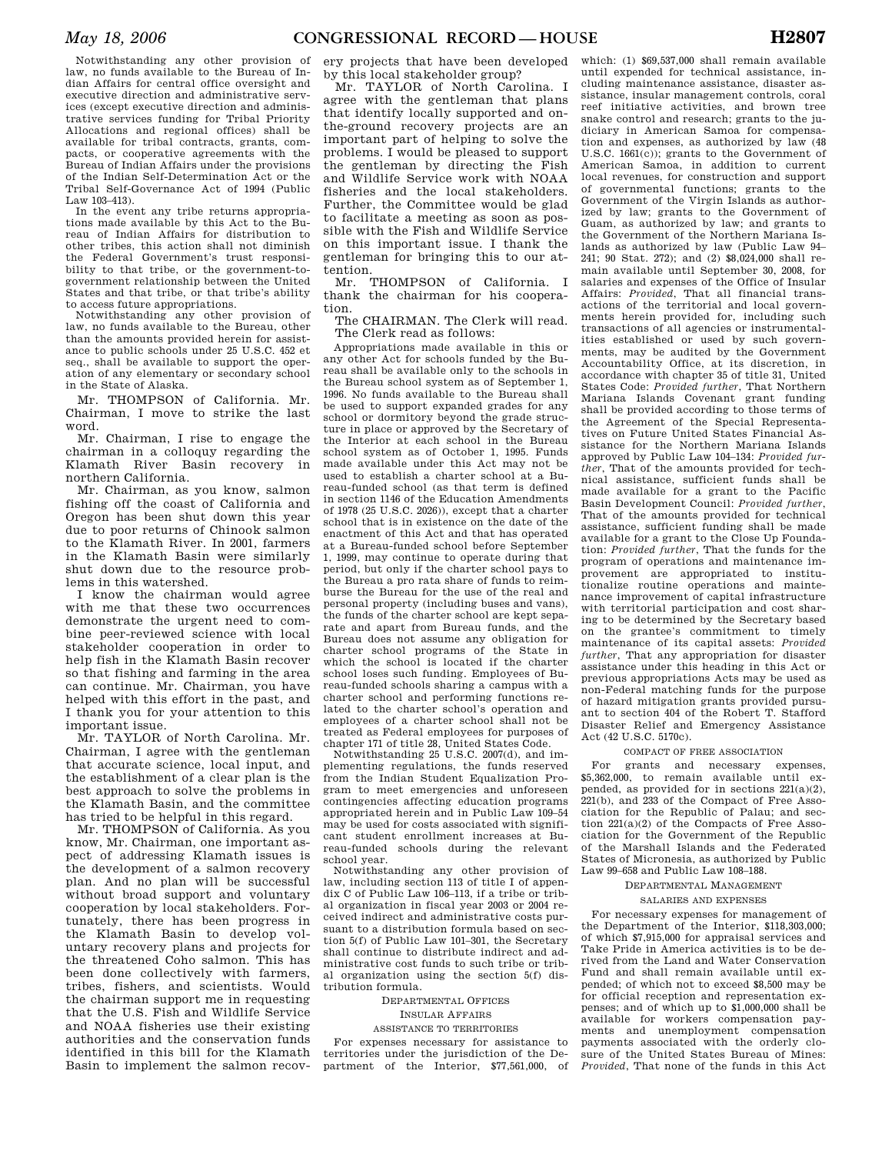Notwithstanding any other provision of law, no funds available to the Bureau of Indian Affairs for central office oversight and executive direction and administrative services (except executive direction and administrative services funding for Tribal Priority Allocations and regional offices) shall be available for tribal contracts, grants, compacts, or cooperative agreements with the Bureau of Indian Affairs under the provisions of the Indian Self-Determination Act or the Tribal Self-Governance Act of 1994 (Public Law 103–413).

In the event any tribe returns appropriations made available by this Act to the Bureau of Indian Affairs for distribution to other tribes, this action shall not diminish the Federal Government's trust responsibility to that tribe, or the government-togovernment relationship between the United States and that tribe, or that tribe's ability to access future appropriations.

Notwithstanding any other provision of law, no funds available to the Bureau, other than the amounts provided herein for assistance to public schools under 25 U.S.C. 452 et seq., shall be available to support the operation of any elementary or secondary school in the State of Alaska.

Mr. THOMPSON of California. Mr. Chairman, I move to strike the last word.

Mr. Chairman, I rise to engage the chairman in a colloquy regarding the Klamath River Basin recovery in northern California.

Mr. Chairman, as you know, salmon fishing off the coast of California and Oregon has been shut down this year due to poor returns of Chinook salmon to the Klamath River. In 2001, farmers in the Klamath Basin were similarly shut down due to the resource problems in this watershed.

I know the chairman would agree with me that these two occurrences demonstrate the urgent need to combine peer-reviewed science with local stakeholder cooperation in order to help fish in the Klamath Basin recover so that fishing and farming in the area can continue. Mr. Chairman, you have helped with this effort in the past, and I thank you for your attention to this important issue.

Mr. TAYLOR of North Carolina. Mr. Chairman, I agree with the gentleman that accurate science, local input, and the establishment of a clear plan is the best approach to solve the problems in the Klamath Basin, and the committee has tried to be helpful in this regard.

Mr. THOMPSON of California. As you know, Mr. Chairman, one important aspect of addressing Klamath issues is the development of a salmon recovery plan. And no plan will be successful without broad support and voluntary cooperation by local stakeholders. Fortunately, there has been progress in the Klamath Basin to develop voluntary recovery plans and projects for the threatened Coho salmon. This has been done collectively with farmers, tribes, fishers, and scientists. Would the chairman support me in requesting that the U.S. Fish and Wildlife Service and NOAA fisheries use their existing authorities and the conservation funds identified in this bill for the Klamath Basin to implement the salmon recov-

ery projects that have been developed by this local stakeholder group?

Mr. TAYLOR of North Carolina. I agree with the gentleman that plans that identify locally supported and onthe-ground recovery projects are an important part of helping to solve the problems. I would be pleased to support the gentleman by directing the Fish and Wildlife Service work with NOAA fisheries and the local stakeholders. Further, the Committee would be glad to facilitate a meeting as soon as possible with the Fish and Wildlife Service on this important issue. I thank the gentleman for bringing this to our attention.

Mr. THOMPSON of California. I thank the chairman for his cooperation.

The CHAIRMAN. The Clerk will read. The Clerk read as follows:

Appropriations made available in this or any other Act for schools funded by the Bureau shall be available only to the schools in the Bureau school system as of September 1, 1996. No funds available to the Bureau shall be used to support expanded grades for any school or dormitory beyond the grade structure in place or approved by the Secretary of the Interior at each school in the Bureau school system as of October 1, 1995. Funds made available under this Act may not be used to establish a charter school at a Bureau-funded school (as that term is defined in section 1146 of the Education Amendments of 1978 (25 U.S.C. 2026)), except that a charter school that is in existence on the date of the enactment of this Act and that has operated at a Bureau-funded school before September 1, 1999, may continue to operate during that period, but only if the charter school pays to the Bureau a pro rata share of funds to reimburse the Bureau for the use of the real and personal property (including buses and vans), the funds of the charter school are kept separate and apart from Bureau funds, and the Bureau does not assume any obligation for charter school programs of the State in which the school is located if the charter school loses such funding. Employees of Bureau-funded schools sharing a campus with a charter school and performing functions related to the charter school's operation and employees of a charter school shall not be treated as Federal employees for purposes of chapter 171 of title 28, United States Code.

Notwithstanding 25 U.S.C. 2007(d), and implementing regulations, the funds reserved from the Indian Student Equalization Program to meet emergencies and unforeseen contingencies affecting education programs appropriated herein and in Public Law 109–54 may be used for costs associated with significant student enrollment increases at Bureau-funded schools during the relevant school year.

Notwithstanding any other provision of law, including section 113 of title I of appendix C of Public Law 106–113, if a tribe or tribal organization in fiscal year 2003 or 2004 received indirect and administrative costs pursuant to a distribution formula based on section 5(f) of Public Law 101–301, the Secretary shall continue to distribute indirect and administrative cost funds to such tribe or tribal organization using the section 5(f) distribution formula.

DEPARTMENTAL OFFICES INSULAR AFFAIRS ASSISTANCE TO TERRITORIES

For expenses necessary for assistance to territories under the jurisdiction of the Department of the Interior, \$77,561,000, of

which: (1) \$69,537,000 shall remain available until expended for technical assistance, including maintenance assistance, disaster assistance, insular management controls, coral reef initiative activities, and brown tree snake control and research; grants to the judiciary in American Samoa for compensation and expenses, as authorized by law (48 U.S.C. 1661(c)); grants to the Government of American Samoa, in addition to current local revenues, for construction and support of governmental functions; grants to the Government of the Virgin Islands as authorized by law; grants to the Government of Guam, as authorized by law; and grants to the Government of the Northern Mariana Islands as authorized by law (Public Law 94– 241; 90 Stat. 272); and (2) \$8,024,000 shall remain available until September 30, 2008, for salaries and expenses of the Office of Insular Affairs: *Provided*, That all financial transactions of the territorial and local governments herein provided for, including such transactions of all agencies or instrumentalities established or used by such governments, may be audited by the Government Accountability Office, at its discretion, in accordance with chapter 35 of title 31, United States Code: *Provided further*, That Northern Mariana Islands Covenant grant funding shall be provided according to those terms of the Agreement of the Special Representatives on Future United States Financial Assistance for the Northern Mariana Islands approved by Public Law 104–134: *Provided further*, That of the amounts provided for technical assistance, sufficient funds shall be made available for a grant to the Pacific Basin Development Council: *Provided further*, That of the amounts provided for technical assistance, sufficient funding shall be made available for a grant to the Close Up Foundation: *Provided further*, That the funds for the program of operations and maintenance improvement are appropriated to institutionalize routine operations and maintenance improvement of capital infrastructure with territorial participation and cost sharing to be determined by the Secretary based on the grantee's commitment to timely maintenance of its capital assets: *Provided further*, That any appropriation for disaster assistance under this heading in this Act or previous appropriations Acts may be used as non-Federal matching funds for the purpose of hazard mitigation grants provided pursuant to section 404 of the Robert T. Stafford Disaster Relief and Emergency Assistance  $Act (42 H S C 5170c)$ 

#### COMPACT OF FREE ASSOCIATION

For grants and necessary expenses, \$5,362,000, to remain available until expended, as provided for in sections 221(a)(2), 221(b), and 233 of the Compact of Free Association for the Republic of Palau; and section 221(a)(2) of the Compacts of Free Association for the Government of the Republic of the Marshall Islands and the Federated States of Micronesia, as authorized by Public Law 99–658 and Public Law 108–188.

#### DEPARTMENTAL MANAGEMENT

## SALARIES AND EXPENSES

For necessary expenses for management of the Department of the Interior, \$118,303,000; of which \$7,915,000 for appraisal services and Take Pride in America activities is to be derived from the Land and Water Conservation Fund and shall remain available until expended; of which not to exceed \$8,500 may be for official reception and representation expenses; and of which up to \$1,000,000 shall be available for workers compensation payments and unemployment compensation payments associated with the orderly closure of the United States Bureau of Mines: *Provided*, That none of the funds in this Act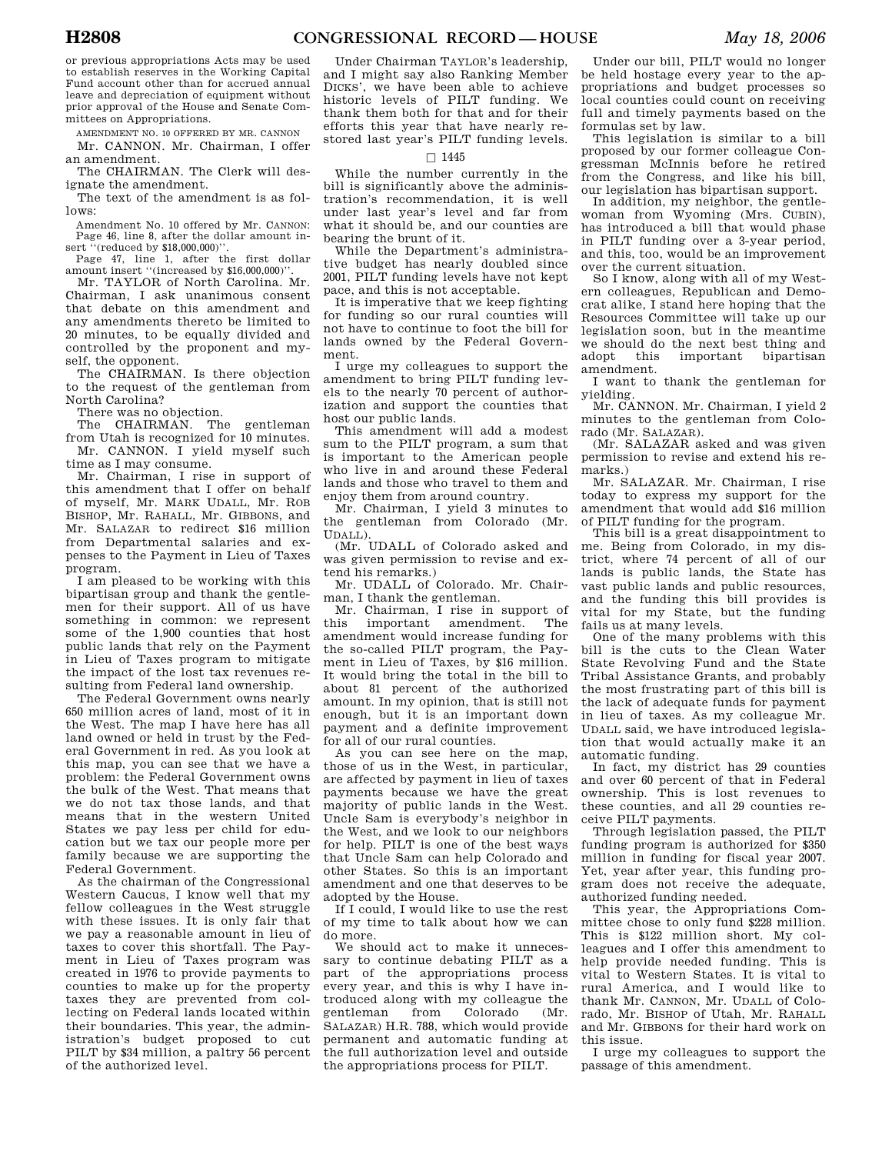or previous appropriations Acts may be used to establish reserves in the Working Capital Fund account other than for accrued annual leave and depreciation of equipment without prior approval of the House and Senate Committees on Appropriations.

AMENDMENT NO. 10 OFFERED BY MR. CANNON Mr. CANNON. Mr. Chairman, I offer an amendment.

The CHAIRMAN. The Clerk will designate the amendment.

The text of the amendment is as follows:

Amendment No. 10 offered by Mr. CANNON: Page 46, line 8, after the dollar amount insert "(reduced by \$18,000,000)".

Page 47, line 1, after the first dollar amount insert ''(increased by \$16,000,000)''.

Mr. TAYLOR of North Carolina. Mr. Chairman, I ask unanimous consent that debate on this amendment and any amendments thereto be limited to 20 minutes, to be equally divided and controlled by the proponent and myself, the opponent.

The CHAIRMAN. Is there objection to the request of the gentleman from North Carolina?

There was no objection.

The CHAIRMAN. The gentleman from Utah is recognized for 10 minutes. Mr. CANNON. I yield myself such time as I may consume.

Mr. Chairman, I rise in support of this amendment that I offer on behalf of myself, Mr. MARK UDALL, Mr. ROB BISHOP, Mr. RAHALL, Mr. GIBBONS, and Mr. SALAZAR to redirect \$16 million from Departmental salaries and expenses to the Payment in Lieu of Taxes program.

I am pleased to be working with this bipartisan group and thank the gentlemen for their support. All of us have something in common: we represent some of the 1,900 counties that host public lands that rely on the Payment in Lieu of Taxes program to mitigate the impact of the lost tax revenues resulting from Federal land ownership.

The Federal Government owns nearly 650 million acres of land, most of it in the West. The map I have here has all land owned or held in trust by the Federal Government in red. As you look at this map, you can see that we have a problem: the Federal Government owns the bulk of the West. That means that we do not tax those lands, and that means that in the western United States we pay less per child for education but we tax our people more per family because we are supporting the Federal Government.

As the chairman of the Congressional Western Caucus, I know well that my fellow colleagues in the West struggle with these issues. It is only fair that we pay a reasonable amount in lieu of taxes to cover this shortfall. The Payment in Lieu of Taxes program was created in 1976 to provide payments to counties to make up for the property taxes they are prevented from collecting on Federal lands located within their boundaries. This year, the administration's budget proposed to cut PILT by \$34 million, a paltry 56 percent of the authorized level.

Under Chairman TAYLOR's leadership, and I might say also Ranking Member DICKS', we have been able to achieve historic levels of PILT funding. We thank them both for that and for their efforts this year that have nearly restored last year's PILT funding levels.

# $\square$  1445

While the number currently in the bill is significantly above the administration's recommendation, it is well under last year's level and far from what it should be, and our counties are bearing the brunt of it.

While the Department's administrative budget has nearly doubled since 2001, PILT funding levels have not kept pace, and this is not acceptable.

It is imperative that we keep fighting for funding so our rural counties will not have to continue to foot the bill for lands owned by the Federal Government.

I urge my colleagues to support the amendment to bring PILT funding levels to the nearly 70 percent of authorization and support the counties that host our public lands.

This amendment will add a modest sum to the PILT program, a sum that is important to the American people who live in and around these Federal lands and those who travel to them and enjoy them from around country.

Mr. Chairman, I yield 3 minutes to the gentleman from Colorado (Mr. UDALL).

(Mr. UDALL of Colorado asked and was given permission to revise and extend his remarks.)

Mr. UDALL of Colorado. Mr. Chairman, I thank the gentleman.

Mr. Chairman, I rise in support of this important amendment. The amendment would increase funding for the so-called PILT program, the Payment in Lieu of Taxes, by \$16 million. It would bring the total in the bill to about 81 percent of the authorized amount. In my opinion, that is still not enough, but it is an important down payment and a definite improvement for all of our rural counties.

As you can see here on the map, those of us in the West, in particular, are affected by payment in lieu of taxes payments because we have the great majority of public lands in the West. Uncle Sam is everybody's neighbor in the West, and we look to our neighbors for help. PILT is one of the best ways that Uncle Sam can help Colorado and other States. So this is an important amendment and one that deserves to be adopted by the House.

If I could, I would like to use the rest of my time to talk about how we can do more.

We should act to make it unnecessary to continue debating PILT as a part of the appropriations process every year, and this is why I have introduced along with my colleague the gentleman from Colorado (Mr. SALAZAR) H.R. 788, which would provide permanent and automatic funding at the full authorization level and outside the appropriations process for PILT.

Under our bill, PILT would no longer be held hostage every year to the appropriations and budget processes so local counties could count on receiving full and timely payments based on the formulas set by law.

This legislation is similar to a bill proposed by our former colleague Congressman McInnis before he retired from the Congress, and like his bill, our legislation has bipartisan support.

In addition, my neighbor, the gentlewoman from Wyoming (Mrs. CUBIN), has introduced a bill that would phase in PILT funding over a 3-year period, and this, too, would be an improvement over the current situation.

So I know, along with all of my Western colleagues, Republican and Democrat alike, I stand here hoping that the Resources Committee will take up our legislation soon, but in the meantime we should do the next best thing and adopt this important bipartisan amendment.

I want to thank the gentleman for yielding.

Mr. CANNON. Mr. Chairman, I yield 2 minutes to the gentleman from Colorado (Mr. SALAZAR).

(Mr. SALAZAR asked and was given permission to revise and extend his remarks.)

Mr. SALAZAR. Mr. Chairman, I rise today to express my support for the amendment that would add \$16 million of PILT funding for the program.

This bill is a great disappointment to me. Being from Colorado, in my district, where 74 percent of all of our lands is public lands, the State has vast public lands and public resources, and the funding this bill provides is vital for my State, but the funding fails us at many levels.

One of the many problems with this bill is the cuts to the Clean Water State Revolving Fund and the State Tribal Assistance Grants, and probably the most frustrating part of this bill is the lack of adequate funds for payment in lieu of taxes. As my colleague Mr. UDALL said, we have introduced legislation that would actually make it an automatic funding.

In fact, my district has 29 counties and over 60 percent of that in Federal ownership. This is lost revenues to these counties, and all 29 counties receive PILT payments.

Through legislation passed, the PILT funding program is authorized for \$350 million in funding for fiscal year 2007. Yet, year after year, this funding program does not receive the adequate, authorized funding needed.

This year, the Appropriations Committee chose to only fund \$228 million. This is \$122 million short. My colleagues and I offer this amendment to help provide needed funding. This is vital to Western States. It is vital to rural America, and I would like to thank Mr. CANNON, Mr. UDALL of Colorado, Mr. BISHOP of Utah, Mr. RAHALL and Mr. GIBBONS for their hard work on this issue.

I urge my colleagues to support the passage of this amendment.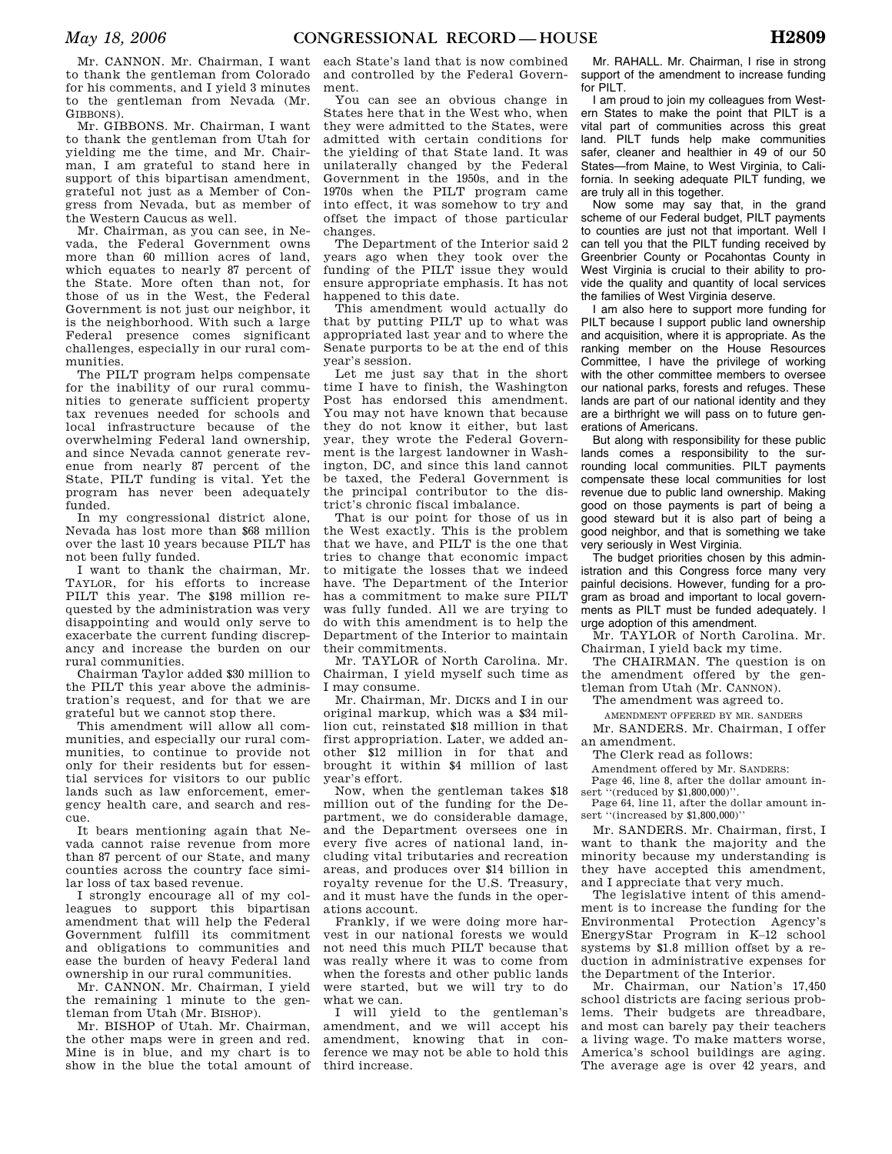Mr. CANNON. Mr. Chairman, I want to thank the gentleman from Colorado for his comments, and I yield 3 minutes to the gentleman from Nevada (Mr. GIBBONS).

Mr. GIBBONS. Mr. Chairman, I want to thank the gentleman from Utah for yielding me the time, and Mr. Chairman, I am grateful to stand here in support of this bipartisan amendment. grateful not just as a Member of Congress from Nevada, but as member of the Western Caucus as well.

Mr. Chairman, as you can see, in Nevada, the Federal Government owns more than 60 million acres of land, which equates to nearly 87 percent of the State. More often than not, for those of us in the West, the Federal Government is not just our neighbor, it is the neighborhood. With such a large Federal presence comes significant challenges, especially in our rural communities.

The PILT program helps compensate for the inability of our rural communities to generate sufficient property tax revenues needed for schools and local infrastructure because of the overwhelming Federal land ownership, and since Nevada cannot generate revenue from nearly 87 percent of the State, PILT funding is vital. Yet the program has never been adequately funded.

In my congressional district alone, Nevada has lost more than \$68 million over the last 10 years because PILT has not been fully funded.

I want to thank the chairman, Mr. TAYLOR, for his efforts to increase PILT this year. The \$198 million requested by the administration was very disappointing and would only serve to exacerbate the current funding discrepancy and increase the burden on our rural communities.

Chairman Taylor added \$30 million to the PILT this year above the administration's request, and for that we are grateful but we cannot stop there.

This amendment will allow all communities, and especially our rural communities, to continue to provide not only for their residents but for essential services for visitors to our public lands such as law enforcement, emergency health care, and search and rescue.

It bears mentioning again that Nevada cannot raise revenue from more than 87 percent of our State, and many counties across the country face similar loss of tax based revenue.

I strongly encourage all of my colleagues to support this bipartisan amendment that will help the Federal Government fulfill its commitment and obligations to communities and ease the burden of heavy Federal land ownership in our rural communities.

Mr. CANNON. Mr. Chairman, I yield the remaining 1 minute to the gentleman from Utah (Mr. BISHOP).

Mr. BISHOP of Utah. Mr. Chairman, the other maps were in green and red. Mine is in blue, and my chart is to show in the blue the total amount of

each State's land that is now combined and controlled by the Federal Government.

You can see an obvious change in States here that in the West who, when they were admitted to the States, were admitted with certain conditions for the yielding of that State land. It was unilaterally changed by the Federal Government in the 1950s, and in the 1970s when the PILT program came into effect, it was somehow to try and offset the impact of those particular changes.

The Department of the Interior said 2 years ago when they took over the funding of the PILT issue they would ensure appropriate emphasis. It has not happened to this date.

This amendment would actually do that by putting PILT up to what was appropriated last year and to where the Senate purports to be at the end of this year's session.

Let me just say that in the short time I have to finish, the Washington Post has endorsed this amendment. You may not have known that because they do not know it either, but last year, they wrote the Federal Government is the largest landowner in Washington, DC, and since this land cannot be taxed, the Federal Government is the principal contributor to the district's chronic fiscal imbalance.

That is our point for those of us in the West exactly. This is the problem that we have, and PILT is the one that tries to change that economic impact to mitigate the losses that we indeed have. The Department of the Interior has a commitment to make sure PILT was fully funded. All we are trying to do with this amendment is to help the Department of the Interior to maintain their commitments.

Mr. TAYLOR of North Carolina. Mr. Chairman, I yield myself such time as I may consume.

Mr. Chairman, Mr. DICKS and I in our original markup, which was a \$34 million cut, reinstated \$18 million in that first appropriation. Later, we added another \$12 million in for that and brought it within \$4 million of last year's effort.

Now, when the gentleman takes \$18 million out of the funding for the Department, we do considerable damage, and the Department oversees one in every five acres of national land, including vital tributaries and recreation areas, and produces over \$14 billion in royalty revenue for the U.S. Treasury, and it must have the funds in the operations account.

Frankly, if we were doing more harvest in our national forests we would not need this much PILT because that was really where it was to come from when the forests and other public lands were started, but we will try to do what we can.

I will yield to the gentleman's amendment, and we will accept his amendment, knowing that in conference we may not be able to hold this third increase.

Mr. RAHALL. Mr. Chairman, I rise in strong support of the amendment to increase funding for PILT.

I am proud to join my colleagues from Western States to make the point that PILT is a vital part of communities across this great land. PILT funds help make communities safer, cleaner and healthier in 49 of our 50 States—from Maine, to West Virginia, to California. In seeking adequate PILT funding, we are truly all in this together.

Now some may say that, in the grand scheme of our Federal budget, PILT payments to counties are just not that important. Well I can tell you that the PILT funding received by Greenbrier County or Pocahontas County in West Virginia is crucial to their ability to provide the quality and quantity of local services the families of West Virginia deserve.

I am also here to support more funding for PILT because I support public land ownership and acquisition, where it is appropriate. As the ranking member on the House Resources Committee, I have the privilege of working with the other committee members to oversee our national parks, forests and refuges. These lands are part of our national identity and they are a birthright we will pass on to future generations of Americans.

But along with responsibility for these public lands comes a responsibility to the surrounding local communities. PILT payments compensate these local communities for lost revenue due to public land ownership. Making good on those payments is part of being a good steward but it is also part of being a good neighbor, and that is something we take very seriously in West Virginia.

The budget priorities chosen by this administration and this Congress force many very painful decisions. However, funding for a program as broad and important to local governments as PILT must be funded adequately. I urge adoption of this amendment.

Mr. TAYLOR of North Carolina. Mr. Chairman, I yield back my time.

The CHAIRMAN. The question is on the amendment offered by the gentleman from Utah (Mr. CANNON).

The amendment was agreed to.

AMENDMENT OFFERED BY MR. SANDERS

Mr. SANDERS. Mr. Chairman, I offer an amendment.

The Clerk read as follows:

Amendment offered by Mr. SANDERS: Page 46, line 8, after the dollar amount in-

sert "(reduced by \$1,800,000)". Page 64, line 11, after the dollar amount insert "(increased by \$1,800,000)"

Mr. SANDERS. Mr. Chairman, first, I want to thank the majority and the minority because my understanding is they have accepted this amendment,

and I appreciate that very much. The legislative intent of this amendment is to increase the funding for the Environmental Protection Agency's EnergyStar Program in K–12 school systems by \$1.8 million offset by a reduction in administrative expenses for the Department of the Interior.

Mr. Chairman, our Nation's 17,450 school districts are facing serious problems. Their budgets are threadbare, and most can barely pay their teachers a living wage. To make matters worse, America's school buildings are aging. The average age is over 42 years, and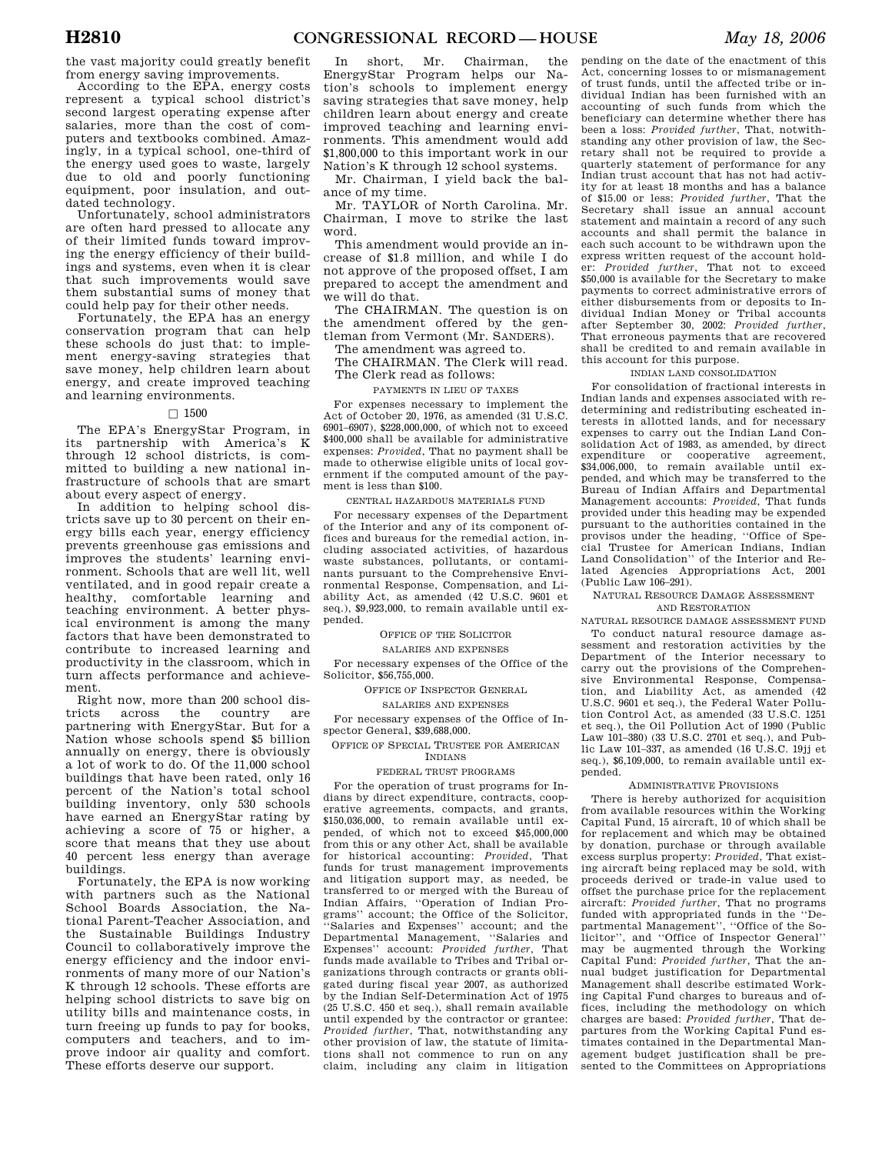the vast majority could greatly benefit from energy saving improvements.

According to the EPA, energy costs represent a typical school district's second largest operating expense after salaries, more than the cost of computers and textbooks combined. Amazingly, in a typical school, one-third of the energy used goes to waste, largely due to old and poorly functioning equipment, poor insulation, and outdated technology.

Unfortunately, school administrators are often hard pressed to allocate any of their limited funds toward improving the energy efficiency of their buildings and systems, even when it is clear that such improvements would save them substantial sums of money that could help pay for their other needs.

Fortunately, the EPA has an energy conservation program that can help these schools do just that: to implement energy-saving strategies that save money, help children learn about energy, and create improved teaching and learning environments.

## $\Box$  1500

The EPA's EnergyStar Program, in its partnership with America's K through 12 school districts, is committed to building a new national infrastructure of schools that are smart about every aspect of energy.

In addition to helping school districts save up to 30 percent on their energy bills each year, energy efficiency prevents greenhouse gas emissions and improves the students' learning environment. Schools that are well lit, well ventilated, and in good repair create a healthy, comfortable learning and teaching environment. A better physical environment is among the many factors that have been demonstrated to contribute to increased learning and productivity in the classroom, which in turn affects performance and achievement.

Right now, more than 200 school districts across the country are partnering with EnergyStar. But for a Nation whose schools spend \$5 billion annually on energy, there is obviously a lot of work to do. Of the 11,000 school buildings that have been rated, only 16 percent of the Nation's total school building inventory, only 530 schools have earned an EnergyStar rating by achieving a score of 75 or higher, a score that means that they use about 40 percent less energy than average buildings.

Fortunately, the EPA is now working with partners such as the National School Boards Association, the National Parent-Teacher Association, and the Sustainable Buildings Industry Council to collaboratively improve the energy efficiency and the indoor environments of many more of our Nation's K through 12 schools. These efforts are helping school districts to save big on utility bills and maintenance costs, in turn freeing up funds to pay for books, computers and teachers, and to improve indoor air quality and comfort. These efforts deserve our support.

In short, Mr. Chairman, the EnergyStar Program helps our Nation's schools to implement energy saving strategies that save money, help children learn about energy and create improved teaching and learning environments. This amendment would add \$1,800,000 to this important work in our Nation's K through 12 school systems.

Mr. Chairman, I yield back the balance of my time.

Mr. TAYLOR of North Carolina. Mr. Chairman, I move to strike the last word.

This amendment would provide an increase of \$1.8 million, and while I do not approve of the proposed offset, I am prepared to accept the amendment and we will do that.

The CHAIRMAN. The question is on the amendment offered by the gentleman from Vermont (Mr. SANDERS).

The amendment was agreed to.

The CHAIRMAN. The Clerk will read. The Clerk read as follows:

PAYMENTS IN LIEU OF TAXES

For expenses necessary to implement the Act of October 20, 1976, as amended (31 U.S.C. 6901–6907), \$228,000,000, of which not to exceed \$400,000 shall be available for administrative expenses: *Provided*, That no payment shall be made to otherwise eligible units of local government if the computed amount of the payment is less than \$100.

## CENTRAL HAZARDOUS MATERIALS FUND

For necessary expenses of the Department of the Interior and any of its component offices and bureaus for the remedial action, including associated activities, of hazardous waste substances, pollutants, or contaminants pursuant to the Comprehensive Environmental Response, Compensation, and Liability Act, as amended (42 U.S.C. 9601 et seq.), \$9,923,000, to remain available until expended.

OFFICE OF THE SOLICITOR

# SALARIES AND EXPENSES

For necessary expenses of the Office of the Solicitor, \$56,755,000.

#### OFFICE OF INSPECTOR GENERAL

SALARIES AND EXPENSES

For necessary expenses of the Office of Inspector General, \$39,688,000.

## OFFICE OF SPECIAL TRUSTEE FOR AMERICAN INDIANS

FEDERAL TRUST PROGRAMS

For the operation of trust programs for Indians by direct expenditure, contracts, cooperative agreements, compacts, and grants, \$150,036,000, to remain available until expended, of which not to exceed \$45,000,000 from this or any other Act, shall be available for historical accounting: *Provided*, That funds for trust management improvements and litigation support may, as needed, be transferred to or merged with the Bureau of Indian Affairs, ''Operation of Indian Programs'' account; the Office of the Solicitor, ''Salaries and Expenses'' account; and the Departmental Management, ''Salaries and Expenses'' account: *Provided further*, That funds made available to Tribes and Tribal organizations through contracts or grants obligated during fiscal year 2007, as authorized by the Indian Self-Determination Act of 1975 (25 U.S.C. 450 et seq.), shall remain available until expended by the contractor or grantee: *Provided further*, That, notwithstanding any other provision of law, the statute of limitations shall not commence to run on any claim, including any claim in litigation

pending on the date of the enactment of this Act, concerning losses to or mismanagement of trust funds, until the affected tribe or individual Indian has been furnished with an accounting of such funds from which the beneficiary can determine whether there has been a loss: *Provided further*, That, notwithstanding any other provision of law, the Secretary shall not be required to provide a quarterly statement of performance for any Indian trust account that has not had activity for at least 18 months and has a balance of \$15.00 or less: *Provided further*, That the Secretary shall issue an annual account statement and maintain a record of any such accounts and shall permit the balance in each such account to be withdrawn upon the express written request of the account holder: *Provided further*, That not to exceed \$50,000 is available for the Secretary to make payments to correct administrative errors of either disbursements from or deposits to Individual Indian Money or Tribal accounts after September 30, 2002: *Provided further*, That erroneous payments that are recovered shall be credited to and remain available in this account for this purpose.

#### INDIAN LAND CONSOLIDATION

For consolidation of fractional interests in Indian lands and expenses associated with redetermining and redistributing escheated interests in allotted lands, and for necessary expenses to carry out the Indian Land Consolidation Act of 1983, as amended, by direct expenditure or cooperative agreement, \$34,006,000, to remain available until expended, and which may be transferred to the Bureau of Indian Affairs and Departmental Management accounts: *Provided*, That funds provided under this heading may be expended pursuant to the authorities contained in the provisos under the heading*,* ''Office of Special Trustee for American Indians, Indian Land Consolidation'' of the Interior and Related Agencies Appropriations Act, 2001 (Public Law 106–291).

NATURAL RESOURCE DAMAGE ASSESSMENT AND RESTORATION

NATURAL RESOURCE DAMAGE ASSESSMENT FUND

To conduct natural resource damage assessment and restoration activities by the Department of the Interior necessary to carry out the provisions of the Comprehensive Environmental Response, Compensation, and Liability Act, as amended (42 U.S.C. 9601 et seq.), the Federal Water Pollution Control Act, as amended (33 U.S.C. 1251 et seq.), the Oil Pollution Act of 1990 (Public Law 101–380) (33 U.S.C. 2701 et seq.), and Public Law 101–337, as amended (16 U.S.C. 19jj et seq.), \$6,109,000, to remain available until expended.

#### ADMINISTRATIVE PROVISIONS

There is hereby authorized for acquisition from available resources within the Working Capital Fund, 15 aircraft, 10 of which shall be for replacement and which may be obtained by donation, purchase or through available excess surplus property: *Provided*, That existing aircraft being replaced may be sold, with proceeds derived or trade-in value used to offset the purchase price for the replacement aircraft: *Provided further*, That no programs funded with appropriated funds in the ''Departmental Management'', ''Office of the Solicitor'', and ''Office of Inspector General'' may be augmented through the Working Capital Fund: *Provided further*, That the annual budget justification for Departmental Management shall describe estimated Working Capital Fund charges to bureaus and offices, including the methodology on which charges are based: *Provided further*, That departures from the Working Capital Fund estimates contained in the Departmental Management budget justification shall be presented to the Committees on Appropriations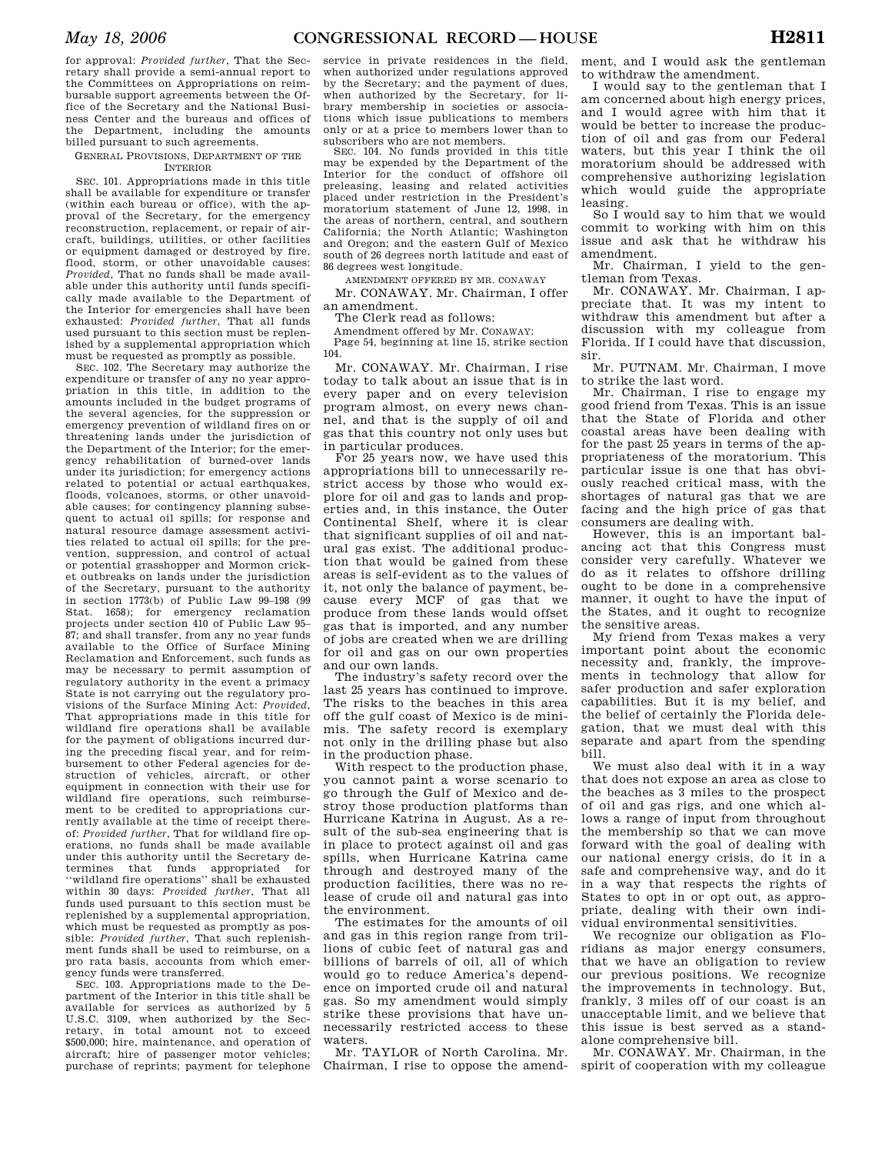for approval: *Provided further*, That the Secretary shall provide a semi-annual report to the Committees on Appropriations on reimbursable support agreements between the Office of the Secretary and the National Business Center and the bureaus and offices of the Department, including the amounts billed pursuant to such agreements.

## GENERAL PROVISIONS, DEPARTMENT OF THE INTERIOR

SEC. 101. Appropriations made in this title shall be available for expenditure or transfer (within each bureau or office), with the approval of the Secretary, for the emergency reconstruction, replacement, or repair of aircraft, buildings, utilities, or other facilities or equipment damaged or destroyed by fire, flood, storm, or other unavoidable causes: *Provided*, That no funds shall be made available under this authority until funds specifically made available to the Department of the Interior for emergencies shall have been exhausted: *Provided further*, That all funds used pursuant to this section must be replenished by a supplemental appropriation which must be requested as promptly as possible.

SEC. 102. The Secretary may authorize the expenditure or transfer of any no year appropriation in this title, in addition to the amounts included in the budget programs of the several agencies, for the suppression or emergency prevention of wildland fires on or threatening lands under the jurisdiction of the Department of the Interior; for the emergency rehabilitation of burned-over lands under its jurisdiction; for emergency actions related to potential or actual earthquakes, floods, volcanoes, storms, or other unavoidable causes; for contingency planning subsequent to actual oil spills; for response and natural resource damage assessment activities related to actual oil spills; for the prevention, suppression, and control of actual or potential grasshopper and Mormon cricket outbreaks on lands under the jurisdiction of the Secretary, pursuant to the authority in section 1773(b) of Public Law 99–198 (99 Stat. 1658); for emergency reclamation projects under section 410 of Public Law 95– 87; and shall transfer, from any no year funds available to the Office of Surface Mining Reclamation and Enforcement, such funds as may be necessary to permit assumption of regulatory authority in the event a primacy State is not carrying out the regulatory provisions of the Surface Mining Act: *Provided*, That appropriations made in this title for wildland fire operations shall be available for the payment of obligations incurred during the preceding fiscal year, and for reimbursement to other Federal agencies for destruction of vehicles, aircraft, or other equipment in connection with their use for wildland fire operations, such reimbursement to be credited to appropriations currently available at the time of receipt thereof: *Provided further*, That for wildland fire operations, no funds shall be made available under this authority until the Secretary determines that funds appropriated for ''wildland fire operations'' shall be exhausted within 30 days: *Provided further*, That all funds used pursuant to this section must be replenished by a supplemental appropriation, which must be requested as promptly as possible: *Provided further*, That such replenishment funds shall be used to reimburse, on a pro rata basis, accounts from which emergency funds were transferred.

SEC. 103. Appropriations made to the Department of the Interior in this title shall be available for services as authorized by 5 U.S.C. 3109, when authorized by the Secretary, in total amount not to exceed \$500,000; hire, maintenance, and operation of aircraft; hire of passenger motor vehicles; purchase of reprints; payment for telephone

service in private residences in the field, when authorized under regulations approved by the Secretary; and the payment of dues, when authorized by the Secretary, for library membership in societies or associations which issue publications to members only or at a price to members lower than to subscribers who are not members.

SEC. 104. No funds provided in this title may be expended by the Department of the Interior for the conduct of offshore oil preleasing, leasing and related activities placed under restriction in the President's moratorium statement of June 12, 1998, in the areas of northern, central, and southern California; the North Atlantic; Washington and Oregon; and the eastern Gulf of Mexico south of 26 degrees north latitude and east of 86 degrees west longitude.

AMENDMENT OFFERED BY MR. CONAWAY

Mr. CONAWAY. Mr. Chairman, I offer an amendment.

The Clerk read as follows:

Amendment offered by Mr. CONAWAY: Page 54, beginning at line 15, strike section 104.

Mr. CONAWAY. Mr. Chairman, I rise today to talk about an issue that is in every paper and on every television program almost, on every news channel, and that is the supply of oil and gas that this country not only uses but in particular produces.

For 25 years now, we have used this appropriations bill to unnecessarily restrict access by those who would explore for oil and gas to lands and properties and, in this instance, the Outer Continental Shelf, where it is clear that significant supplies of oil and natural gas exist. The additional production that would be gained from these areas is self-evident as to the values of it, not only the balance of payment, because every MCF of gas that we produce from these lands would offset gas that is imported, and any number of jobs are created when we are drilling for oil and gas on our own properties and our own lands.

The industry's safety record over the last 25 years has continued to improve. The risks to the beaches in this area off the gulf coast of Mexico is de minimis. The safety record is exemplary not only in the drilling phase but also in the production phase.

With respect to the production phase, you cannot paint a worse scenario to go through the Gulf of Mexico and destroy those production platforms than Hurricane Katrina in August. As a result of the sub-sea engineering that is in place to protect against oil and gas spills, when Hurricane Katrina came through and destroyed many of the production facilities, there was no release of crude oil and natural gas into the environment.

The estimates for the amounts of oil and gas in this region range from trillions of cubic feet of natural gas and billions of barrels of oil, all of which would go to reduce America's dependence on imported crude oil and natural gas. So my amendment would simply strike these provisions that have unnecessarily restricted access to these waters.

Mr. TAYLOR of North Carolina. Mr. Chairman, I rise to oppose the amendment, and I would ask the gentleman to withdraw the amendment.

I would say to the gentleman that I am concerned about high energy prices, and I would agree with him that it would be better to increase the production of oil and gas from our Federal waters, but this year I think the oil moratorium should be addressed with comprehensive authorizing legislation which would guide the appropriate leasing.

So I would say to him that we would commit to working with him on this issue and ask that he withdraw his amendment.

Mr. Chairman, I yield to the gentleman from Texas.

Mr. CONAWAY. Mr. Chairman, I appreciate that. It was my intent to withdraw this amendment but after a discussion with my colleague from Florida. If I could have that discussion, sir.

Mr. PUTNAM. Mr. Chairman, I move to strike the last word.

Mr. Chairman, I rise to engage my good friend from Texas. This is an issue that the State of Florida and other coastal areas have been dealing with for the past 25 years in terms of the appropriateness of the moratorium. This particular issue is one that has obviously reached critical mass, with the shortages of natural gas that we are facing and the high price of gas that consumers are dealing with.

However, this is an important balancing act that this Congress must consider very carefully. Whatever we do as it relates to offshore drilling ought to be done in a comprehensive manner, it ought to have the input of the States, and it ought to recognize the sensitive areas.

My friend from Texas makes a very important point about the economic necessity and, frankly, the improvements in technology that allow for safer production and safer exploration capabilities. But it is my belief, and the belief of certainly the Florida delegation, that we must deal with this separate and apart from the spending bill.

We must also deal with it in a way that does not expose an area as close to the beaches as 3 miles to the prospect of oil and gas rigs, and one which allows a range of input from throughout the membership so that we can move forward with the goal of dealing with our national energy crisis, do it in a safe and comprehensive way, and do it in a way that respects the rights of States to opt in or opt out, as appropriate, dealing with their own individual environmental sensitivities.

We recognize our obligation as Floridians as major energy consumers, that we have an obligation to review our previous positions. We recognize the improvements in technology. But, frankly, 3 miles off of our coast is an unacceptable limit, and we believe that this issue is best served as a standalone comprehensive bill.

Mr. CONAWAY. Mr. Chairman, in the spirit of cooperation with my colleague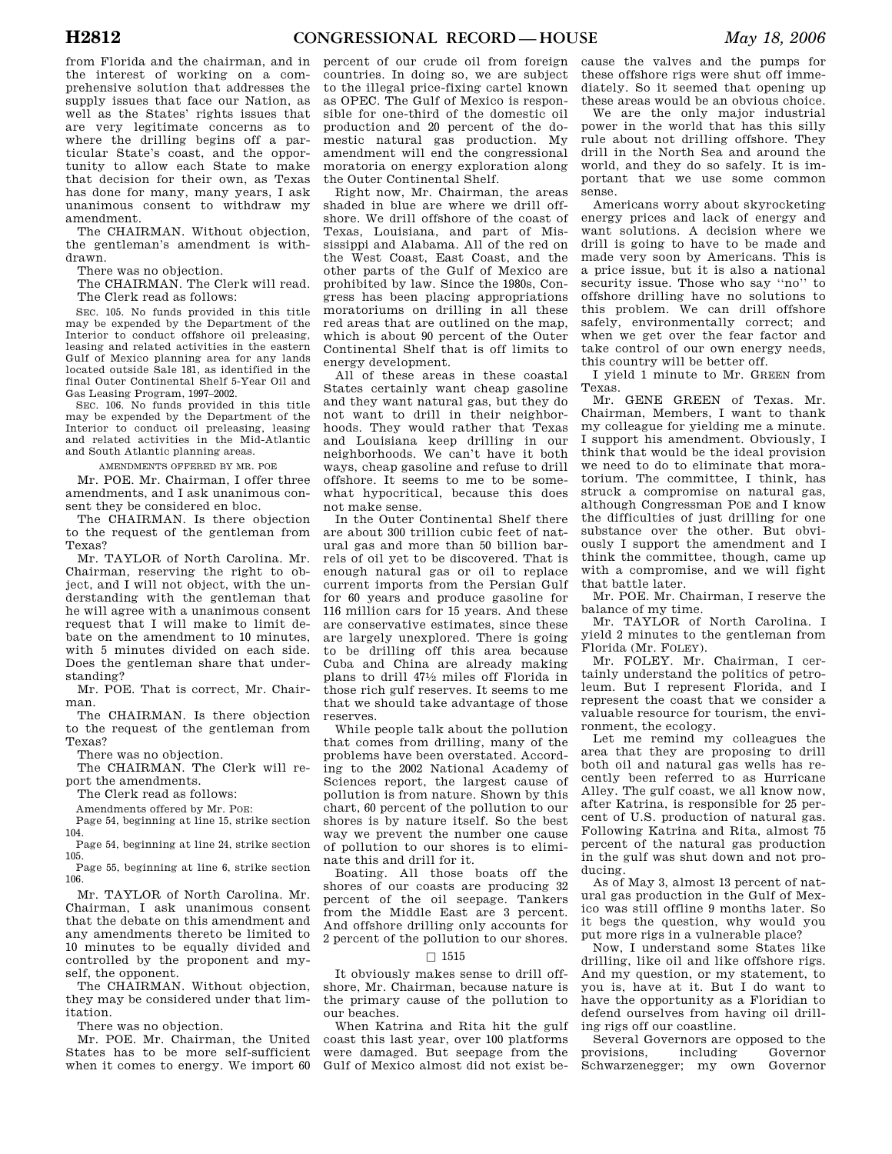from Florida and the chairman, and in the interest of working on a comprehensive solution that addresses the supply issues that face our Nation, as well as the States' rights issues that are very legitimate concerns as to where the drilling begins off a particular State's coast, and the opportunity to allow each State to make that decision for their own, as Texas has done for many, many years, I ask unanimous consent to withdraw my amendment.

The CHAIRMAN. Without objection, the gentleman's amendment is withdrawn.

There was no objection.

The CHAIRMAN. The Clerk will read. The Clerk read as follows:

SEC. 105. No funds provided in this title may be expended by the Department of the Interior to conduct offshore oil preleasing, leasing and related activities in the eastern Gulf of Mexico planning area for any lands located outside Sale 181, as identified in the final Outer Continental Shelf 5-Year Oil and Gas Leasing Program, 1997–2002.

SEC. 106. No funds provided in this title may be expended by the Department of the Interior to conduct oil preleasing, leasing and related activities in the Mid-Atlantic and South Atlantic planning areas.

AMENDMENTS OFFERED BY MR. POE

Mr. POE. Mr. Chairman, I offer three amendments, and I ask unanimous consent they be considered en bloc.

The CHAIRMAN. Is there objection to the request of the gentleman from Texas?

Mr. TAYLOR of North Carolina. Mr. Chairman, reserving the right to object, and I will not object, with the understanding with the gentleman that he will agree with a unanimous consent request that I will make to limit debate on the amendment to 10 minutes, with 5 minutes divided on each side. Does the gentleman share that understanding?

Mr. POE. That is correct, Mr. Chairman.

The CHAIRMAN. Is there objection to the request of the gentleman from Texas?

There was no objection.

The CHAIRMAN. The Clerk will report the amendments.

The Clerk read as follows:

Amendments offered by Mr. POE:

Page 54, beginning at line 15, strike section 104.

Page 54, beginning at line 24, strike section 105.

Page 55, beginning at line 6, strike section 106.

Mr. TAYLOR of North Carolina. Mr. Chairman, I ask unanimous consent that the debate on this amendment and any amendments thereto be limited to 10 minutes to be equally divided and controlled by the proponent and myself, the opponent.

The CHAIRMAN. Without objection, they may be considered under that limitation.

There was no objection.

Mr. POE. Mr. Chairman, the United States has to be more self-sufficient when it comes to energy. We import 60

percent of our crude oil from foreign countries. In doing so, we are subject to the illegal price-fixing cartel known as OPEC. The Gulf of Mexico is responsible for one-third of the domestic oil production and 20 percent of the domestic natural gas production. My amendment will end the congressional moratoria on energy exploration along the Outer Continental Shelf.

Right now, Mr. Chairman, the areas shaded in blue are where we drill offshore. We drill offshore of the coast of Texas, Louisiana, and part of Mississippi and Alabama. All of the red on the West Coast, East Coast, and the other parts of the Gulf of Mexico are prohibited by law. Since the 1980s, Congress has been placing appropriations moratoriums on drilling in all these red areas that are outlined on the map, which is about 90 percent of the Outer Continental Shelf that is off limits to energy development.

All of these areas in these coastal States certainly want cheap gasoline and they want natural gas, but they do not want to drill in their neighborhoods. They would rather that Texas and Louisiana keep drilling in our neighborhoods. We can't have it both ways, cheap gasoline and refuse to drill offshore. It seems to me to be somewhat hypocritical, because this does not make sense.

In the Outer Continental Shelf there are about 300 trillion cubic feet of natural gas and more than 50 billion barrels of oil yet to be discovered. That is enough natural gas or oil to replace current imports from the Persian Gulf for 60 years and produce gasoline for 116 million cars for 15 years. And these are conservative estimates, since these are largely unexplored. There is going to be drilling off this area because Cuba and China are already making plans to drill 471⁄2 miles off Florida in those rich gulf reserves. It seems to me that we should take advantage of those reserves.

While people talk about the pollution that comes from drilling, many of the problems have been overstated. According to the 2002 National Academy of Sciences report, the largest cause of pollution is from nature. Shown by this chart, 60 percent of the pollution to our shores is by nature itself. So the best way we prevent the number one cause of pollution to our shores is to eliminate this and drill for it.

Boating. All those boats off the shores of our coasts are producing 32 percent of the oil seepage. Tankers from the Middle East are 3 percent. And offshore drilling only accounts for 2 percent of the pollution to our shores.

## $\square$  1515

It obviously makes sense to drill offshore, Mr. Chairman, because nature is the primary cause of the pollution to our beaches.

When Katrina and Rita hit the gulf coast this last year, over 100 platforms were damaged. But seepage from the Gulf of Mexico almost did not exist be-

cause the valves and the pumps for these offshore rigs were shut off immediately. So it seemed that opening up these areas would be an obvious choice.

We are the only major industrial power in the world that has this silly rule about not drilling offshore. They drill in the North Sea and around the world, and they do so safely. It is important that we use some common sense.

Americans worry about skyrocketing energy prices and lack of energy and want solutions. A decision where we drill is going to have to be made and made very soon by Americans. This is a price issue, but it is also a national security issue. Those who say ''no'' to offshore drilling have no solutions to this problem. We can drill offshore safely, environmentally correct; and when we get over the fear factor and take control of our own energy needs, this country will be better off.

I yield 1 minute to Mr. GREEN from Texas.

Mr. GENE GREEN of Texas. Mr. Chairman, Members, I want to thank my colleague for yielding me a minute. I support his amendment. Obviously, I think that would be the ideal provision we need to do to eliminate that moratorium. The committee, I think, has struck a compromise on natural gas, although Congressman POE and I know the difficulties of just drilling for one substance over the other. But obviously I support the amendment and I think the committee, though, came up with a compromise, and we will fight that battle later.

Mr. POE. Mr. Chairman, I reserve the balance of my time.

Mr. TAYLOR of North Carolina. I yield 2 minutes to the gentleman from Florida (Mr. FOLEY).

Mr. FOLEY. Mr. Chairman, I certainly understand the politics of petroleum. But I represent Florida, and I represent the coast that we consider a valuable resource for tourism, the environment, the ecology.

Let me remind my colleagues the area that they are proposing to drill both oil and natural gas wells has recently been referred to as Hurricane Alley. The gulf coast, we all know now, after Katrina, is responsible for 25 percent of U.S. production of natural gas. Following Katrina and Rita, almost 75 percent of the natural gas production in the gulf was shut down and not producing.

As of May 3, almost 13 percent of natural gas production in the Gulf of Mexico was still offline 9 months later. So it begs the question, why would you put more rigs in a vulnerable place?

Now, I understand some States like drilling, like oil and like offshore rigs. And my question, or my statement, to you is, have at it. But I do want to have the opportunity as a Floridian to defend ourselves from having oil drilling rigs off our coastline.

Several Governors are opposed to the provisions, including Governor Schwarzenegger; my own Governor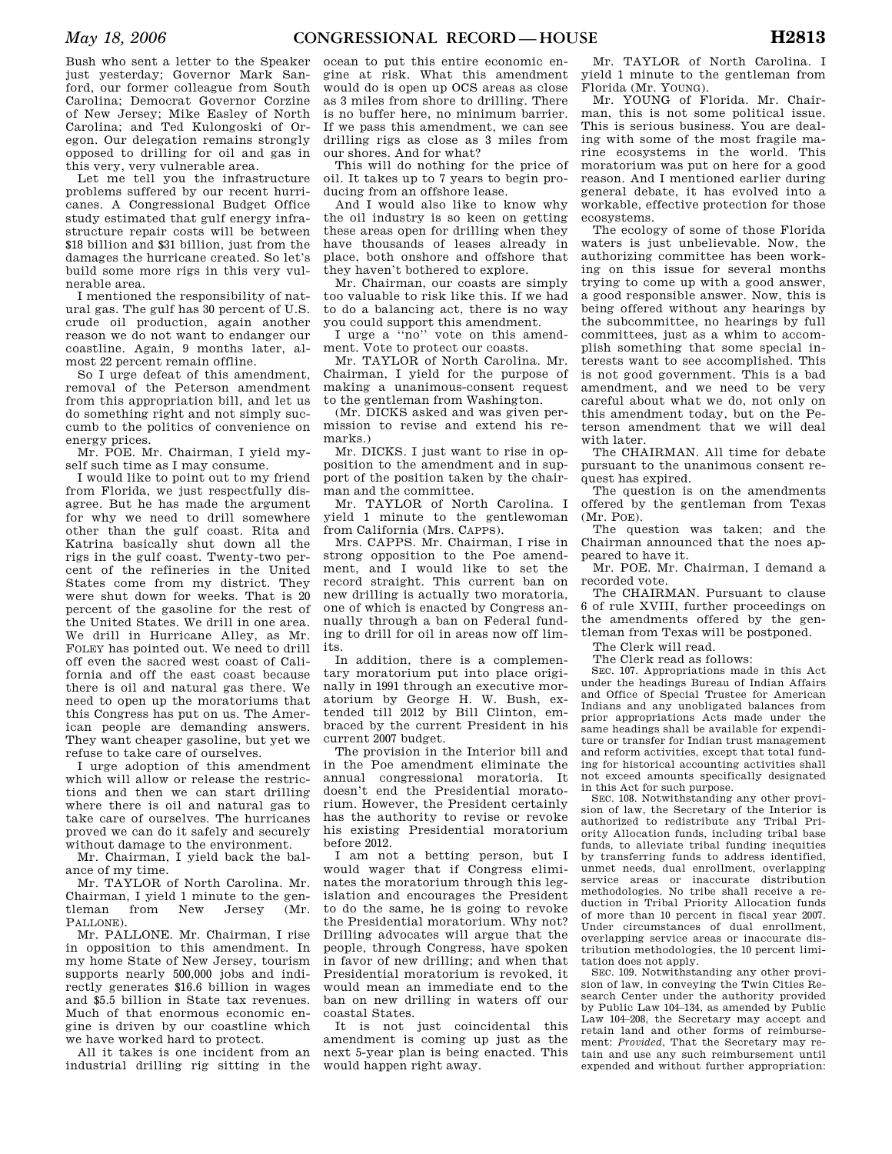Bush who sent a letter to the Speaker just yesterday; Governor Mark Sanford, our former colleague from South Carolina; Democrat Governor Corzine of New Jersey; Mike Easley of North Carolina; and Ted Kulongoski of Oregon. Our delegation remains strongly opposed to drilling for oil and gas in this very, very vulnerable area.

Let me tell you the infrastructure problems suffered by our recent hurricanes. A Congressional Budget Office study estimated that gulf energy infrastructure repair costs will be between \$18 billion and \$31 billion, just from the damages the hurricane created. So let's build some more rigs in this very vulnerable area.

I mentioned the responsibility of natural gas. The gulf has 30 percent of U.S. crude oil production, again another reason we do not want to endanger our coastline. Again, 9 months later, almost 22 percent remain offline.

So I urge defeat of this amendment, removal of the Peterson amendment from this appropriation bill, and let us do something right and not simply succumb to the politics of convenience on energy prices.

Mr. POE. Mr. Chairman, I yield myself such time as I may consume.

I would like to point out to my friend from Florida, we just respectfully disagree. But he has made the argument for why we need to drill somewhere other than the gulf coast. Rita and Katrina basically shut down all the rigs in the gulf coast. Twenty-two percent of the refineries in the United States come from my district. They were shut down for weeks. That is 20 percent of the gasoline for the rest of the United States. We drill in one area. We drill in Hurricane Alley, as Mr. FOLEY has pointed out. We need to drill off even the sacred west coast of California and off the east coast because there is oil and natural gas there. We need to open up the moratoriums that this Congress has put on us. The American people are demanding answers. They want cheaper gasoline, but yet we refuse to take care of ourselves.

I urge adoption of this amendment which will allow or release the restrictions and then we can start drilling where there is oil and natural gas to take care of ourselves. The hurricanes proved we can do it safely and securely without damage to the environment.

Mr. Chairman, I yield back the balance of my time.

Mr. TAYLOR of North Carolina. Mr. Chairman, I yield 1 minute to the gentleman from New Jersey (Mr. PALLONE).

Mr. PALLONE. Mr. Chairman, I rise in opposition to this amendment. In my home State of New Jersey, tourism supports nearly 500,000 jobs and indirectly generates \$16.6 billion in wages and \$5.5 billion in State tax revenues. Much of that enormous economic engine is driven by our coastline which we have worked hard to protect.

All it takes is one incident from an industrial drilling rig sitting in the

ocean to put this entire economic engine at risk. What this amendment would do is open up OCS areas as close as 3 miles from shore to drilling. There is no buffer here, no minimum barrier. If we pass this amendment, we can see drilling rigs as close as 3 miles from our shores. And for what?

This will do nothing for the price of oil. It takes up to 7 years to begin producing from an offshore lease.

And I would also like to know why the oil industry is so keen on getting these areas open for drilling when they have thousands of leases already in place, both onshore and offshore that they haven't bothered to explore.

Mr. Chairman, our coasts are simply too valuable to risk like this. If we had to do a balancing act, there is no way you could support this amendment.

I urge a ''no'' vote on this amendment. Vote to protect our coasts.

Mr. TAYLOR of North Carolina. Mr. Chairman, I yield for the purpose of making a unanimous-consent request to the gentleman from Washington.

(Mr. DICKS asked and was given permission to revise and extend his remarks)

Mr. DICKS. I just want to rise in opposition to the amendment and in support of the position taken by the chairman and the committee.

Mr. TAYLOR of North Carolina. I yield 1 minute to the gentlewoman from California (Mrs. CAPPS).

Mrs. CAPPS. Mr. Chairman, I rise in strong opposition to the Poe amendment, and I would like to set the record straight. This current ban on new drilling is actually two moratoria, one of which is enacted by Congress annually through a ban on Federal funding to drill for oil in areas now off limits.

In addition, there is a complementary moratorium put into place originally in 1991 through an executive moratorium by George H. W. Bush, extended till 2012 by Bill Clinton, embraced by the current President in his current 2007 budget.

The provision in the Interior bill and in the Poe amendment eliminate the annual congressional moratoria. It doesn't end the Presidential moratorium. However, the President certainly has the authority to revise or revoke his existing Presidential moratorium before 2012.

I am not a betting person, but I would wager that if Congress eliminates the moratorium through this legislation and encourages the President to do the same, he is going to revoke the Presidential moratorium. Why not? Drilling advocates will argue that the people, through Congress, have spoken in favor of new drilling; and when that Presidential moratorium is revoked, it would mean an immediate end to the ban on new drilling in waters off our coastal States.

It is not just coincidental this amendment is coming up just as the next 5-year plan is being enacted. This would happen right away.

Mr. TAYLOR of North Carolina. I yield 1 minute to the gentleman from Florida (Mr. YOUNG).

Mr. YOUNG of Florida. Mr. Chairman, this is not some political issue. This is serious business. You are dealing with some of the most fragile marine ecosystems in the world. This moratorium was put on here for a good reason. And I mentioned earlier during general debate, it has evolved into a workable, effective protection for those ecosystems.

The ecology of some of those Florida waters is just unbelievable. Now, the authorizing committee has been working on this issue for several months trying to come up with a good answer, a good responsible answer. Now, this is being offered without any hearings by the subcommittee, no hearings by full committees, just as a whim to accomplish something that some special interests want to see accomplished. This is not good government. This is a bad amendment, and we need to be very careful about what we do, not only on this amendment today, but on the Peterson amendment that we will deal with later.

The CHAIRMAN. All time for debate pursuant to the unanimous consent request has expired.

The question is on the amendments offered by the gentleman from Texas (Mr. POE).

The question was taken; and the Chairman announced that the noes appeared to have it.

Mr. POE. Mr. Chairman, I demand a recorded vote.

The CHAIRMAN. Pursuant to clause 6 of rule XVIII, further proceedings on the amendments offered by the gentleman from Texas will be postponed.

The Clerk will read.

The Clerk read as follows:

SEC. 107. Appropriations made in this Act under the headings Bureau of Indian Affairs and Office of Special Trustee for American Indians and any unobligated balances from prior appropriations Acts made under the same headings shall be available for expenditure or transfer for Indian trust management and reform activities, except that total funding for historical accounting activities shall not exceed amounts specifically designated in this Act for such purpose.

SEC. 108. Notwithstanding any other provision of law, the Secretary of the Interior is authorized to redistribute any Tribal Priority Allocation funds, including tribal base funds, to alleviate tribal funding inequities by transferring funds to address identified, unmet needs, dual enrollment, overlapping service areas or inaccurate distribution methodologies. No tribe shall receive a reduction in Tribal Priority Allocation funds of more than 10 percent in fiscal year 2007. Under circumstances of dual enrollment, overlapping service areas or inaccurate distribution methodologies, the 10 percent limitation does not apply.

SEC. 109. Notwithstanding any other provision of law, in conveying the Twin Cities Research Center under the authority provided by Public Law 104–134, as amended by Public Law 104–208, the Secretary may accept and retain land and other forms of reimbursement: *Provided*, That the Secretary may retain and use any such reimbursement until expended and without further appropriation: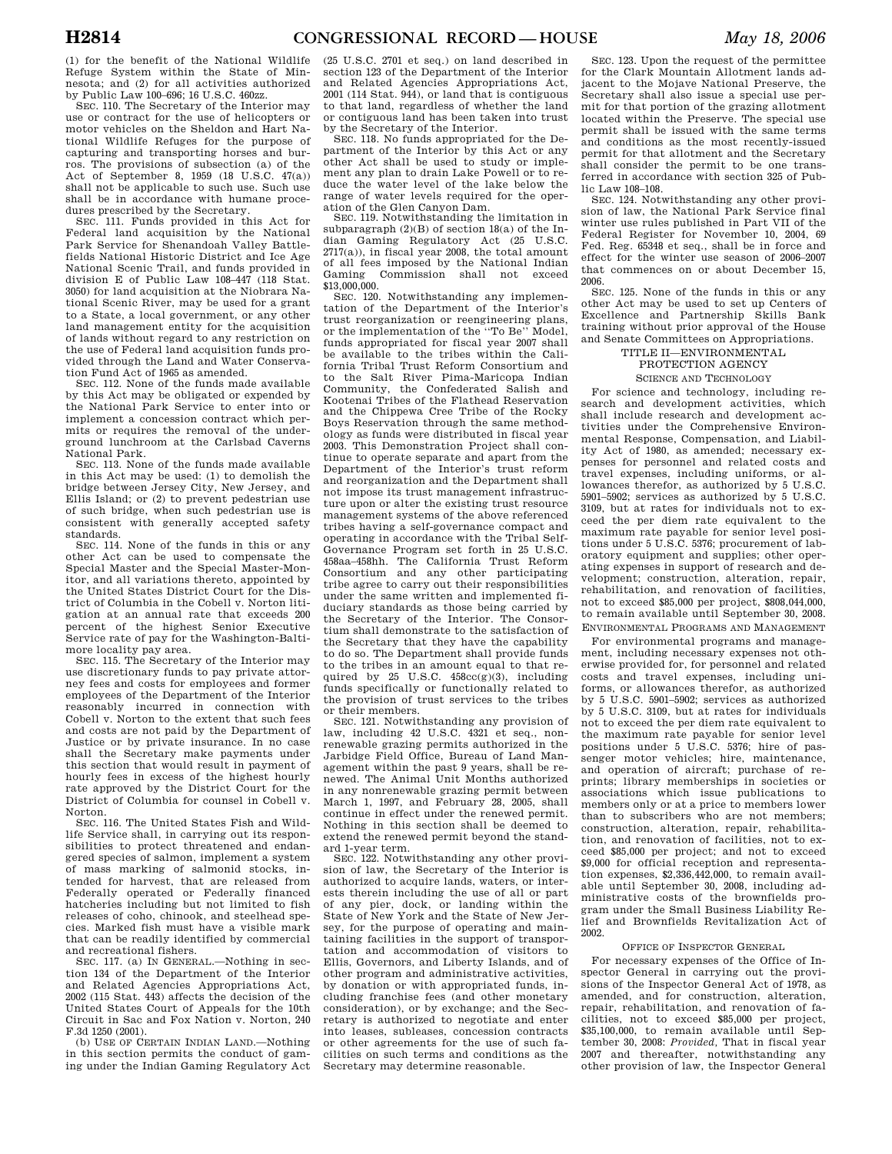(1) for the benefit of the National Wildlife Refuge System within the State of Minnesota; and (2) for all activities authorized by Public Law 100–696; 16 U.S.C. 460zz.

SEC. 110. The Secretary of the Interior may use or contract for the use of helicopters or motor vehicles on the Sheldon and Hart National Wildlife Refuges for the purpose of capturing and transporting horses and burros. The provisions of subsection (a) of the Act of September 8, 1959 (18 U.S.C. 47(a)) shall not be applicable to such use. Such use shall be in accordance with humane procedures prescribed by the Secretary.

SEC. 111. Funds provided in this Act for Federal land acquisition by the National Park Service for Shenandoah Valley Battlefields National Historic District and Ice Age National Scenic Trail, and funds provided in division E of Public Law 108–447 (118 Stat. 3050) for land acquisition at the Niobrara National Scenic River, may be used for a grant to a State, a local government, or any other land management entity for the acquisition of lands without regard to any restriction on the use of Federal land acquisition funds provided through the Land and Water Conservation Fund Act of 1965 as amended.

SEC. 112. None of the funds made available by this Act may be obligated or expended by the National Park Service to enter into or implement a concession contract which permits or requires the removal of the underground lunchroom at the Carlsbad Caverns National Park.

SEC. 113. None of the funds made available in this Act may be used: (1) to demolish the bridge between Jersey City, New Jersey, and Ellis Island; or (2) to prevent pedestrian use of such bridge, when such pedestrian use is consistent with generally accepted safety standards.

SEC. 114. None of the funds in this or any other Act can be used to compensate the Special Master and the Special Master-Monitor, and all variations thereto, appointed by the United States District Court for the District of Columbia in the Cobell v. Norton litigation at an annual rate that exceeds 200 percent of the highest Senior Executive Service rate of pay for the Washington-Baltimore locality pay area.

SEC. 115. The Secretary of the Interior may use discretionary funds to pay private attorney fees and costs for employees and former employees of the Department of the Interior reasonably incurred in connection with Cobell v. Norton to the extent that such fees and costs are not paid by the Department of Justice or by private insurance. In no case shall the Secretary make payments under this section that would result in payment of hourly fees in excess of the highest hourly rate approved by the District Court for the District of Columbia for counsel in Cobell v. Norton.

SEC. 116. The United States Fish and Wildlife Service shall, in carrying out its responsibilities to protect threatened and endangered species of salmon, implement a system of mass marking of salmonid stocks, intended for harvest, that are released from Federally operated or Federally financed hatcheries including but not limited to fish releases of coho, chinook, and steelhead species. Marked fish must have a visible mark that can be readily identified by commercial and recreational fishers.

SEC. 117. (a) IN GENERAL.—Nothing in section 134 of the Department of the Interior and Related Agencies Appropriations Act, 2002 (115 Stat. 443) affects the decision of the United States Court of Appeals for the 10th Circuit in Sac and Fox Nation v. Norton, 240 F.3d 1250 (2001).

(b) USE OF CERTAIN INDIAN LAND.—Nothing in this section permits the conduct of gaming under the Indian Gaming Regulatory Act

(25 U.S.C. 2701 et seq.) on land described in section 123 of the Department of the Interior and Related Agencies Appropriations Act, 2001 (114 Stat. 944), or land that is contiguous to that land, regardless of whether the land or contiguous land has been taken into trust by the Secretary of the Interior.

SEC. 118. No funds appropriated for the Department of the Interior by this Act or any other Act shall be used to study or implement any plan to drain Lake Powell or to reduce the water level of the lake below the range of water levels required for the operation of the Glen Canyon Dam.

SEC. 119. Notwithstanding the limitation in subparagraph (2)(B) of section 18(a) of the Indian Gaming Regulatory Act (25 U.S.C. 2717(a)), in fiscal year 2008, the total amount of all fees imposed by the National Indian Gaming Commission shall not exceed \$13,000,000.

SEC. 120. Notwithstanding any implementation of the Department of the Interior's trust reorganization or reengineering plans,<br>or the implementation of the "To Be" Model. or the implementation of the "To Be" funds appropriated for fiscal year 2007 shall be available to the tribes within the California Tribal Trust Reform Consortium and to the Salt River Pima-Maricopa Indian Community, the Confederated Salish and Kootenai Tribes of the Flathead Reservation and the Chippewa Cree Tribe of the Rocky Boys Reservation through the same methodology as funds were distributed in fiscal year 2003. This Demonstration Project shall continue to operate separate and apart from the Department of the Interior's trust reform and reorganization and the Department shall not impose its trust management infrastructure upon or alter the existing trust resource management systems of the above referenced tribes having a self-governance compact and operating in accordance with the Tribal Self-Governance Program set forth in 25 U.S.C. 458aa–458hh. The California Trust Reform Consortium and any other participating tribe agree to carry out their responsibilities under the same written and implemented fiduciary standards as those being carried by the Secretary of the Interior. The Consortium shall demonstrate to the satisfaction of the Secretary that they have the capability to do so. The Department shall provide funds to the tribes in an amount equal to that required by  $25$  U.S.C.  $458cc(g)(3)$ , including funds specifically or functionally related to the provision of trust services to the tribes or their members.

SEC. 121. Notwithstanding any provision of law, including 42 U.S.C. 4321 et seq., nonrenewable grazing permits authorized in the Jarbidge Field Office, Bureau of Land Management within the past 9 years, shall be renewed. The Animal Unit Months authorized in any nonrenewable grazing permit between March 1, 1997, and February 28, 2005, shall continue in effect under the renewed permit. Nothing in this section shall be deemed to extend the renewed permit beyond the standard 1-year term.

SEC. 122. Notwithstanding any other provision of law, the Secretary of the Interior is authorized to acquire lands, waters, or interests therein including the use of all or part of any pier, dock, or landing within the State of New York and the State of New Jersey, for the purpose of operating and maintaining facilities in the support of transportation and accommodation of visitors to Ellis, Governors, and Liberty Islands, and of other program and administrative activities, by donation or with appropriated funds, including franchise fees (and other monetary consideration), or by exchange; and the Secretary is authorized to negotiate and enter into leases, subleases, concession contracts or other agreements for the use of such facilities on such terms and conditions as the Secretary may determine reasonable.

SEC. 123. Upon the request of the permittee for the Clark Mountain Allotment lands adjacent to the Mojave National Preserve, the Secretary shall also issue a special use permit for that portion of the grazing allotment located within the Preserve. The special use permit shall be issued with the same terms and conditions as the most recently-issued permit for that allotment and the Secretary shall consider the permit to be one transferred in accordance with section 325 of Public Law 108–108.

SEC. 124. Notwithstanding any other provision of law, the National Park Service final winter use rules published in Part VII of the Federal Register for November 10, 2004, 69 Fed. Reg. 65348 et seq., shall be in force and effect for the winter use season of 2006–2007 that commences on or about December 15, 2006.

SEC. 125. None of the funds in this or any other Act may be used to set up Centers of Excellence and Partnership Skills Bank training without prior approval of the House and Senate Committees on Appropriations.

> TITLE II—ENVIRONMENTAL PROTECTION AGENCY SCIENCE AND TECHNOLOGY

For science and technology, including research and development activities, which shall include research and development activities under the Comprehensive Environmental Response, Compensation, and Liability Act of 1980, as amended; necessary expenses for personnel and related costs and travel expenses, including uniforms, or allowances therefor, as authorized by 5 U.S.C. 5901–5902; services as authorized by 5 U.S.C. 3109, but at rates for individuals not to exceed the per diem rate equivalent to the maximum rate payable for senior level positions under 5 U.S.C. 5376; procurement of laboratory equipment and supplies; other operating expenses in support of research and development; construction, alteration, repair, rehabilitation, and renovation of facilities, not to exceed \$85,000 per project, \$808,044,000, to remain available until September 30, 2008. ENVIRONMENTAL PROGRAMS AND MANAGEMENT

For environmental programs and management, including necessary expenses not otherwise provided for, for personnel and related costs and travel expenses, including uniforms, or allowances therefor, as authorized by 5 U.S.C. 5901–5902; services as authorized by 5 U.S.C. 3109, but at rates for individuals not to exceed the per diem rate equivalent to the maximum rate payable for senior level positions under 5 U.S.C. 5376; hire of passenger motor vehicles; hire, maintenance, and operation of aircraft; purchase of reprints; library memberships in societies or associations which issue publications to members only or at a price to members lower than to subscribers who are not members; construction, alteration, repair, rehabilitation, and renovation of facilities, not to exceed \$85,000 per project; and not to exceed \$9,000 for official reception and representation expenses, \$2,336,442,000, to remain available until September 30, 2008, including administrative costs of the brownfields program under the Small Business Liability Relief and Brownfields Revitalization Act of 2002.

## OFFICE OF INSPECTOR GENERAL

For necessary expenses of the Office of Inspector General in carrying out the provisions of the Inspector General Act of 1978, as amended, and for construction, alteration, repair, rehabilitation, and renovation of facilities, not to exceed \$85,000 per project, \$35,100,000, to remain available until September 30, 2008: *Provided,* That in fiscal year 2007 and thereafter, notwithstanding any other provision of law, the Inspector General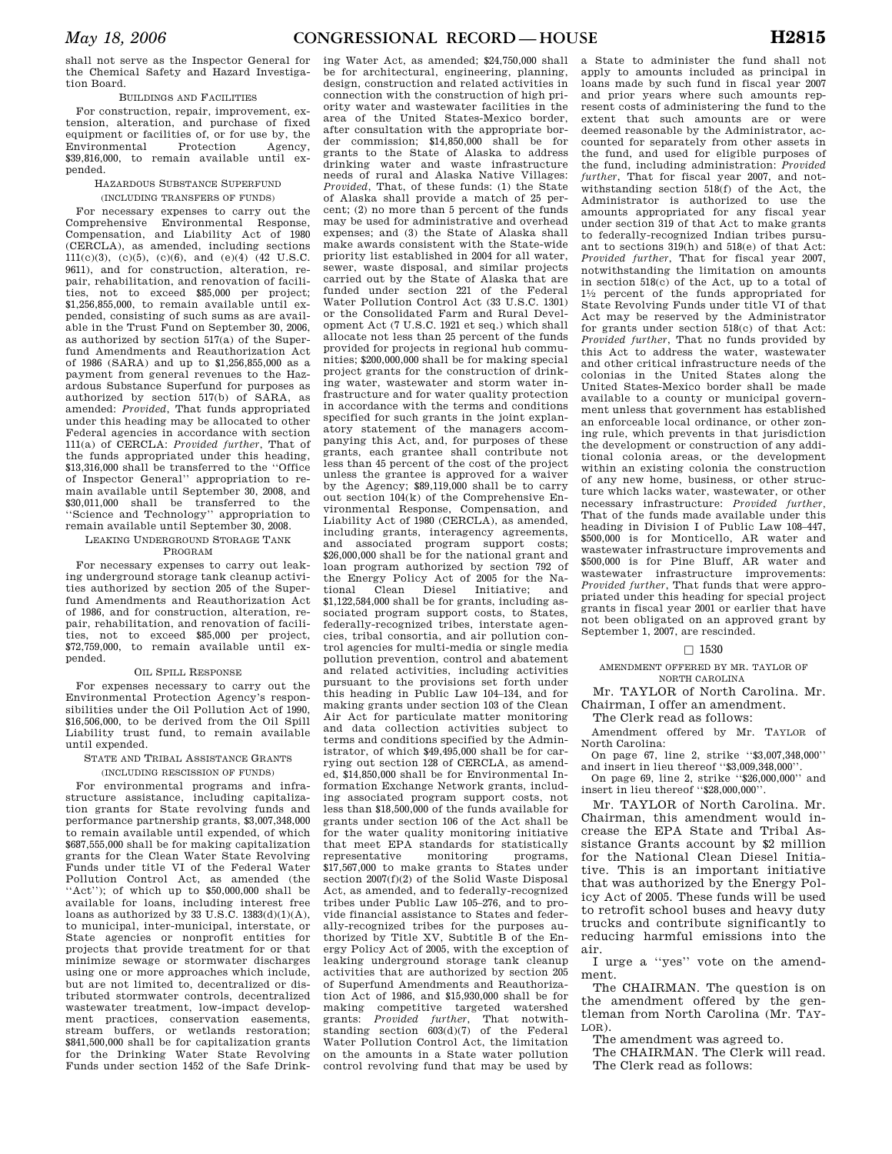shall not serve as the Inspector General for the Chemical Safety and Hazard Investigation Board.

## BUILDINGS AND FACILITIES

For construction, repair, improvement, extension, alteration, and purchase of fixed equipment or facilities of, or for use by, the<br>Environmental Protection Agency. Environmental \$39,816,000, to remain available until expended.

# HAZARDOUS SUBSTANCE SUPERFUND

# (INCLUDING TRANSFERS OF FUNDS)

For necessary expenses to carry out the Comprehensive Environmental Response, Compensation, and Liability Act of 1980 (CERCLA), as amended, including sections 111(c)(3), (c)(5), (c)(6), and (e)(4) (42 U.S.C. 9611), and for construction, alteration, repair, rehabilitation, and renovation of facilities, not to exceed \$85,000 per project; \$1,256,855,000, to remain available until expended, consisting of such sums as are available in the Trust Fund on September 30, 2006, as authorized by section 517(a) of the Superfund Amendments and Reauthorization Act of 1986 (SARA) and up to \$1,256,855,000 as a payment from general revenues to the Hazardous Substance Superfund for purposes as authorized by section  $517(h)$  of SARA, as amended: *Provided*, That funds appropriated under this heading may be allocated to other Federal agencies in accordance with section 111(a) of CERCLA: *Provided further*, That of the funds appropriated under this heading, \$13,316,000 shall be transferred to the ''Office of Inspector General'' appropriation to remain available until September 30, 2008, and \$30,011,000 shall be transferred to the ''Science and Technology'' appropriation to remain available until September 30, 2008.

#### LEAKING UNDERGROUND STORAGE TANK PROGRAM

For necessary expenses to carry out leaking underground storage tank cleanup activities authorized by section 205 of the Superfund Amendments and Reauthorization Act of 1986, and for construction, alteration, repair, rehabilitation, and renovation of facilities, not to exceed \$85,000 per project, \$72,759,000, to remain available until expended.

## OIL SPILL RESPONSE

For expenses necessary to carry out the Environmental Protection Agency's responsibilities under the Oil Pollution Act of 1990, \$16,506,000, to be derived from the Oil Spill Liability trust fund, to remain available until expended.

## STATE AND TRIBAL ASSISTANCE GRANTS

#### (INCLUDING RESCISSION OF FUNDS)

For environmental programs and infrastructure assistance, including capitalization grants for State revolving funds and performance partnership grants, \$3,007,348,000 to remain available until expended, of which \$687,555,000 shall be for making capitalization grants for the Clean Water State Revolving Funds under title VI of the Federal Water Pollution Control Act, as amended (the "Act"); of which up to \$50,000,000 shall be available for loans, including interest free loans as authorized by 33 U.S.C.  $1383(d)(1)(A)$ , to municipal, inter-municipal, interstate, or State agencies or nonprofit entities for projects that provide treatment for or that minimize sewage or stormwater discharges using one or more approaches which include, but are not limited to, decentralized or distributed stormwater controls, decentralized wastewater treatment, low-impact development practices, conservation easements,<br>stream buffers, or wetlands restoration: buffers, or wetlands restoration; \$841,500,000 shall be for capitalization grants for the Drinking Water State Revolving Funds under section 1452 of the Safe Drink-

be for architectural, engineering, planning, design, construction and related activities in connection with the construction of high priority water and wastewater facilities in the area of the United States-Mexico border, after consultation with the appropriate border commission; \$14,850,000 shall be for grants to the State of Alaska to address drinking water and waste infrastructure needs of rural and Alaska Native Villages: *Provided*, That, of these funds: (1) the State of Alaska shall provide a match of 25 percent; (2) no more than 5 percent of the funds may be used for administrative and overhead expenses; and (3) the State of Alaska shall make awards consistent with the State-wide priority list established in 2004 for all water, sewer, waste disposal, and similar projects carried out by the State of Alaska that are funded under section 221 of the Federal Water Pollution Control Act (33 U.S.C. 1301) or the Consolidated Farm and Rural Development Act (7 U.S.C. 1921 et seq.) which shall allocate not less than 25 percent of the funds provided for projects in regional hub communities; \$200,000,000 shall be for making special project grants for the construction of drinking water, wastewater and storm water infrastructure and for water quality protection in accordance with the terms and conditions specified for such grants in the joint explanatory statement of the managers accompanying this Act, and, for purposes of these grants, each grantee shall contribute not less than 45 percent of the cost of the project unless the grantee is approved for a waiver by the Agency; \$89,119,000 shall be to carry out section 104(k) of the Comprehensive Environmental Response, Compensation, and Liability Act of 1980 (CERCLA), as amended, including grants, interagency agreements, and associated program support costs; \$26,000,000 shall be for the national grant and loan program authorized by section 792 of the Energy Policy Act of 2005 for the National Clean Diesel Initiative; and \$1,122,584,000 shall be for grants, including associated program support costs, to States, federally-recognized tribes, interstate agencies, tribal consortia, and air pollution control agencies for multi-media or single media pollution prevention, control and abatement and related activities, including activities pursuant to the provisions set forth under this heading in Public Law 104–134, and for making grants under section 103 of the Clean Air Act for particulate matter monitoring and data collection activities subject to terms and conditions specified by the Administrator, of which \$49,495,000 shall be for carrying out section 128 of CERCLA, as amended, \$14,850,000 shall be for Environmental Information Exchange Network grants, including associated program support costs, not less than \$18,500,000 of the funds available for grants under section 106 of the Act shall be for the water quality monitoring initiative that meet EPA standards for statistically representative monitoring programs, \$17,567,000 to make grants to States under section 2007(f)(2) of the Solid Waste Disposal Act, as amended, and to federally-recognized tribes under Public Law 105–276, and to provide financial assistance to States and federally-recognized tribes for the purposes authorized by Title XV, Subtitle B of the Energy Policy Act of 2005, with the exception of leaking underground storage tank cleanup activities that are authorized by section 205 of Superfund Amendments and Reauthorization Act of 1986, and \$15,930,000 shall be for making competitive targeted watershed grants: *Provided further*, That notwithstanding section 603(d)(7) of the Federal Water Pollution Control Act, the limitation on the amounts in a State water pollution

control revolving fund that may be used by

apply to amounts included as principal in loans made by such fund in fiscal year 2007 and prior years where such amounts represent costs of administering the fund to the extent that such amounts are or were deemed reasonable by the Administrator, accounted for separately from other assets in the fund, and used for eligible purposes of the fund, including administration: *Provided further*, That for fiscal year 2007, and notwithstanding section 518(f) of the Act, the Administrator is authorized to use the amounts appropriated for any fiscal year under section 319 of that Act to make grants to federally-recognized Indian tribes pursuant to sections 319(h) and 518(e) of that Act: *Provided further*, That for fiscal year 2007, notwithstanding the limitation on amounts in section 518(c) of the Act, up to a total of 11⁄2 percent of the funds appropriated for State Revolving Funds under title VI of that Act may be reserved by the Administrator for grants under section 518(c) of that Act: *Provided further*, That no funds provided by this Act to address the water, wastewater and other critical infrastructure needs of the colonias in the United States along the United States-Mexico border shall be made available to a county or municipal government unless that government has established an enforceable local ordinance, or other zoning rule, which prevents in that jurisdiction the development or construction of any additional colonia areas, or the development within an existing colonia the construction of any new home, business, or other structure which lacks water, wastewater, or other necessary infrastructure: *Provided further,*  That of the funds made available under this heading in Division I of Public Law 108–447, \$500,000 is for Monticello, AR water and wastewater infrastructure improvements and \$500,000 is for Pine Bluff, AR water and wastewater infrastructure improvements: *Provided further*, That funds that were appropriated under this heading for special project grants in fiscal year 2001 or earlier that have not been obligated on an approved grant by September 1, 2007, are rescinded.

a State to administer the fund shall not

#### $\Box$  1530

#### AMENDMENT OFFERED BY MR. TAYLOR OF NORTH CAROLINA

Mr. TAYLOR of North Carolina. Mr. Chairman, I offer an amendment.

The Clerk read as follows:

Amendment offered by Mr. TAYLOR of North Carolina:

On page 67, line 2, strike ''\$3,007,348,000'' and insert in lieu thereof ''\$3,009,348,000''.

On page 69, line 2, strike ''\$26,000,000'' and insert in lieu thereof ''\$28,000,000''.

Mr. TAYLOR of North Carolina. Mr. Chairman, this amendment would increase the EPA State and Tribal Assistance Grants account by \$2 million for the National Clean Diesel Initiative. This is an important initiative that was authorized by the Energy Policy Act of 2005. These funds will be used to retrofit school buses and heavy duty trucks and contribute significantly to reducing harmful emissions into the air.

I urge a ''yes'' vote on the amendment.

The CHAIRMAN. The question is on the amendment offered by the gentleman from North Carolina (Mr. TAY-LOR).

The amendment was agreed to.

The CHAIRMAN. The Clerk will read. The Clerk read as follows: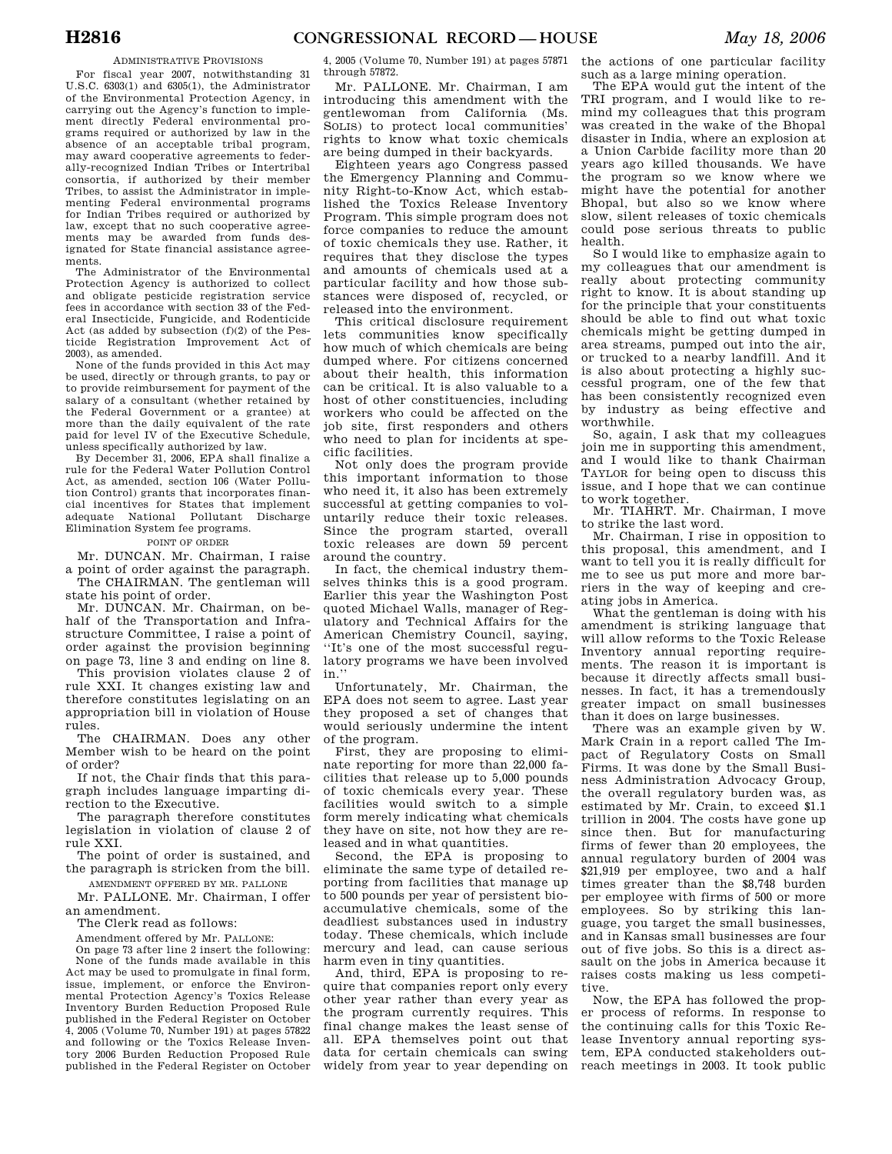# ADMINISTRATIVE PROVISIONS

For fiscal year 2007, notwithstanding 31 U.S.C. 6303(1) and 6305(1), the Administrator of the Environmental Protection Agency, in carrying out the Agency's function to implement directly Federal environmental programs required or authorized by law in the absence of an acceptable tribal program, may award cooperative agreements to federally-recognized Indian Tribes or Intertribal consortia, if authorized by their member Tribes, to assist the Administrator in implementing Federal environmental programs for Indian Tribes required or authorized by law, except that no such cooperative agreements may be awarded from funds designated for State financial assistance agreements.

The Administrator of the Environmental Protection Agency is authorized to collect and obligate pesticide registration service fees in accordance with section 33 of the Federal Insecticide, Fungicide, and Rodenticide Act (as added by subsection (f)(2) of the Pesticide Registration Improvement Act of 2003), as amended.

None of the funds provided in this Act may be used, directly or through grants, to pay or to provide reimbursement for payment of the salary of a consultant (whether retained by the Federal Government or a grantee) at more than the daily equivalent of the rate paid for level IV of the Executive Schedule, unless specifically authorized by law.

By December 31, 2006, EPA shall finalize a rule for the Federal Water Pollution Control Act, as amended, section 106 (Water Pollution Control) grants that incorporates financial incentives for States that implement adequate National Pollutant Discharge Elimination System fee programs.

# POINT OF ORDER

Mr. DUNCAN. Mr. Chairman, I raise a point of order against the paragraph.

The CHAIRMAN. The gentleman will state his point of order.

Mr. DUNCAN. Mr. Chairman, on behalf of the Transportation and Infrastructure Committee, I raise a point of order against the provision beginning on page 73, line 3 and ending on line 8.

This provision violates clause 2 of rule XXI. It changes existing law and therefore constitutes legislating on an appropriation bill in violation of House rules.

The CHAIRMAN. Does any other Member wish to be heard on the point of order?

If not, the Chair finds that this paragraph includes language imparting direction to the Executive.

The paragraph therefore constitutes legislation in violation of clause 2 of rule XXI.

- The point of order is sustained, and the paragraph is stricken from the bill.
- AMENDMENT OFFERED BY MR. PALLONE Mr. PALLONE. Mr. Chairman, I offer

an amendment.

The Clerk read as follows:

Amendment offered by Mr. PALLONE:

On page 73 after line 2 insert the following:

None of the funds made available in this Act may be used to promulgate in final form, issue, implement, or enforce the Environmental Protection Agency's Toxics Release Inventory Burden Reduction Proposed Rule published in the Federal Register on October 4, 2005 (Volume 70, Number 191) at pages 57822 and following or the Toxics Release Inventory 2006 Burden Reduction Proposed Rule published in the Federal Register on October

4, 2005 (Volume 70, Number 191) at pages 57871 through 57872.

Mr. PALLONE. Mr. Chairman, I am introducing this amendment with the gentlewoman from California (Ms. SOLIS) to protect local communities' rights to know what toxic chemicals are being dumped in their backyards.

Eighteen years ago Congress passed the Emergency Planning and Community Right-to-Know Act, which established the Toxics Release Inventory Program. This simple program does not force companies to reduce the amount of toxic chemicals they use. Rather, it requires that they disclose the types and amounts of chemicals used at a particular facility and how those substances were disposed of, recycled, or released into the environment.

This critical disclosure requirement lets communities know specifically how much of which chemicals are being dumped where. For citizens concerned about their health, this information can be critical. It is also valuable to a host of other constituencies, including workers who could be affected on the job site, first responders and others who need to plan for incidents at specific facilities.

Not only does the program provide this important information to those who need it, it also has been extremely successful at getting companies to voluntarily reduce their toxic releases. Since the program started, overall toxic releases are down 59 percent around the country.

In fact, the chemical industry themselves thinks this is a good program. Earlier this year the Washington Post quoted Michael Walls, manager of Regulatory and Technical Affairs for the American Chemistry Council, saying, ''It's one of the most successful regulatory programs we have been involved in.''

Unfortunately, Mr. Chairman, the EPA does not seem to agree. Last year they proposed a set of changes that would seriously undermine the intent of the program.

First, they are proposing to eliminate reporting for more than 22,000 facilities that release up to 5,000 pounds of toxic chemicals every year. These facilities would switch to a simple form merely indicating what chemicals they have on site, not how they are released and in what quantities.

Second, the EPA is proposing to eliminate the same type of detailed reporting from facilities that manage up to 500 pounds per year of persistent bioaccumulative chemicals, some of the deadliest substances used in industry today. These chemicals, which include mercury and lead, can cause serious harm even in tiny quantities.

And, third, EPA is proposing to require that companies report only every other year rather than every year as the program currently requires. This final change makes the least sense of all. EPA themselves point out that data for certain chemicals can swing widely from year to year depending on

the actions of one particular facility such as a large mining operation.

The EPA would gut the intent of the TRI program, and I would like to remind my colleagues that this program was created in the wake of the Bhopal disaster in India, where an explosion at a Union Carbide facility more than 20 years ago killed thousands. We have the program so we know where we might have the potential for another Bhopal, but also so we know where slow, silent releases of toxic chemicals could pose serious threats to public health.

So I would like to emphasize again to my colleagues that our amendment is really about protecting community right to know. It is about standing up for the principle that your constituents should be able to find out what toxic chemicals might be getting dumped in area streams, pumped out into the air, or trucked to a nearby landfill. And it is also about protecting a highly successful program, one of the few that has been consistently recognized even by industry as being effective and worthwhile.

So, again, I ask that my colleagues join me in supporting this amendment, and I would like to thank Chairman TAYLOR for being open to discuss this issue, and I hope that we can continue to work together.

Mr. TIAHRT. Mr. Chairman, I move to strike the last word.

Mr. Chairman, I rise in opposition to this proposal, this amendment, and I want to tell you it is really difficult for me to see us put more and more barriers in the way of keeping and creating jobs in America.

What the gentleman is doing with his amendment is striking language that will allow reforms to the Toxic Release Inventory annual reporting requirements. The reason it is important is because it directly affects small businesses. In fact, it has a tremendously greater impact on small businesses than it does on large businesses.

There was an example given by W. Mark Crain in a report called The Impact of Regulatory Costs on Small Firms. It was done by the Small Business Administration Advocacy Group, the overall regulatory burden was, as estimated by Mr. Crain, to exceed \$1.1 trillion in 2004. The costs have gone up since then. But for manufacturing firms of fewer than 20 employees, the annual regulatory burden of 2004 was \$21,919 per employee, two and a half times greater than the \$8,748 burden per employee with firms of 500 or more employees. So by striking this language, you target the small businesses, and in Kansas small businesses are four out of five jobs. So this is a direct assault on the jobs in America because it raises costs making us less competitive.

Now, the EPA has followed the proper process of reforms. In response to the continuing calls for this Toxic Release Inventory annual reporting system, EPA conducted stakeholders outreach meetings in 2003. It took public